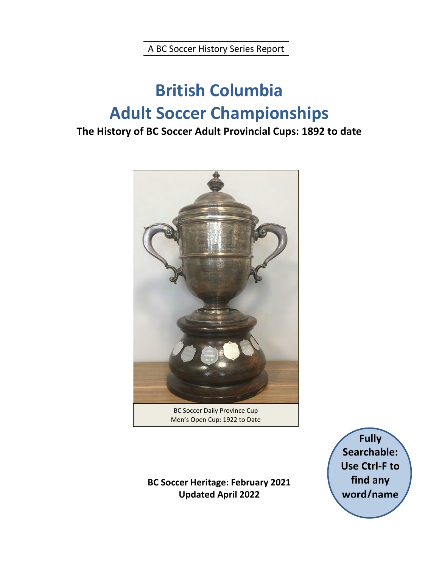A BC Soccer History Series Report

# **British Columbia Adult Soccer Championships**

### **The History of BC Soccer Adult Provincial Cups: 1892 to date**



BC Soccer Daily Province Cup Men's Open Cup: 1922 to Date

**BC Soccer Heritage: February 2021 Updated April 2022** 

**Fully Searchable: Use Ctrl-F to find any word/name**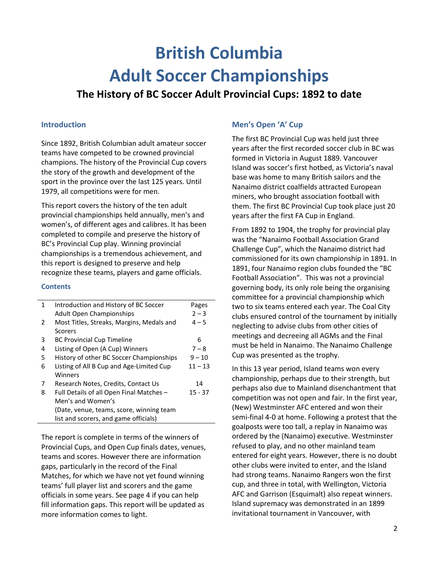# **British Columbia Adult Soccer Championships**

### **The History of BC Soccer Adult Provincial Cups: 1892 to date**

#### **Introduction**

Since 1892, British Columbian adult amateur soccer teams have competed to be crowned provincial champions. The history of the Provincial Cup covers the story of the growth and development of the sport in the province over the last 125 years. Until 1979, all competitions were for men.

This report covers the history of the ten adult provincial championships held annually, men's and women's, of different ages and calibres. It has been completed to compile and preserve the history of BC's Provincial Cup play. Winning provincial championships is a tremendous achievement, and this report is designed to preserve and help recognize these teams, players and game officials.

#### **Contents**

| Pages     |
|-----------|
|           |
| $2 - 3$   |
| $4 - 5$   |
|           |
| 6         |
| $7 - 8$   |
| $9 - 10$  |
| $11 - 13$ |
|           |
| 14        |
| $15 - 37$ |
|           |
|           |
|           |
|           |

The report is complete in terms of the winners of Provincial Cups, and Open Cup finals dates, venues, teams and scores. However there are information gaps, particularly in the record of the Final Matches, for which we have not yet found winning teams' full player list and scorers and the game officials in some years. See page 4 if you can help fill information gaps. This report will be updated as more information comes to light.

#### **Men's Open 'A' Cup**

The first BC Provincial Cup was held just three years after the first recorded soccer club in BC was formed in Victoria in August 1889. Vancouver Island was soccer's first hotbed, as Victoria's naval base was home to many British sailors and the Nanaimo district coalfields attracted European miners, who brought association football with them. The first BC Provincial Cup took place just 20 years after the first FA Cup in England.

From 1892 to 1904, the trophy for provincial play was the "Nanaimo Football Association Grand Challenge Cup", which the Nanaimo district had commissioned for its own championship in 1891. In 1891, four Nanaimo region clubs founded the "BC Football Association". This was not a provincial governing body, its only role being the organising committee for a provincial championship which two to six teams entered each year. The Coal City clubs ensured control of the tournament by initially neglecting to advise clubs from other cities of meetings and decreeing all AGMs and the Final must be held in Nanaimo. The Nanaimo Challenge Cup was presented as the trophy.

In this 13 year period, Island teams won every championship, perhaps due to their strength, but perhaps also due to Mainland disenchantment that competition was not open and fair. In the first year, (New) Westminster AFC entered and won their semi-final 4-0 at home. Following a protest that the goalposts were too tall, a replay in Nanaimo was ordered by the (Nanaimo) executive. Westminster refused to play, and no other mainland team entered for eight years. However, there is no doubt other clubs were invited to enter, and the Island had strong teams. Nanaimo Rangers won the first cup, and three in total, with Wellington, Victoria AFC and Garrison (Esquimalt) also repeat winners. Island supremacy was demonstrated in an 1899 invitational tournament in Vancouver, with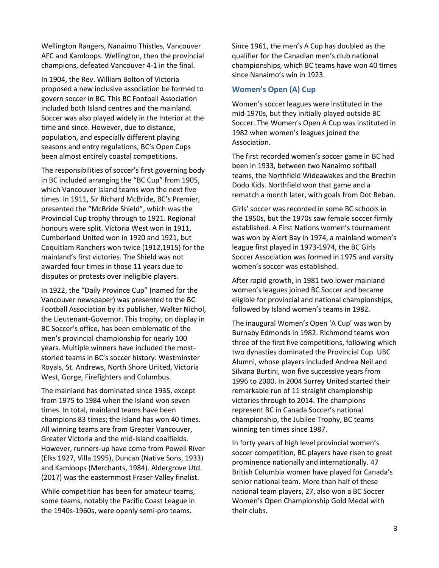Wellington Rangers, Nanaimo Thistles, Vancouver AFC and Kamloops. Wellington, then the provincial champions, defeated Vancouver 4-1 in the final.

In 1904, the Rev. William Bolton of Victoria proposed a new inclusive association be formed to govern soccer in BC. This BC Football Association included both Island centres and the mainland. Soccer was also played widely in the Interior at the time and since. However, due to distance, population, and especially different playing seasons and entry regulations, BC's Open Cups been almost entirely coastal competitions.

The responsibilities of soccer's first governing body in BC included arranging the "BC Cup" from 1905, which Vancouver Island teams won the next five times. In 1911, Sir Richard McBride, BC's Premier, presented the "McBride Shield", which was the Provincial Cup trophy through to 1921. Regional honours were split. Victoria West won in 1911, Cumberland United won in 1920 and 1921, but Coquitlam Ranchers won twice (1912,1915) for the mainland's first victories. The Shield was not awarded four times in those 11 years due to disputes or protests over ineligible players.

In 1922, the "Daily Province Cup" (named for the Vancouver newspaper) was presented to the BC Football Association by its publisher, Walter Nichol, the Lieutenant-Governor. This trophy, on display in BC Soccer's office, has been emblematic of the men's provincial championship for nearly 100 years. Multiple winners have included the moststoried teams in BC's soccer history: Westminster Royals, St. Andrews, North Shore United, Victoria West, Gorge, Firefighters and Columbus.

The mainland has dominated since 1935, except from 1975 to 1984 when the Island won seven times. In total, mainland teams have been champions 83 times; the Island has won 40 times. All winning teams are from Greater Vancouver, Greater Victoria and the mid-Island coalfields. However, runners-up have come from Powell River (Elks 1927, Villa 1995), Duncan (Native Sons, 1933) and Kamloops (Merchants, 1984). Aldergrove Utd. (2017) was the easternmost Fraser Valley finalist.

While competition has been for amateur teams, some teams, notably the Pacific Coast League in the 1940s-1960s, were openly semi-pro teams.

Since 1961, the men's A Cup has doubled as the qualifier for the Canadian men's club national championships, which BC teams have won 40 times since Nanaimo's win in 1923.

#### **Women's Open (A) Cup**

Women's soccer leagues were instituted in the mid-1970s, but they initially played outside BC Soccer. The Women's Open A Cup was instituted in 1982 when women's leagues joined the Association.

The first recorded women's soccer game in BC had been in 1933, between two Nanaimo softball teams, the Northfield Wideawakes and the Brechin Dodo Kids. Northfield won that game and a rematch a month later, with goals from Dot Beban.

Girls' soccer was recorded in some BC schools in the 1950s, but the 1970s saw female soccer firmly established. A First Nations women's tournament was won by Alert Bay in 1974, a mainland women's league first played in 1973-1974, the BC Girls Soccer Association was formed in 1975 and varsity women's soccer was established.

After rapid growth, in 1981 two lower mainland women's leagues joined BC Soccer and became eligible for provincial and national championships, followed by Island women's teams in 1982.

The inaugural Women's Open 'A Cup' was won by Burnaby Edmonds in 1982. Richmond teams won three of the first five competitions, following which two dynasties dominated the Provincial Cup. UBC Alumni, whose players included Andrea Neil and Silvana Burtini, won five successive years from 1996 to 2000. In 2004 Surrey United started their remarkable run of 11 straight championship victories through to 2014. The champions represent BC in Canada Soccer's national championship, the Jubilee Trophy, BC teams winning ten times since 1987.

In forty years of high level provincial women's soccer competition, BC players have risen to great prominence nationally and internationally. 47 British Columbia women have played for Canada's senior national team. More than half of these national team players, 27, also won a BC Soccer Women's Open Championship Gold Medal with their clubs.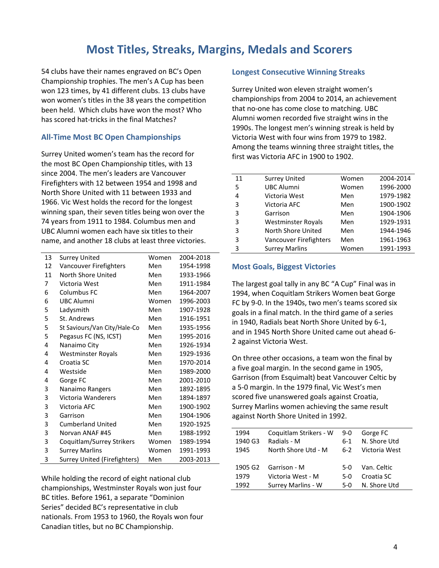### **Most Titles, Streaks, Margins, Medals and Scorers**

54 clubs have their names engraved on BC's Open Championship trophies. The men's A Cup has been won 123 times, by 41 different clubs. 13 clubs have won women's titles in the 38 years the competition been held. Which clubs have won the most? Who has scored hat-tricks in the final Matches?

#### **All-Time Most BC Open Championships**

Surrey United women's team has the record for the most BC Open Championship titles, with 13 since 2004. The men's leaders are Vancouver Firefighters with 12 between 1954 and 1998 and North Shore United with 11 between 1933 and 1966. Vic West holds the record for the longest winning span, their seven titles being won over the 74 years from 1911 to 1984. Columbus men and UBC Alumni women each have six titles to their name, and another 18 clubs at least three victories.

| 13 | <b>Surrey United</b>                | Women      | 2004-2018 |
|----|-------------------------------------|------------|-----------|
| 12 | Vancouver Firefighters              | Men        | 1954-1998 |
| 11 | North Shore United                  | Men        | 1933-1966 |
| 7  | Victoria West                       | <b>Men</b> | 1911-1984 |
| 6  | Columbus FC                         | Men        | 1964-2007 |
| 6  | <b>UBC Alumni</b>                   | Women      | 1996-2003 |
| 5  | Ladysmith                           | Men        | 1907-1928 |
| 5  | St. Andrews                         | Men        | 1916-1951 |
| 5  | St Saviours/Van City/Hale-Co        | Men        | 1935-1956 |
| 5  | Pegasus FC (NS, ICST)               | Men        | 1995-2016 |
| 4  | Nanaimo City                        | Men        | 1926-1934 |
| 4  | <b>Westminster Royals</b>           | Men        | 1929-1936 |
| 4  | Croatia SC                          | Men        | 1970-2014 |
| 4  | Westside                            | Men        | 1989-2000 |
| 4  | Gorge FC                            | Men        | 2001-2010 |
| 3  | Nanaimo Rangers                     | Men        | 1892-1895 |
| 3  | Victoria Wanderers                  | Men        | 1894-1897 |
| 3  | Victoria AFC                        | Men        | 1900-1902 |
| 3  | Garrison                            | Men        | 1904-1906 |
| 3  | <b>Cumberland United</b>            | Men        | 1920-1925 |
| 3  | Norvan ANAF #45                     | Men        | 1988-1992 |
| 3  | Coquitlam/Surrey Strikers           | Women      | 1989-1994 |
| 3  | <b>Surrey Marlins</b>               | Women      | 1991-1993 |
| 3  | <b>Surrey United (Firefighters)</b> | Men        | 2003-2013 |

While holding the record of eight national club championships, Westminster Royals won just four BC titles. Before 1961, a separate "Dominion Series" decided BC's representative in club nationals. From 1953 to 1960, the Royals won four Canadian titles, but no BC Championship.

#### **Longest Consecutive Winning Streaks**

Surrey United won eleven straight women's championships from 2004 to 2014, an achievement that no-one has come close to matching. UBC Alumni women recorded five straight wins in the 1990s. The longest men's winning streak is held by Victoria West with four wins from 1979 to 1982. Among the teams winning three straight titles, the first was Victoria AFC in 1900 to 1902.

| 11 | <b>Surrey United</b>      | Women | 2004-2014 |
|----|---------------------------|-------|-----------|
| 5  | <b>UBC Alumni</b>         | Women | 1996-2000 |
| 4  | Victoria West             | Men   | 1979-1982 |
| 3  | Victoria AFC              | Men   | 1900-1902 |
| 3  | Garrison                  | Men   | 1904-1906 |
| 3  | <b>Westminster Royals</b> | Men   | 1929-1931 |
| 3  | North Shore United        | Men   | 1944-1946 |
| 3  | Vancouver Firefighters    | Men   | 1961-1963 |
| 3  | <b>Surrey Marlins</b>     | Women | 1991-1993 |
|    |                           |       |           |

#### **Most Goals, Biggest Victories**

The largest goal tally in any BC "A Cup" Final was in 1994, when Coquitlam Strikers Women beat Gorge FC by 9-0. In the 1940s, two men's teams scored six goals in a final match. In the third game of a series in 1940, Radials beat North Shore United by 6-1, and in 1945 North Shore United came out ahead 6- 2 against Victoria West.

On three other occasions, a team won the final by a five goal margin. In the second game in 1905, Garrison (from Esquimalt) beat Vancouver Celtic by a 5-0 margin. In the 1979 final, Vic West's men scored five unanswered goals against Croatia, Surrey Marlins women achieving the same result against North Shore United in 1992.

| 1994    | Coquitlam Strikers - W | $9-0$ | Gorge FC      |
|---------|------------------------|-------|---------------|
| 1940 G3 | Radials - M            | ճ-1   | N. Shore Utd  |
| 1945    | North Shore Utd - M    | 6-2   | Victoria West |
|         |                        |       |               |
| 1905 G2 | Garrison - M           | 5-0   | Van. Celtic   |
| 1979    | Victoria West - M      | 5-0   | Croatia SC    |
| 1992    | Surrey Marlins - W     | 5-0   | N. Shore Utd  |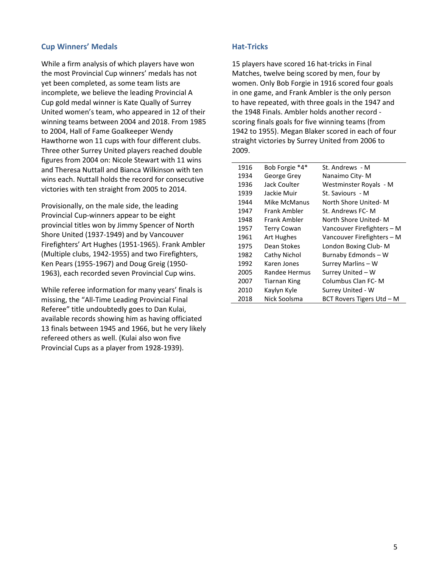#### **Cup Winners' Medals**

While a firm analysis of which players have won the most Provincial Cup winners' medals has not yet been completed, as some team lists are incomplete, we believe the leading Provincial A Cup gold medal winner is Kate Qually of Surrey United women's team, who appeared in 12 of their winning teams between 2004 and 2018. From 1985 to 2004, Hall of Fame Goalkeeper Wendy Hawthorne won 11 cups with four different clubs. Three other Surrey United players reached double figures from 2004 on: Nicole Stewart with 11 wins and Theresa Nuttall and Bianca Wilkinson with ten wins each. Nuttall holds the record for consecutive victories with ten straight from 2005 to 2014.

Provisionally, on the male side, the leading Provincial Cup-winners appear to be eight provincial titles won by Jimmy Spencer of North Shore United (1937-1949) and by Vancouver Firefighters' Art Hughes (1951-1965). Frank Ambler (Multiple clubs, 1942-1955) and two Firefighters, Ken Pears (1955-1967) and Doug Greig (1950- 1963), each recorded seven Provincial Cup wins.

While referee information for many years' finals is missing, the "All-Time Leading Provincial Final Referee" title undoubtedly goes to Dan Kulai, available records showing him as having officiated 13 finals between 1945 and 1966, but he very likely refereed others as well. (Kulai also won five Provincial Cups as a player from 1928-1939).

#### **Hat-Tricks**

15 players have scored 16 hat-tricks in Final Matches, twelve being scored by men, four by women. Only Bob Forgie in 1916 scored four goals in one game, and Frank Ambler is the only person to have repeated, with three goals in the 1947 and the 1948 Finals. Ambler holds another record scoring finals goals for five winning teams (from 1942 to 1955). Megan Blaker scored in each of four straight victories by Surrey United from 2006 to 2009.

| 1916 | Bob Forgie *4*      | St. Andrews - M            |
|------|---------------------|----------------------------|
| 1934 | George Grey         | Nanaimo City-M             |
| 1936 | Jack Coulter        | Westminster Royals - M     |
| 1939 | Jackie Muir         | St. Saviours - M           |
| 1944 | Mike McManus        | North Shore United-M       |
| 1947 | Frank Ambler        | St. Andrews FC-M           |
| 1948 | Frank Ambler        | North Shore United-M       |
| 1957 | <b>Terry Cowan</b>  | Vancouver Firefighters – M |
| 1961 | Art Hughes          | Vancouver Firefighters - M |
| 1975 | Dean Stokes         | London Boxing Club-M       |
| 1982 | Cathy Nichol        | Burnaby Edmonds - W        |
| 1992 | Karen Jones         | Surrey Marlins - W         |
| 2005 | Randee Hermus       | Surrey United - W          |
| 2007 | <b>Tiarnan King</b> | Columbus Clan FC-M         |
| 2010 | Kaylyn Kyle         | Surrey United - W          |
| 2018 | Nick Soolsma        | BCT Rovers Tigers Utd - M  |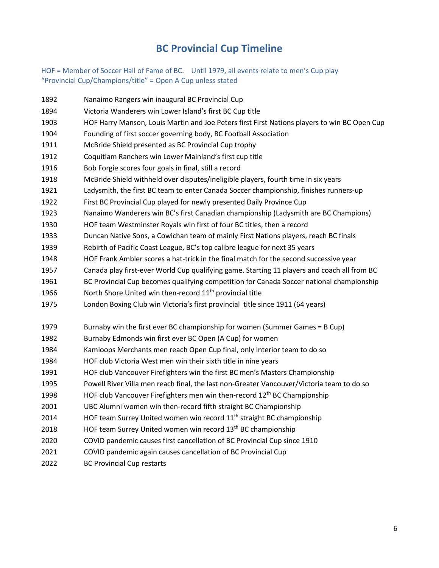### **BC Provincial Cup Timeline**

HOF = Member of Soccer Hall of Fame of BC. Until 1979, all events relate to men's Cup play "Provincial Cup/Champions/title" = Open A Cup unless stated

Nanaimo Rangers win inaugural BC Provincial Cup

 Victoria Wanderers win Lower Island's first BC Cup title HOF Harry Manson, Louis Martin and Joe Peters first First Nations players to win BC Open Cup Founding of first soccer governing body, BC Football Association McBride Shield presented as BC Provincial Cup trophy Coquitlam Ranchers win Lower Mainland's first cup title Bob Forgie scores four goals in final, still a record McBride Shield withheld over disputes/ineligible players, fourth time in six years Ladysmith, the first BC team to enter Canada Soccer championship, finishes runners-up First BC Provincial Cup played for newly presented Daily Province Cup Nanaimo Wanderers win BC's first Canadian championship (Ladysmith are BC Champions) HOF team Westminster Royals win first of four BC titles, then a record Duncan Native Sons, a Cowichan team of mainly First Nations players, reach BC finals Rebirth of Pacific Coast League, BC's top calibre league for next 35 years HOF Frank Ambler scores a hat-trick in the final match for the second successive year Canada play first-ever World Cup qualifying game. Starting 11 players and coach all from BC BC Provincial Cup becomes qualifying competition for Canada Soccer national championship 1966 North Shore United win then-record  $11<sup>th</sup>$  provincial title London Boxing Club win Victoria's first provincial title since 1911 (64 years) Burnaby win the first ever BC championship for women (Summer Games = B Cup) Burnaby Edmonds win first ever BC Open (A Cup) for women Kamloops Merchants men reach Open Cup final, only Interior team to do so HOF club Victoria West men win their sixth title in nine years HOF club Vancouver Firefighters win the first BC men's Masters Championship Powell River Villa men reach final, the last non-Greater Vancouver/Victoria team to do so 1998 HOF club Vancouver Firefighters men win then-record  $12<sup>th</sup>$  BC Championship UBC Alumni women win then-record fifth straight BC Championship 2014 HOF team Surrey United women win record  $11<sup>th</sup>$  straight BC championship 2018 HOF team Surrey United women win record 13<sup>th</sup> BC championship COVID pandemic causes first cancellation of BC Provincial Cup since 1910 COVID pandemic again causes cancellation of BC Provincial Cup BC Provincial Cup restarts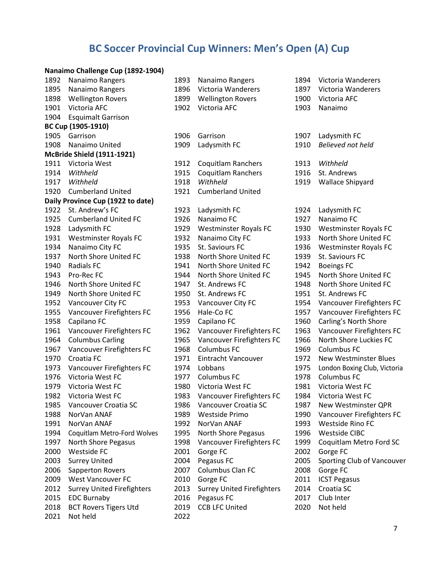## **BC Soccer Provincial Cup Winners: Men's Open (A) Cup**

#### **Nanaimo Challenge Cup (1892-1904)**

| 1892 | Nanaimo Rangers                   | 1893 | Nanaimo Rangers                   | 1894 | Victoria Wanderers           |
|------|-----------------------------------|------|-----------------------------------|------|------------------------------|
| 1895 | Nanaimo Rangers                   | 1896 | Victoria Wanderers                | 1897 | Victoria Wanderers           |
| 1898 | <b>Wellington Rovers</b>          | 1899 | <b>Wellington Rovers</b>          | 1900 | Victoria AFC                 |
| 1901 | Victoria AFC                      | 1902 | Victoria AFC                      | 1903 | Nanaimo                      |
| 1904 | <b>Esquimalt Garrison</b>         |      |                                   |      |                              |
|      | BC Cup (1905-1910)                |      |                                   |      |                              |
| 1905 | Garrison                          | 1906 | Garrison                          | 1907 | Ladysmith FC                 |
| 1908 | Nanaimo United                    | 1909 | Ladysmith FC                      | 1910 | Believed not held            |
|      | <b>McBride Shield (1911-1921)</b> |      |                                   |      |                              |
| 1911 | Victoria West                     | 1912 | <b>Coquitlam Ranchers</b>         | 1913 | Withheld                     |
| 1914 | Withheld                          | 1915 | <b>Coquitlam Ranchers</b>         | 1916 | St. Andrews                  |
| 1917 | Withheld                          | 1918 | Withheld                          | 1919 | <b>Wallace Shipyard</b>      |
| 1920 | <b>Cumberland United</b>          | 1921 | <b>Cumberland United</b>          |      |                              |
|      | Daily Province Cup (1922 to date) |      |                                   |      |                              |
| 1922 | St. Andrew's FC                   | 1923 | Ladysmith FC                      | 1924 | Ladysmith FC                 |
| 1925 | <b>Cumberland United FC</b>       | 1926 | Nanaimo FC                        | 1927 | Nanaimo FC                   |
| 1928 | Ladysmith FC                      | 1929 | <b>Westminster Royals FC</b>      | 1930 | <b>Westminster Royals FC</b> |
| 1931 | <b>Westminster Royals FC</b>      | 1932 | Nanaimo City FC                   | 1933 | North Shore United FC        |
| 1934 | Nanaimo City FC                   | 1935 | St. Saviours FC                   | 1936 | <b>Westminster Royals FC</b> |
| 1937 | North Shore United FC             | 1938 | North Shore United FC             | 1939 | St. Saviours FC              |
| 1940 | <b>Radials FC</b>                 | 1941 | North Shore United FC             | 1942 | <b>Boeings FC</b>            |
| 1943 | Pro-Rec FC                        | 1944 | North Shore United FC             | 1945 | North Shore United FC        |
| 1946 | North Shore United FC             | 1947 | St. Andrews FC                    | 1948 | North Shore United FC        |
| 1949 | North Shore United FC             | 1950 | St. Andrews FC                    | 1951 | St. Andrews FC               |
| 1952 | Vancouver City FC                 | 1953 | Vancouver City FC                 | 1954 | Vancouver Firefighters FC    |
| 1955 | Vancouver Firefighters FC         | 1956 | Hale-Co FC                        | 1957 | Vancouver Firefighters FC    |
| 1958 | Capilano FC                       | 1959 | Capilano FC                       | 1960 | Carling's North Shore        |
| 1961 | Vancouver Firefighters FC         | 1962 | Vancouver Firefighters FC         | 1963 | Vancouver Firefighters FC    |
| 1964 | <b>Columbus Carling</b>           | 1965 | Vancouver Firefighters FC         | 1966 | North Shore Luckies FC       |
| 1967 | Vancouver Firefighters FC         | 1968 | Columbus FC                       | 1969 | Columbus FC                  |
| 1970 | Croatia FC                        | 1971 | Eintracht Vancouver               | 1972 | <b>New Westminster Blues</b> |
| 1973 | Vancouver Firefighters FC         | 1974 | Lobbans                           | 1975 | London Boxing Club, Victoria |
| 1976 | Victoria West FC                  | 1977 | Columbus FC                       | 1978 | <b>Columbus FC</b>           |
| 1979 | Victoria West FC                  | 1980 | Victoria West FC                  | 1981 | Victoria West FC             |
| 1982 | Victoria West FC                  | 1983 | Vancouver Firefighters FC         | 1984 | Victoria West FC             |
| 1985 | Vancouver Croatia SC              | 1986 | Vancouver Croatia SC              | 1987 | New Westminster QPR          |
| 1988 | NorVan ANAF                       | 1989 | Westside Primo                    | 1990 | Vancouver Firefighters FC    |
| 1991 | NorVan ANAF                       | 1992 | NorVan ANAF                       | 1993 | Westside Rino FC             |
| 1994 | Coquitlam Metro-Ford Wolves       | 1995 | North Shore Pegasus               | 1996 | <b>Westside CIBC</b>         |
| 1997 | North Shore Pegasus               | 1998 | Vancouver Firefighters FC         | 1999 | Coquitlam Metro Ford SC      |
| 2000 | Westside FC                       | 2001 | Gorge FC                          | 2002 | Gorge FC                     |
| 2003 | <b>Surrey United</b>              | 2004 | Pegasus FC                        | 2005 | Sporting Club of Vancouver   |
| 2006 | Sapperton Rovers                  | 2007 | Columbus Clan FC                  | 2008 | Gorge FC                     |
| 2009 | <b>West Vancouver FC</b>          | 2010 | Gorge FC                          | 2011 | <b>ICST Pegasus</b>          |
| 2012 | <b>Surrey United Firefighters</b> | 2013 | <b>Surrey United Firefighters</b> | 2014 | Croatia SC                   |
| 2015 | <b>EDC Burnaby</b>                | 2016 | Pegasus FC                        | 2017 | Club Inter                   |
| 2018 | <b>BCT Rovers Tigers Utd</b>      | 2019 | <b>CCB LFC United</b>             | 2020 | Not held                     |
| 2021 | Not held                          | 2022 |                                   |      |                              |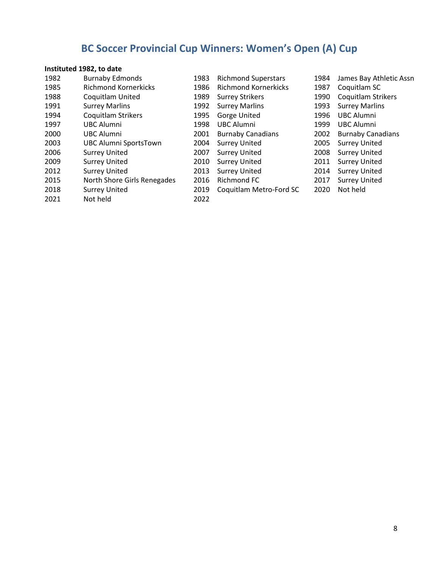## **BC Soccer Provincial Cup Winners: Women's Open (A) Cup**

### **Instituted 1982, to date**

| 1982 | <b>Burnaby Edmonds</b>       | 1983 | <b>Richmond Superstars</b>  | 1984 | James Bay Athletic Assn   |
|------|------------------------------|------|-----------------------------|------|---------------------------|
| 1985 | <b>Richmond Kornerkicks</b>  | 1986 | <b>Richmond Kornerkicks</b> | 1987 | Coquitlam SC              |
| 1988 | <b>Coquitlam United</b>      | 1989 | <b>Surrey Strikers</b>      | 1990 | <b>Coquitlam Strikers</b> |
| 1991 | <b>Surrey Marlins</b>        | 1992 | <b>Surrey Marlins</b>       | 1993 | <b>Surrey Marlins</b>     |
| 1994 | Coquitlam Strikers           | 1995 | Gorge United                | 1996 | <b>UBC Alumni</b>         |
| 1997 | <b>UBC Alumni</b>            | 1998 | <b>UBC Alumni</b>           | 1999 | <b>UBC Alumni</b>         |
| 2000 | <b>UBC Alumni</b>            | 2001 | <b>Burnaby Canadians</b>    | 2002 | <b>Burnaby Canadians</b>  |
| 2003 | <b>UBC Alumni SportsTown</b> | 2004 | <b>Surrey United</b>        | 2005 | <b>Surrey United</b>      |
| 2006 | <b>Surrey United</b>         | 2007 | <b>Surrey United</b>        | 2008 | <b>Surrey United</b>      |
| 2009 | <b>Surrey United</b>         | 2010 | <b>Surrey United</b>        | 2011 | <b>Surrey United</b>      |
| 2012 | <b>Surrey United</b>         | 2013 | <b>Surrey United</b>        | 2014 | <b>Surrey United</b>      |
| 2015 | North Shore Girls Renegades  | 2016 | Richmond FC                 | 2017 | <b>Surrey United</b>      |
| 2018 | <b>Surrey United</b>         | 2019 | Coquitlam Metro-Ford SC     | 2020 | Not held                  |
| 2021 | Not held                     | 2022 |                             |      |                           |
|      |                              |      |                             |      |                           |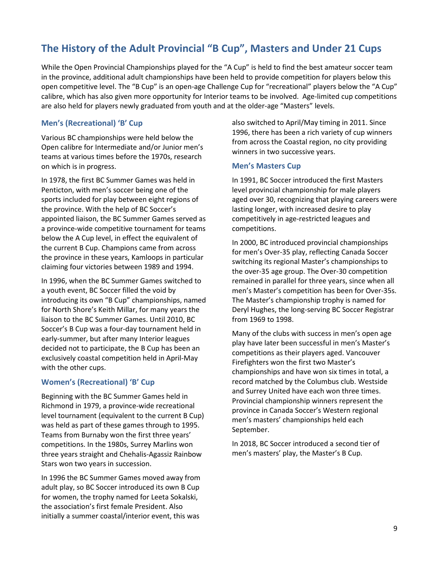### **The History of the Adult Provincial "B Cup", Masters and Under 21 Cups**

While the Open Provincial Championships played for the "A Cup" is held to find the best amateur soccer team in the province, additional adult championships have been held to provide competition for players below this open competitive level. The "B Cup" is an open-age Challenge Cup for "recreational" players below the "A Cup" calibre, which has also given more opportunity for Interior teams to be involved. Age-limited cup competitions are also held for players newly graduated from youth and at the older-age "Masters" levels.

#### **Men's (Recreational) 'B' Cup**

Various BC championships were held below the Open calibre for Intermediate and/or Junior men's teams at various times before the 1970s, research on which is in progress.

In 1978, the first BC Summer Games was held in Penticton, with men's soccer being one of the sports included for play between eight regions of the province. With the help of BC Soccer's appointed liaison, the BC Summer Games served as a province-wide competitive tournament for teams below the A Cup level, in effect the equivalent of the current B Cup. Champions came from across the province in these years, Kamloops in particular claiming four victories between 1989 and 1994.

In 1996, when the BC Summer Games switched to a youth event, BC Soccer filled the void by introducing its own "B Cup" championships, named for North Shore's Keith Millar, for many years the liaison to the BC Summer Games. Until 2010, BC Soccer's B Cup was a four-day tournament held in early-summer, but after many Interior leagues decided not to participate, the B Cup has been an exclusively coastal competition held in April-May with the other cups.

#### **Women's (Recreational) 'B' Cup**

Beginning with the BC Summer Games held in Richmond in 1979, a province-wide recreational level tournament (equivalent to the current B Cup) was held as part of these games through to 1995. Teams from Burnaby won the first three years' competitions. In the 1980s, Surrey Marlins won three years straight and Chehalis-Agassiz Rainbow Stars won two years in succession.

In 1996 the BC Summer Games moved away from adult play, so BC Soccer introduced its own B Cup for women, the trophy named for Leeta Sokalski, the association's first female President. Also initially a summer coastal/interior event, this was

also switched to April/May timing in 2011. Since 1996, there has been a rich variety of cup winners from across the Coastal region, no city providing winners in two successive years.

#### **Men's Masters Cup**

In 1991, BC Soccer introduced the first Masters level provincial championship for male players aged over 30, recognizing that playing careers were lasting longer, with increased desire to play competitively in age-restricted leagues and competitions.

In 2000, BC introduced provincial championships for men's Over-35 play, reflecting Canada Soccer switching its regional Master's championships to the over-35 age group. The Over-30 competition remained in parallel for three years, since when all men's Master's competition has been for Over-35s. The Master's championship trophy is named for Deryl Hughes, the long-serving BC Soccer Registrar from 1969 to 1998.

Many of the clubs with success in men's open age play have later been successful in men's Master's competitions as their players aged. Vancouver Firefighters won the first two Master's championships and have won six times in total, a record matched by the Columbus club. Westside and Surrey United have each won three times. Provincial championship winners represent the province in Canada Soccer's Western regional men's masters' championships held each September.

In 2018, BC Soccer introduced a second tier of men's masters' play, the Master's B Cup.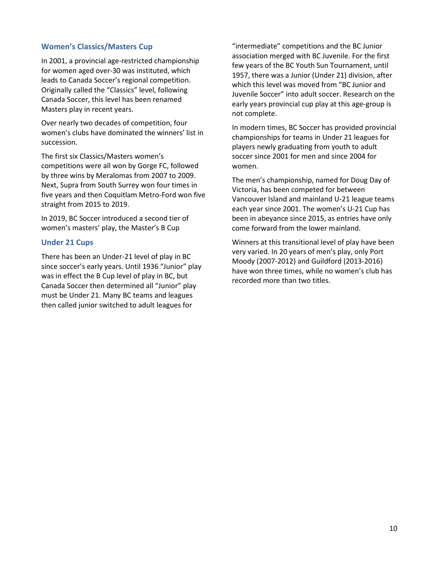#### **Women's Classics/Masters Cup**

In 2001, a provincial age-restricted championship for women aged over-30 was instituted, which leads to Canada Soccer's regional competition. Originally called the "Classics" level, following Canada Soccer, this level has been renamed Masters play in recent years.

Over nearly two decades of competition, four women's clubs have dominated the winners' list in succession.

The first six Classics/Masters women's competitions were all won by Gorge FC, followed by three wins by Meralomas from 2007 to 2009. Next, Supra from South Surrey won four times in five years and then Coquitlam Metro-Ford won five straight from 2015 to 2019.

In 2019, BC Soccer introduced a second tier of women's masters' play, the Master's B Cup

#### **Under 21 Cups**

There has been an Under-21 level of play in BC since soccer's early years. Until 1936 "Junior" play was in effect the B Cup level of play in BC, but Canada Soccer then determined all "Junior" play must be Under 21. Many BC teams and leagues then called junior switched to adult leagues for

"intermediate" competitions and the BC Junior association merged with BC Juvenile. For the first few years of the BC Youth Sun Tournament, until 1957, there was a Junior (Under 21) division, after which this level was moved from "BC Junior and Juvenile Soccer" into adult soccer. Research on the early years provincial cup play at this age-group is not complete.

In modern times, BC Soccer has provided provincial championships for teams in Under 21 leagues for players newly graduating from youth to adult soccer since 2001 for men and since 2004 for women.

The men's championship, named for Doug Day of Victoria, has been competed for between Vancouver Island and mainland U-21 league teams each year since 2001. The women's U-21 Cup has been in abeyance since 2015, as entries have only come forward from the lower mainland.

Winners at this transitional level of play have been very varied. In 20 years of men's play, only Port Moody (2007-2012) and Guildford (2013-2016) have won three times, while no women's club has recorded more than two titles.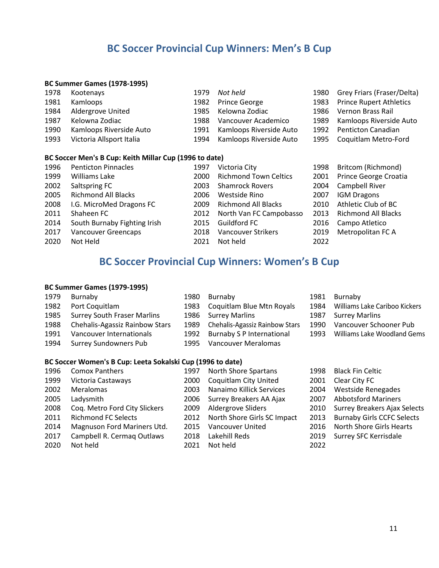### **BC Soccer Provincial Cup Winners: Men's B Cup**

#### **BC Summer Games (1978-1995)**

| 1978<br>1981<br>1984<br>1987<br>1990<br>1993 | Kootenays<br>Kamloops<br>Aldergrove United<br>Kelowna Zodiac<br>Kamloops Riverside Auto<br>Victoria Allsport Italia | 1979<br>1982<br>1985<br>1988<br>1991<br>1994 | Not held<br><b>Prince George</b><br>Kelowna Zodiac<br>Vancouver Academico<br>Kamloops Riverside Auto<br>Kamloops Riverside Auto | 1980<br>1983<br>1986<br>1989<br>1992<br>1995 | Grey Friars (Fraser/Delta)<br><b>Prince Rupert Athletics</b><br>Vernon Brass Rail<br>Kamloops Riverside Auto<br>Penticton Canadian<br>Coquitlam Metro-Ford |
|----------------------------------------------|---------------------------------------------------------------------------------------------------------------------|----------------------------------------------|---------------------------------------------------------------------------------------------------------------------------------|----------------------------------------------|------------------------------------------------------------------------------------------------------------------------------------------------------------|
|                                              | BC Soccer Men's B Cup: Keith Millar Cup (1996 to date)                                                              |                                              |                                                                                                                                 |                                              |                                                                                                                                                            |
| 1996                                         | <b>Penticton Pinnacles</b>                                                                                          | 1997                                         | Victoria City                                                                                                                   | 1998                                         | Britcom (Richmond)                                                                                                                                         |
| 1999                                         | <b>Williams Lake</b>                                                                                                | 2000                                         | <b>Richmond Town Celtics</b>                                                                                                    | 2001                                         | Prince George Croatia                                                                                                                                      |
| 2002                                         | Saltspring FC                                                                                                       | 2003                                         | <b>Shamrock Rovers</b>                                                                                                          | 2004                                         | Campbell River                                                                                                                                             |
| 2005                                         | <b>Richmond All Blacks</b>                                                                                          | 2006                                         | Westside Rino                                                                                                                   | 2007                                         | <b>IGM Dragons</b>                                                                                                                                         |
| 2008                                         | I.G. MicroMed Dragons FC                                                                                            | 2009                                         | <b>Richmond All Blacks</b>                                                                                                      | 2010                                         | Athletic Club of BC                                                                                                                                        |
| 2011                                         | Shaheen FC                                                                                                          | 2012                                         | North Van FC Campobasso                                                                                                         | 2013                                         | <b>Richmond All Blacks</b>                                                                                                                                 |
| 2014                                         | South Burnaby Fighting Irish                                                                                        | 2015                                         | Guildford FC                                                                                                                    | 2016                                         | Campo Atletico                                                                                                                                             |
| 2017                                         | Vancouver Greencaps                                                                                                 | 2018                                         | <b>Vancouver Strikers</b>                                                                                                       | 2019                                         | Metropolitan FC A                                                                                                                                          |
| 2020                                         | Not Held                                                                                                            | 2021                                         | Not held                                                                                                                        | 2022                                         |                                                                                                                                                            |

### **BC Soccer Provincial Cup Winners: Women's B Cup**

#### **BC Summer Games (1979-1995)**

| 1979 | Burnaby                                                    | 1980 | Burnaby                          | 1981 | Burnaby                       |  |  |  |
|------|------------------------------------------------------------|------|----------------------------------|------|-------------------------------|--|--|--|
| 1982 | Port Coquitlam                                             | 1983 | Coquitlam Blue Mtn Royals        | 1984 | Williams Lake Cariboo Kickers |  |  |  |
| 1985 | <b>Surrey South Fraser Marlins</b>                         |      | 1986 Surrey Marlins              | 1987 | <b>Surrey Marlins</b>         |  |  |  |
| 1988 | Chehalis-Agassiz Rainbow Stars                             | 1989 | Chehalis-Agassiz Rainbow Stars   | 1990 | Vancouver Schooner Pub        |  |  |  |
| 1991 | Vancouver Internationals                                   | 1992 | <b>Burnaby S P International</b> | 1993 | Williams Lake Woodland Gems   |  |  |  |
| 1994 | <b>Surrey Sundowners Pub</b>                               | 1995 | Vancouver Meralomas              |      |                               |  |  |  |
|      |                                                            |      |                                  |      |                               |  |  |  |
|      | BC Soccer Women's B Cup: Leeta Sokalski Cup (1996 to date) |      |                                  |      |                               |  |  |  |

| 1996 | <b>Comox Panthers</b>         | 1997 | North Shore Spartans         | 1998 | <b>Black Fin Celtic</b>           |
|------|-------------------------------|------|------------------------------|------|-----------------------------------|
| 1999 | Victoria Castaways            | 2000 | <b>Coquitlam City United</b> | 2001 | Clear City FC                     |
| 2002 | Meralomas                     | 2003 | Nanaimo Killick Services     | 2004 | <b>Westside Renegades</b>         |
| 2005 | Ladysmith                     | 2006 | Surrey Breakers AA Ajax      | 2007 | <b>Abbotsford Mariners</b>        |
| 2008 | Cog. Metro Ford City Slickers | 2009 | <b>Aldergrove Sliders</b>    | 2010 | Surrey Breakers Ajax Selects      |
| 2011 | <b>Richmond FC Selects</b>    | 2012 | North Shore Girls SC Impact  | 2013 | <b>Burnaby Girls CCFC Selects</b> |
| 2014 | Magnuson Ford Mariners Utd.   | 2015 | Vancouver United             | 2016 | <b>North Shore Girls Hearts</b>   |
| 2017 | Campbell R. Cermag Outlaws    | 2018 | Lakehill Reds                |      | 2019 Surrey SFC Kerrisdale        |
| 2020 | Not held                      | 2021 | Not held                     | 2022 |                                   |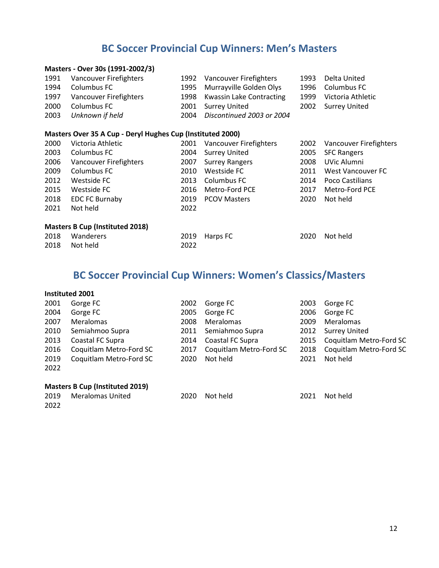### **BC Soccer Provincial Cup Winners: Men's Masters**

#### **Masters - Over 30s (1991-2002/3)**

| 1991 | Vancouver Firefighters                                     | 1992 | Vancouver Firefighters          | 1993 | Delta United             |  |  |  |
|------|------------------------------------------------------------|------|---------------------------------|------|--------------------------|--|--|--|
| 1994 | Columbus FC                                                | 1995 | Murrayville Golden Olys         | 1996 | Columbus FC              |  |  |  |
| 1997 | Vancouver Firefighters                                     | 1998 | <b>Kwassin Lake Contracting</b> | 1999 | Victoria Athletic        |  |  |  |
| 2000 | Columbus FC                                                | 2001 | <b>Surrey United</b>            | 2002 | <b>Surrey United</b>     |  |  |  |
| 2003 | Unknown if held                                            | 2004 | Discontinued 2003 or 2004       |      |                          |  |  |  |
|      |                                                            |      |                                 |      |                          |  |  |  |
|      | Masters Over 35 A Cup - Deryl Hughes Cup (Instituted 2000) |      |                                 |      |                          |  |  |  |
| 2000 | Victoria Athletic                                          | 2001 | Vancouver Firefighters          | 2002 | Vancouver Firefighters   |  |  |  |
| 2003 | Columbus FC                                                | 2004 | <b>Surrey United</b>            | 2005 | <b>SFC Rangers</b>       |  |  |  |
| 2006 | Vancouver Firefighters                                     | 2007 | <b>Surrey Rangers</b>           | 2008 | UVic Alumni              |  |  |  |
| 2009 | Columbus FC                                                | 2010 | Westside FC                     | 2011 | <b>West Vancouver FC</b> |  |  |  |
| 2012 | Westside FC                                                | 2013 | Columbus FC                     | 2014 | Poco Castilians          |  |  |  |
| 2015 | Westside FC                                                | 2016 | Metro-Ford PCE                  | 2017 | Metro-Ford PCE           |  |  |  |
| 2018 | <b>EDC FC Burnaby</b>                                      | 2019 | <b>PCOV Masters</b>             | 2020 | Not held                 |  |  |  |
| 2021 | Not held                                                   | 2022 |                                 |      |                          |  |  |  |
|      | <b>Masters B Cup (Instituted 2018)</b>                     |      |                                 |      |                          |  |  |  |

| 2018 Wanderers |      | 2019 Harps FC | 2020 Not held |
|----------------|------|---------------|---------------|
| 2018 Not held  | 2022 |               |               |

### **BC Soccer Provincial Cup Winners: Women's Classics/Masters**

#### **Instituted 2001**

| 2001 | Gorge FC                | 2002 | Gorge FC                | 2003 | Gorge FC                     |
|------|-------------------------|------|-------------------------|------|------------------------------|
| 2004 | Gorge FC                | 2005 | Gorge FC                | 2006 | Gorge FC                     |
| 2007 | Meralomas               | 2008 | Meralomas               | 2009 | Meralomas                    |
| 2010 | Semiahmoo Supra         | 2011 | Semiahmoo Supra         |      | 2012 Surrey United           |
| 2013 | Coastal FC Supra        |      | 2014 Coastal FC Supra   |      | 2015 Coquitlam Metro-Ford SC |
| 2016 | Coquitlam Metro-Ford SC | 2017 | Coquitlam Metro-Ford SC | 2018 | Coquitlam Metro-Ford SC      |
| 2019 | Coquitlam Metro-Ford SC | 2020 | Not held                | 2021 | Not held                     |
| 2022 |                         |      |                         |      |                              |
|      |                         |      |                         |      |                              |

#### **Masters B Cup (Instituted 2019)**

Meralomas United 2020 Not held 2021 Not held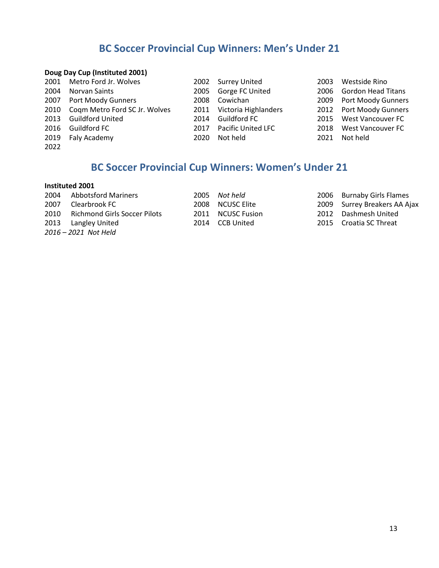### **BC Soccer Provincial Cup Winners: Men's Under 21**

#### **Doug Day Cup (Instituted 2001)**

|      | 2001 Metro Ford Jr. Wolves         |      | 2002 Surrey United        | 2003 | Westside Rino           |
|------|------------------------------------|------|---------------------------|------|-------------------------|
| 2004 | Norvan Saints                      |      | 2005 Gorge FC United      |      | 2006 Gordon Head Titans |
|      | 2007 Port Moody Gunners            | 2008 | Cowichan                  |      | 2009 Port Moody Gunners |
|      | 2010 Coqm Metro Ford SC Jr. Wolves |      | 2011 Victoria Highlanders |      | 2012 Port Moody Gunners |
|      | 2013 Guildford United              | 2014 | Guildford FC              |      | 2015 West Vancouver FC  |
|      | 2016 Guildford FC                  | 2017 | <b>Pacific United LFC</b> | 2018 | West Vancouver FC       |
|      | 2019 Faly Academy                  | 2020 | Not held                  | 2021 | Not held                |
| 2022 |                                    |      |                           |      |                         |

### **BC Soccer Provincial Cup Winners: Women's Under 21**

#### **Instituted 2001**

2004 Abbotsford Mariners 2005 *Not held* 2006 Burnaby Girls Flames 2007 Clearbrook FC 2008 NCUSC Elite 2009 Surrey Breakers AA Ajax<br>2010 Richmond Girls Soccer Pilots 2011 NCUSC Fusion 2012 Dashmesh United 2010 Richmond Girls Soccer Pilots 2011 NCUSC Fusion 2012 Dashmesh United<br>2013 Langley United 2014 CCB United 2015 Croatia SC Threat 2013 Langley United *2016 – 2021 Not Held*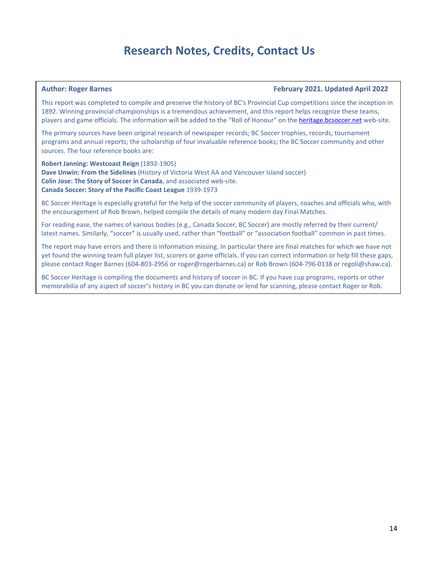### **Research Notes, Credits, Contact Us**

#### **Author: Roger Barnes February 2021. Updated April 2022**

This report was completed to compile and preserve the history of BC's Provincial Cup competitions since the inception in 1892. Winning provincial championships is a tremendous achievement, and this report helps recognize these teams, players and game officials. The information will be added to the "Roll of Honour" on the [heritage.bcsoccer.net](https://heritage.bcsoccer.net/) web-site.

The primary sources have been original research of newspaper records; BC Soccer trophies, records, tournament programs and annual reports; the scholarship of four invaluable reference books; the BC Soccer community and other sources. The four reference books are:

**Robert Janning: Westcoast Reign** (1892-1905) **Dave Unwin: From the Sidelines** (History of Victoria West AA and Vancouver Island soccer) **Colin Jose: The Story of Soccer in Canada**, and associated web-site. **Canada Soccer: Story of the Pacific Coast League** 1939-1973

BC Soccer Heritage is especially grateful for the help of the soccer community of players, coaches and officials who, with the encouragement of Rob Brown, helped compile the details of many modern day Final Matches.

For reading ease, the names of various bodies (e.g., Canada Soccer, BC Soccer) are mostly referred by their current/ latest names. Similarly, "soccer" is usually used, rather than "football" or "association football" common in past times.

The report may have errors and there is information missing. In particular there are final matches for which we have not yet found the winning team full player list, scorers or game officials. If you can correct information or help fill these gaps, please contact Roger Barnes (604-803-2956 or roger@rogerbarnes.ca) or Rob Brown (604-796-0138 or regoli@shaw.ca).

BC Soccer Heritage is compiling the documents and history of soccer in BC. If you have cup programs, reports or other memorabilia of any aspect of soccer's history in BC you can donate or lend for scanning, please contact Roger or Rob.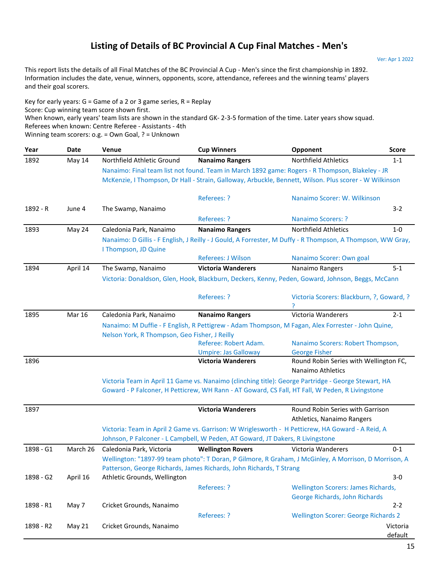### **Listing of Details of BC Provincial A Cup Final Matches - Men's**

Ver: Apr 1 2022

This report lists the details of all Final Matches of the BC Provincial A Cup - Men's since the first championship in 1892. Information includes the date, venue, winners, opponents, score, attendance, referees and the winning teams' players and their goal scorers.

Key for early years:  $G =$  Game of a 2 or 3 game series,  $R =$  Replay When known, early years' team lists are shown in the standard GK- 2-3-5 formation of the time. Later years show squad. Winning team scorers: o.g. = Own Goal, ? = Unknown Score: Cup winning team score shown first. Referees when known: Centre Referee - Assistants - 4th

| Year      | Date          | Venue                                         | <b>Cup Winners</b>                                                             | Opponent                                                                                                   | <b>Score</b> |
|-----------|---------------|-----------------------------------------------|--------------------------------------------------------------------------------|------------------------------------------------------------------------------------------------------------|--------------|
| 1892      | May 14        | Northfield Athletic Ground                    | <b>Nanaimo Rangers</b>                                                         | Northfield Athletics                                                                                       | $1 - 1$      |
|           |               |                                               |                                                                                | Nanaimo: Final team list not found. Team in March 1892 game: Rogers - R Thompson, Blakeley - JR            |              |
|           |               |                                               |                                                                                | McKenzie, I Thompson, Dr Hall - Strain, Galloway, Arbuckle, Bennett, Wilson. Plus scorer - W Wilkinson     |              |
|           |               |                                               | Referees: ?                                                                    | Nanaimo Scorer: W. Wilkinson                                                                               |              |
| 1892 - R  | June 4        | The Swamp, Nanaimo                            |                                                                                |                                                                                                            | $3-2$        |
|           |               |                                               | <b>Referees: ?</b>                                                             | <b>Nanaimo Scorers: ?</b>                                                                                  |              |
| 1893      | May 24        | Caledonia Park, Nanaimo                       | <b>Nanaimo Rangers</b>                                                         | <b>Northfield Athletics</b>                                                                                | $1-0$        |
|           |               |                                               |                                                                                | Nanaimo: D Gillis - F English, J Reilly - J Gould, A Forrester, M Duffy - R Thompson, A Thompson, WW Gray, |              |
|           |               | I Thompson, JD Quine                          |                                                                                |                                                                                                            |              |
|           |               |                                               | <b>Referees: J Wilson</b>                                                      | Nanaimo Scorer: Own goal                                                                                   |              |
| 1894      | April 14      | The Swamp, Nanaimo                            | <b>Victoria Wanderers</b>                                                      | Nanaimo Rangers                                                                                            | $5 - 1$      |
|           |               |                                               |                                                                                | Victoria: Donaldson, Glen, Hook, Blackburn, Deckers, Kenny, Peden, Goward, Johnson, Beggs, McCann          |              |
|           |               |                                               | Referees: ?                                                                    | Victoria Scorers: Blackburn, ?, Goward, ?                                                                  |              |
|           |               |                                               |                                                                                |                                                                                                            |              |
| 1895      | <b>Mar 16</b> | Caledonia Park, Nanaimo                       | <b>Nanaimo Rangers</b>                                                         | Victoria Wanderers                                                                                         | $2 - 1$      |
|           |               |                                               |                                                                                | Nanaimo: M Duffie - F English, R Pettigrew - Adam Thompson, M Fagan, Alex Forrester - John Quine,          |              |
|           |               | Nelson York, R Thompson, Geo Fisher, J Reilly |                                                                                |                                                                                                            |              |
|           |               |                                               | Referee: Robert Adam.                                                          | Nanaimo Scorers: Robert Thompson,                                                                          |              |
|           |               |                                               | <b>Umpire: Jas Galloway</b>                                                    | <b>George Fisher</b>                                                                                       |              |
| 1896      |               |                                               | <b>Victoria Wanderers</b>                                                      | Round Robin Series with Wellington FC,<br>Nanaimo Athletics                                                |              |
|           |               |                                               |                                                                                | Victoria Team in April 11 Game vs. Nanaimo (clinching title): George Partridge - George Stewart, HA        |              |
|           |               |                                               |                                                                                | Goward - P Falconer, H Petticrew, WH Rann - AT Goward, CS Fall, HT Fall, W Peden, R Livingstone            |              |
| 1897      |               |                                               | <b>Victoria Wanderers</b>                                                      | Round Robin Series with Garrison                                                                           |              |
|           |               |                                               |                                                                                | Athletics, Nanaimo Rangers                                                                                 |              |
|           |               |                                               |                                                                                | Victoria: Team in April 2 Game vs. Garrison: W Wriglesworth - H Petticrew, HA Goward - A Reid, A           |              |
|           |               |                                               | Johnson, P Falconer - L Campbell, W Peden, AT Goward, JT Dakers, R Livingstone |                                                                                                            |              |
| 1898 - G1 | March 26      | Caledonia Park, Victoria                      | <b>Wellington Rovers</b>                                                       | Victoria Wanderers                                                                                         | $0 - 1$      |
|           |               |                                               |                                                                                | Wellington: "1897-99 team photo": T Doran, P Gilmore, R Graham, J McGinley, A Morrison, D Morrison, A      |              |
|           |               |                                               | Patterson, George Richards, James Richards, John Richards, T Strang            |                                                                                                            |              |
| 1898 - G2 | April 16      | Athletic Grounds, Wellington                  |                                                                                |                                                                                                            | $3-0$        |
|           |               |                                               | Referees: ?                                                                    | <b>Wellington Scorers: James Richards,</b>                                                                 |              |
|           |               |                                               |                                                                                | George Richards, John Richards                                                                             |              |
| 1898 - R1 | May 7         | Cricket Grounds, Nanaimo                      |                                                                                |                                                                                                            | $2 - 2$      |
|           |               |                                               | Referees: ?                                                                    | <b>Wellington Scorer: George Richards 2</b>                                                                |              |
| 1898 - R2 | May 21        | Cricket Grounds, Nanaimo                      |                                                                                |                                                                                                            | Victoria     |
|           |               |                                               |                                                                                |                                                                                                            | default      |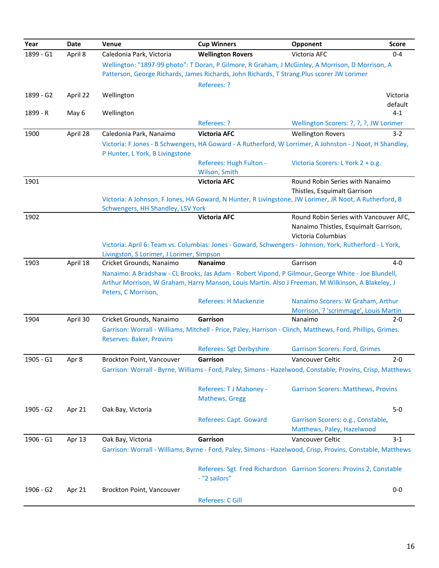| Year      | Date     | Venue                                     | <b>Cup Winners</b>                                                                                                                                                                                      | Opponent                                   | <b>Score</b> |
|-----------|----------|-------------------------------------------|---------------------------------------------------------------------------------------------------------------------------------------------------------------------------------------------------------|--------------------------------------------|--------------|
| 1899 - G1 | April 8  | Caledonia Park, Victoria                  | <b>Wellington Rovers</b>                                                                                                                                                                                | Victoria AFC                               | $0 - 4$      |
|           |          |                                           | Wellington: "1897-99 photo": T Doran, P Gilmore, R Graham, J McGinley, A Morrison, D Morrison, A                                                                                                        |                                            |              |
|           |          |                                           | Patterson, George Richards, James Richards, John Richards, T Strang. Plus scorer JW Lorimer                                                                                                             |                                            |              |
|           |          |                                           | Referees: ?                                                                                                                                                                                             |                                            |              |
| 1899 - G2 | April 22 | Wellington                                |                                                                                                                                                                                                         |                                            | Victoria     |
|           |          |                                           |                                                                                                                                                                                                         |                                            | default      |
| 1899 - R  | May 6    | Wellington                                |                                                                                                                                                                                                         |                                            | $4 - 1$      |
|           |          |                                           | Referees: ?                                                                                                                                                                                             | Wellington Scorers: ?, ?, ?, JW Lorimer    |              |
| 1900      | April 28 | Caledonia Park, Nanaimo                   | <b>Victoria AFC</b>                                                                                                                                                                                     | <b>Wellington Rovers</b>                   | $3 - 2$      |
|           |          | P Hunter, L York, B Livingstone           | Victoria: F Jones - B Schwengers, HA Goward - A Rutherford, W Lorrimer, A Johnston - J Noot, H Shandley,                                                                                                |                                            |              |
|           |          |                                           | Referees: Hugh Fulton -                                                                                                                                                                                 | Victoria Scorers: L York 2 + o.g.          |              |
|           |          |                                           | Wilson, Smith                                                                                                                                                                                           |                                            |              |
| 1901      |          |                                           | <b>Victoria AFC</b>                                                                                                                                                                                     | Round Robin Series with Nanaimo            |              |
|           |          |                                           |                                                                                                                                                                                                         | Thistles, Esquimalt Garrison               |              |
|           |          | Schwengers, HH Shandley, LSV York         | Victoria: A Johnson, F Jones, HA Goward, N Hunter, R Livingstone, JW Lorimer, JR Noot, A Rutherford, B                                                                                                  |                                            |              |
| 1902      |          |                                           | <b>Victoria AFC</b>                                                                                                                                                                                     | Round Robin Series with Vancouver AFC,     |              |
|           |          |                                           |                                                                                                                                                                                                         | Nanaimo Thistles, Esquimalt Garrison,      |              |
|           |          |                                           |                                                                                                                                                                                                         | Victoria Columbias                         |              |
|           |          |                                           | Victoria: April 6: Team vs. Columbias: Jones - Goward, Schwengers - Johnson, York, Rutherford - L York,                                                                                                 |                                            |              |
|           |          | Livingston, S Lorimer, J Lorimer, Simpson |                                                                                                                                                                                                         |                                            |              |
| 1903      | April 18 | Cricket Grounds, Nanaimo                  | Nanaimo                                                                                                                                                                                                 | Garrison                                   | $4 - 0$      |
|           |          |                                           | Nanaimo: A Bradshaw - CL Brooks, Jas Adam - Robert Vipond, P Gilmour, George White - Joe Blundell,<br>Arthur Morrison, W Graham, Harry Manson, Louis Martin. Also J Freeman, M Wilkinson, A Blakeley, J |                                            |              |
|           |          | Peters, C Morrison,                       |                                                                                                                                                                                                         |                                            |              |
|           |          |                                           | <b>Referees: H Mackenzie</b>                                                                                                                                                                            | Nanaimo Scorers: W Graham, Arthur          |              |
|           |          |                                           |                                                                                                                                                                                                         | Morrison, ? 'scrimmage', Louis Martin      |              |
| 1904      | April 30 | Cricket Grounds, Nanaimo                  | Garrison                                                                                                                                                                                                | Nanaimo                                    | $2 - 0$      |
|           |          |                                           | Garrison: Worrall - Williams, Mitchell - Price, Paley, Harrison - Clinch, Matthews, Ford, Phillips, Grimes.                                                                                             |                                            |              |
|           |          | <b>Reserves: Baker, Provins</b>           | <b>Referees: Sgt Derbyshire</b>                                                                                                                                                                         | <b>Garrison Scorers: Ford, Grimes</b>      |              |
| 1905 - G1 |          | Brockton Point, Vancouver                 | Garrison                                                                                                                                                                                                | Vancouver Celtic                           | $2 - 0$      |
|           | Apr 8    |                                           | Garrison: Worrall - Byrne, Williams - Ford, Paley, Simons - Hazelwood, Constable, Provins, Crisp, Matthews                                                                                              |                                            |              |
|           |          |                                           |                                                                                                                                                                                                         |                                            |              |
|           |          |                                           | Referees: TJ Mahoney -                                                                                                                                                                                  | <b>Garrison Scorers: Matthews, Provins</b> |              |
|           |          |                                           | Mathews, Gregg                                                                                                                                                                                          |                                            |              |
| 1905 - G2 | Apr 21   | Oak Bay, Victoria                         |                                                                                                                                                                                                         |                                            | $5-0$        |
|           |          |                                           | Referees: Capt. Goward                                                                                                                                                                                  | Garrison Scorers: o.g., Constable,         |              |
|           |          |                                           |                                                                                                                                                                                                         | Matthews, Paley, Hazelwood                 |              |
| 1906 - G1 | Apr 13   | Oak Bay, Victoria                         | Garrison                                                                                                                                                                                                | Vancouver Celtic                           | $3 - 1$      |
|           |          |                                           | Garrison: Worrall - Williams, Byrne - Ford, Paley, Simons - Hazelwood, Crisp, Provins, Constable, Matthews                                                                                              |                                            |              |
|           |          |                                           | Referees: Sgt. Fred Richardson Garrison Scorers: Provins 2, Constable                                                                                                                                   |                                            |              |
|           |          |                                           | - "2 sailors"                                                                                                                                                                                           |                                            |              |
| 1906 - G2 | Apr 21   | Brockton Point, Vancouver                 |                                                                                                                                                                                                         |                                            | $0-0$        |
|           |          |                                           | Referees: C Gill                                                                                                                                                                                        |                                            |              |
|           |          |                                           |                                                                                                                                                                                                         |                                            |              |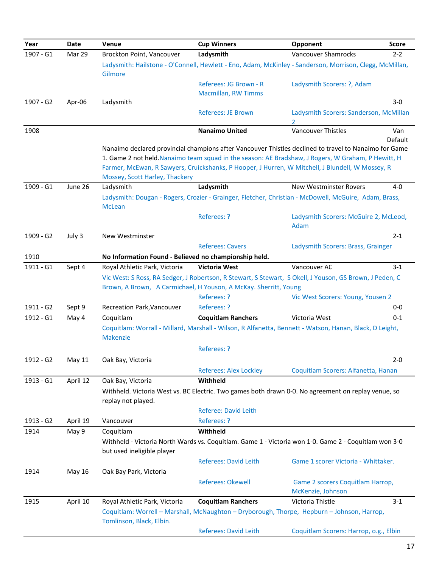| 1907 - G1<br>Mar 29<br>Brockton Point, Vancouver<br>Ladysmith<br>Vancouver Shamrocks<br>$2 - 2$<br>Ladysmith: Hailstone - O'Connell, Hewlett - Eno, Adam, McKinley - Sanderson, Morrison, Clegg, McMillan,<br>Gilmore<br>Referees: JG Brown - R<br>Ladysmith Scorers: ?, Adam<br>Macmillan, RW Timms<br>Ladysmith<br>$3 - 0$<br>1907 - G2<br>Apr-06<br><b>Referees: JE Brown</b><br>Ladysmith Scorers: Sanderson, McMillan<br>2<br>1908<br><b>Nanaimo United</b><br><b>Vancouver Thistles</b><br>Van<br>Default<br>Nanaimo declared provincial champions after Vancouver Thistles declined to travel to Nanaimo for Game<br>1. Game 2 not held. Nanaimo team squad in the season: AE Bradshaw, J Rogers, W Graham, P Hewitt, H<br>Farmer, McEwan, R Sawyers, Cruickshanks, P Hooper, J Hurren, W Mitchell, J Blundell, W Mossey, R<br>Mossey, Scott Harley, Thackery<br>1909 - G1<br>June 26<br>Ladysmith<br>Ladysmith<br>$4 - 0$<br><b>New Westminster Rovers</b><br>Ladysmith: Dougan - Rogers, Crozier - Grainger, Fletcher, Christian - McDowell, McGuire, Adam, Brass,<br><b>McLean</b><br>Referees: ?<br>Ladysmith Scorers: McGuire 2, McLeod,<br>Adam<br>July 3<br>$2 - 1$<br>1909 - G2<br>New Westminster<br><b>Referees: Cavers</b><br>Ladysmith Scorers: Brass, Grainger<br>No Information Found - Believed no championship held.<br>1910<br>1911 - G1<br>Royal Athletic Park, Victoria<br><b>Victoria West</b><br>Vancouver AC<br>Sept 4<br>$3 - 1$<br>Vic West: S Ross, RA Sedger, J Robertson, R Stewart, S Stewart, S Okell, J Youson, GS Brown, J Peden, C<br>Brown, A Brown, A Carmichael, H Youson, A McKay. Sherritt, Young<br>Referees: ?<br>Vic West Scorers: Young, Yousen 2<br>1911 - G2<br>Sept 9<br>Referees: ?<br>Recreation Park, Vancouver<br>$0-0$<br>1912 - G1<br>May 4<br>Coquitlam<br><b>Coquitlam Ranchers</b><br>Victoria West<br>$0 - 1$<br>Coquitlam: Worrall - Millard, Marshall - Wilson, R Alfanetta, Bennett - Watson, Hanan, Black, D Leight,<br><b>Makenzie</b><br>Referees: ?<br>Oak Bay, Victoria<br>$2 - 0$<br>1912 - G2<br>May 11<br><b>Referees: Alex Lockley</b><br>Coquitlam Scorers: Alfanetta, Hanan<br>1913 - G1<br>April 12<br>Withheld<br>Oak Bay, Victoria<br>Withheld. Victoria West vs. BC Electric. Two games both drawn 0-0. No agreement on replay venue, so<br>replay not played.<br><b>Referee: David Leith</b><br>Referees: ?<br>April 19<br>Vancouver<br>$1913 - G2$<br>Withheld<br>May 9<br>Coquitlam<br>1914<br>Withheld - Victoria North Wards vs. Coquitlam. Game 1 - Victoria won 1-0. Game 2 - Coquitlam won 3-0<br>but used ineligible player<br><b>Referees: David Leith</b><br>Game 1 scorer Victoria - Whittaker.<br>1914<br>May 16<br>Oak Bay Park, Victoria<br><b>Referees: Okewell</b><br>Game 2 scorers Coquitlam Harrop,<br>McKenzie, Johnson<br>April 10<br><b>Coquitlam Ranchers</b><br>Victoria Thistle<br>1915<br>Royal Athletic Park, Victoria<br>$3 - 1$<br>Coquitlam: Worrell - Marshall, McNaughton - Dryborough, Thorpe, Hepburn - Johnson, Harrop,<br>Tomlinson, Black, Elbin.<br><b>Referees: David Leith</b><br>Coquitlam Scorers: Harrop, o.g., Elbin | Year | <b>Date</b> | Venue | <b>Cup Winners</b> | Opponent | <b>Score</b> |
|--------------------------------------------------------------------------------------------------------------------------------------------------------------------------------------------------------------------------------------------------------------------------------------------------------------------------------------------------------------------------------------------------------------------------------------------------------------------------------------------------------------------------------------------------------------------------------------------------------------------------------------------------------------------------------------------------------------------------------------------------------------------------------------------------------------------------------------------------------------------------------------------------------------------------------------------------------------------------------------------------------------------------------------------------------------------------------------------------------------------------------------------------------------------------------------------------------------------------------------------------------------------------------------------------------------------------------------------------------------------------------------------------------------------------------------------------------------------------------------------------------------------------------------------------------------------------------------------------------------------------------------------------------------------------------------------------------------------------------------------------------------------------------------------------------------------------------------------------------------------------------------------------------------------------------------------------------------------------------------------------------------------------------------------------------------------------------------------------------------------------------------------------------------------------------------------------------------------------------------------------------------------------------------------------------------------------------------------------------------------------------------------------------------------------------------------------------------------------------------------------------------------------------------------------------------------------------------------------------------------------------------------------------------------------------------------------------------------------------------------------------------------------------------------------------------------------------------------------------------------------------------------------------------------------------------------------------------------------------------------------------------------------------------------------------------------------------------------------------------------------------------------------|------|-------------|-------|--------------------|----------|--------------|
|                                                                                                                                                                                                                                                                                                                                                                                                                                                                                                                                                                                                                                                                                                                                                                                                                                                                                                                                                                                                                                                                                                                                                                                                                                                                                                                                                                                                                                                                                                                                                                                                                                                                                                                                                                                                                                                                                                                                                                                                                                                                                                                                                                                                                                                                                                                                                                                                                                                                                                                                                                                                                                                                                                                                                                                                                                                                                                                                                                                                                                                                                                                                                  |      |             |       |                    |          |              |
|                                                                                                                                                                                                                                                                                                                                                                                                                                                                                                                                                                                                                                                                                                                                                                                                                                                                                                                                                                                                                                                                                                                                                                                                                                                                                                                                                                                                                                                                                                                                                                                                                                                                                                                                                                                                                                                                                                                                                                                                                                                                                                                                                                                                                                                                                                                                                                                                                                                                                                                                                                                                                                                                                                                                                                                                                                                                                                                                                                                                                                                                                                                                                  |      |             |       |                    |          |              |
|                                                                                                                                                                                                                                                                                                                                                                                                                                                                                                                                                                                                                                                                                                                                                                                                                                                                                                                                                                                                                                                                                                                                                                                                                                                                                                                                                                                                                                                                                                                                                                                                                                                                                                                                                                                                                                                                                                                                                                                                                                                                                                                                                                                                                                                                                                                                                                                                                                                                                                                                                                                                                                                                                                                                                                                                                                                                                                                                                                                                                                                                                                                                                  |      |             |       |                    |          |              |
|                                                                                                                                                                                                                                                                                                                                                                                                                                                                                                                                                                                                                                                                                                                                                                                                                                                                                                                                                                                                                                                                                                                                                                                                                                                                                                                                                                                                                                                                                                                                                                                                                                                                                                                                                                                                                                                                                                                                                                                                                                                                                                                                                                                                                                                                                                                                                                                                                                                                                                                                                                                                                                                                                                                                                                                                                                                                                                                                                                                                                                                                                                                                                  |      |             |       |                    |          |              |
|                                                                                                                                                                                                                                                                                                                                                                                                                                                                                                                                                                                                                                                                                                                                                                                                                                                                                                                                                                                                                                                                                                                                                                                                                                                                                                                                                                                                                                                                                                                                                                                                                                                                                                                                                                                                                                                                                                                                                                                                                                                                                                                                                                                                                                                                                                                                                                                                                                                                                                                                                                                                                                                                                                                                                                                                                                                                                                                                                                                                                                                                                                                                                  |      |             |       |                    |          |              |
|                                                                                                                                                                                                                                                                                                                                                                                                                                                                                                                                                                                                                                                                                                                                                                                                                                                                                                                                                                                                                                                                                                                                                                                                                                                                                                                                                                                                                                                                                                                                                                                                                                                                                                                                                                                                                                                                                                                                                                                                                                                                                                                                                                                                                                                                                                                                                                                                                                                                                                                                                                                                                                                                                                                                                                                                                                                                                                                                                                                                                                                                                                                                                  |      |             |       |                    |          |              |
|                                                                                                                                                                                                                                                                                                                                                                                                                                                                                                                                                                                                                                                                                                                                                                                                                                                                                                                                                                                                                                                                                                                                                                                                                                                                                                                                                                                                                                                                                                                                                                                                                                                                                                                                                                                                                                                                                                                                                                                                                                                                                                                                                                                                                                                                                                                                                                                                                                                                                                                                                                                                                                                                                                                                                                                                                                                                                                                                                                                                                                                                                                                                                  |      |             |       |                    |          |              |
|                                                                                                                                                                                                                                                                                                                                                                                                                                                                                                                                                                                                                                                                                                                                                                                                                                                                                                                                                                                                                                                                                                                                                                                                                                                                                                                                                                                                                                                                                                                                                                                                                                                                                                                                                                                                                                                                                                                                                                                                                                                                                                                                                                                                                                                                                                                                                                                                                                                                                                                                                                                                                                                                                                                                                                                                                                                                                                                                                                                                                                                                                                                                                  |      |             |       |                    |          |              |
|                                                                                                                                                                                                                                                                                                                                                                                                                                                                                                                                                                                                                                                                                                                                                                                                                                                                                                                                                                                                                                                                                                                                                                                                                                                                                                                                                                                                                                                                                                                                                                                                                                                                                                                                                                                                                                                                                                                                                                                                                                                                                                                                                                                                                                                                                                                                                                                                                                                                                                                                                                                                                                                                                                                                                                                                                                                                                                                                                                                                                                                                                                                                                  |      |             |       |                    |          |              |
|                                                                                                                                                                                                                                                                                                                                                                                                                                                                                                                                                                                                                                                                                                                                                                                                                                                                                                                                                                                                                                                                                                                                                                                                                                                                                                                                                                                                                                                                                                                                                                                                                                                                                                                                                                                                                                                                                                                                                                                                                                                                                                                                                                                                                                                                                                                                                                                                                                                                                                                                                                                                                                                                                                                                                                                                                                                                                                                                                                                                                                                                                                                                                  |      |             |       |                    |          |              |
|                                                                                                                                                                                                                                                                                                                                                                                                                                                                                                                                                                                                                                                                                                                                                                                                                                                                                                                                                                                                                                                                                                                                                                                                                                                                                                                                                                                                                                                                                                                                                                                                                                                                                                                                                                                                                                                                                                                                                                                                                                                                                                                                                                                                                                                                                                                                                                                                                                                                                                                                                                                                                                                                                                                                                                                                                                                                                                                                                                                                                                                                                                                                                  |      |             |       |                    |          |              |
|                                                                                                                                                                                                                                                                                                                                                                                                                                                                                                                                                                                                                                                                                                                                                                                                                                                                                                                                                                                                                                                                                                                                                                                                                                                                                                                                                                                                                                                                                                                                                                                                                                                                                                                                                                                                                                                                                                                                                                                                                                                                                                                                                                                                                                                                                                                                                                                                                                                                                                                                                                                                                                                                                                                                                                                                                                                                                                                                                                                                                                                                                                                                                  |      |             |       |                    |          |              |
|                                                                                                                                                                                                                                                                                                                                                                                                                                                                                                                                                                                                                                                                                                                                                                                                                                                                                                                                                                                                                                                                                                                                                                                                                                                                                                                                                                                                                                                                                                                                                                                                                                                                                                                                                                                                                                                                                                                                                                                                                                                                                                                                                                                                                                                                                                                                                                                                                                                                                                                                                                                                                                                                                                                                                                                                                                                                                                                                                                                                                                                                                                                                                  |      |             |       |                    |          |              |
|                                                                                                                                                                                                                                                                                                                                                                                                                                                                                                                                                                                                                                                                                                                                                                                                                                                                                                                                                                                                                                                                                                                                                                                                                                                                                                                                                                                                                                                                                                                                                                                                                                                                                                                                                                                                                                                                                                                                                                                                                                                                                                                                                                                                                                                                                                                                                                                                                                                                                                                                                                                                                                                                                                                                                                                                                                                                                                                                                                                                                                                                                                                                                  |      |             |       |                    |          |              |
|                                                                                                                                                                                                                                                                                                                                                                                                                                                                                                                                                                                                                                                                                                                                                                                                                                                                                                                                                                                                                                                                                                                                                                                                                                                                                                                                                                                                                                                                                                                                                                                                                                                                                                                                                                                                                                                                                                                                                                                                                                                                                                                                                                                                                                                                                                                                                                                                                                                                                                                                                                                                                                                                                                                                                                                                                                                                                                                                                                                                                                                                                                                                                  |      |             |       |                    |          |              |
|                                                                                                                                                                                                                                                                                                                                                                                                                                                                                                                                                                                                                                                                                                                                                                                                                                                                                                                                                                                                                                                                                                                                                                                                                                                                                                                                                                                                                                                                                                                                                                                                                                                                                                                                                                                                                                                                                                                                                                                                                                                                                                                                                                                                                                                                                                                                                                                                                                                                                                                                                                                                                                                                                                                                                                                                                                                                                                                                                                                                                                                                                                                                                  |      |             |       |                    |          |              |
|                                                                                                                                                                                                                                                                                                                                                                                                                                                                                                                                                                                                                                                                                                                                                                                                                                                                                                                                                                                                                                                                                                                                                                                                                                                                                                                                                                                                                                                                                                                                                                                                                                                                                                                                                                                                                                                                                                                                                                                                                                                                                                                                                                                                                                                                                                                                                                                                                                                                                                                                                                                                                                                                                                                                                                                                                                                                                                                                                                                                                                                                                                                                                  |      |             |       |                    |          |              |
|                                                                                                                                                                                                                                                                                                                                                                                                                                                                                                                                                                                                                                                                                                                                                                                                                                                                                                                                                                                                                                                                                                                                                                                                                                                                                                                                                                                                                                                                                                                                                                                                                                                                                                                                                                                                                                                                                                                                                                                                                                                                                                                                                                                                                                                                                                                                                                                                                                                                                                                                                                                                                                                                                                                                                                                                                                                                                                                                                                                                                                                                                                                                                  |      |             |       |                    |          |              |
|                                                                                                                                                                                                                                                                                                                                                                                                                                                                                                                                                                                                                                                                                                                                                                                                                                                                                                                                                                                                                                                                                                                                                                                                                                                                                                                                                                                                                                                                                                                                                                                                                                                                                                                                                                                                                                                                                                                                                                                                                                                                                                                                                                                                                                                                                                                                                                                                                                                                                                                                                                                                                                                                                                                                                                                                                                                                                                                                                                                                                                                                                                                                                  |      |             |       |                    |          |              |
|                                                                                                                                                                                                                                                                                                                                                                                                                                                                                                                                                                                                                                                                                                                                                                                                                                                                                                                                                                                                                                                                                                                                                                                                                                                                                                                                                                                                                                                                                                                                                                                                                                                                                                                                                                                                                                                                                                                                                                                                                                                                                                                                                                                                                                                                                                                                                                                                                                                                                                                                                                                                                                                                                                                                                                                                                                                                                                                                                                                                                                                                                                                                                  |      |             |       |                    |          |              |
|                                                                                                                                                                                                                                                                                                                                                                                                                                                                                                                                                                                                                                                                                                                                                                                                                                                                                                                                                                                                                                                                                                                                                                                                                                                                                                                                                                                                                                                                                                                                                                                                                                                                                                                                                                                                                                                                                                                                                                                                                                                                                                                                                                                                                                                                                                                                                                                                                                                                                                                                                                                                                                                                                                                                                                                                                                                                                                                                                                                                                                                                                                                                                  |      |             |       |                    |          |              |
|                                                                                                                                                                                                                                                                                                                                                                                                                                                                                                                                                                                                                                                                                                                                                                                                                                                                                                                                                                                                                                                                                                                                                                                                                                                                                                                                                                                                                                                                                                                                                                                                                                                                                                                                                                                                                                                                                                                                                                                                                                                                                                                                                                                                                                                                                                                                                                                                                                                                                                                                                                                                                                                                                                                                                                                                                                                                                                                                                                                                                                                                                                                                                  |      |             |       |                    |          |              |
|                                                                                                                                                                                                                                                                                                                                                                                                                                                                                                                                                                                                                                                                                                                                                                                                                                                                                                                                                                                                                                                                                                                                                                                                                                                                                                                                                                                                                                                                                                                                                                                                                                                                                                                                                                                                                                                                                                                                                                                                                                                                                                                                                                                                                                                                                                                                                                                                                                                                                                                                                                                                                                                                                                                                                                                                                                                                                                                                                                                                                                                                                                                                                  |      |             |       |                    |          |              |
|                                                                                                                                                                                                                                                                                                                                                                                                                                                                                                                                                                                                                                                                                                                                                                                                                                                                                                                                                                                                                                                                                                                                                                                                                                                                                                                                                                                                                                                                                                                                                                                                                                                                                                                                                                                                                                                                                                                                                                                                                                                                                                                                                                                                                                                                                                                                                                                                                                                                                                                                                                                                                                                                                                                                                                                                                                                                                                                                                                                                                                                                                                                                                  |      |             |       |                    |          |              |
|                                                                                                                                                                                                                                                                                                                                                                                                                                                                                                                                                                                                                                                                                                                                                                                                                                                                                                                                                                                                                                                                                                                                                                                                                                                                                                                                                                                                                                                                                                                                                                                                                                                                                                                                                                                                                                                                                                                                                                                                                                                                                                                                                                                                                                                                                                                                                                                                                                                                                                                                                                                                                                                                                                                                                                                                                                                                                                                                                                                                                                                                                                                                                  |      |             |       |                    |          |              |
|                                                                                                                                                                                                                                                                                                                                                                                                                                                                                                                                                                                                                                                                                                                                                                                                                                                                                                                                                                                                                                                                                                                                                                                                                                                                                                                                                                                                                                                                                                                                                                                                                                                                                                                                                                                                                                                                                                                                                                                                                                                                                                                                                                                                                                                                                                                                                                                                                                                                                                                                                                                                                                                                                                                                                                                                                                                                                                                                                                                                                                                                                                                                                  |      |             |       |                    |          |              |
|                                                                                                                                                                                                                                                                                                                                                                                                                                                                                                                                                                                                                                                                                                                                                                                                                                                                                                                                                                                                                                                                                                                                                                                                                                                                                                                                                                                                                                                                                                                                                                                                                                                                                                                                                                                                                                                                                                                                                                                                                                                                                                                                                                                                                                                                                                                                                                                                                                                                                                                                                                                                                                                                                                                                                                                                                                                                                                                                                                                                                                                                                                                                                  |      |             |       |                    |          |              |
|                                                                                                                                                                                                                                                                                                                                                                                                                                                                                                                                                                                                                                                                                                                                                                                                                                                                                                                                                                                                                                                                                                                                                                                                                                                                                                                                                                                                                                                                                                                                                                                                                                                                                                                                                                                                                                                                                                                                                                                                                                                                                                                                                                                                                                                                                                                                                                                                                                                                                                                                                                                                                                                                                                                                                                                                                                                                                                                                                                                                                                                                                                                                                  |      |             |       |                    |          |              |
|                                                                                                                                                                                                                                                                                                                                                                                                                                                                                                                                                                                                                                                                                                                                                                                                                                                                                                                                                                                                                                                                                                                                                                                                                                                                                                                                                                                                                                                                                                                                                                                                                                                                                                                                                                                                                                                                                                                                                                                                                                                                                                                                                                                                                                                                                                                                                                                                                                                                                                                                                                                                                                                                                                                                                                                                                                                                                                                                                                                                                                                                                                                                                  |      |             |       |                    |          |              |
|                                                                                                                                                                                                                                                                                                                                                                                                                                                                                                                                                                                                                                                                                                                                                                                                                                                                                                                                                                                                                                                                                                                                                                                                                                                                                                                                                                                                                                                                                                                                                                                                                                                                                                                                                                                                                                                                                                                                                                                                                                                                                                                                                                                                                                                                                                                                                                                                                                                                                                                                                                                                                                                                                                                                                                                                                                                                                                                                                                                                                                                                                                                                                  |      |             |       |                    |          |              |
|                                                                                                                                                                                                                                                                                                                                                                                                                                                                                                                                                                                                                                                                                                                                                                                                                                                                                                                                                                                                                                                                                                                                                                                                                                                                                                                                                                                                                                                                                                                                                                                                                                                                                                                                                                                                                                                                                                                                                                                                                                                                                                                                                                                                                                                                                                                                                                                                                                                                                                                                                                                                                                                                                                                                                                                                                                                                                                                                                                                                                                                                                                                                                  |      |             |       |                    |          |              |
|                                                                                                                                                                                                                                                                                                                                                                                                                                                                                                                                                                                                                                                                                                                                                                                                                                                                                                                                                                                                                                                                                                                                                                                                                                                                                                                                                                                                                                                                                                                                                                                                                                                                                                                                                                                                                                                                                                                                                                                                                                                                                                                                                                                                                                                                                                                                                                                                                                                                                                                                                                                                                                                                                                                                                                                                                                                                                                                                                                                                                                                                                                                                                  |      |             |       |                    |          |              |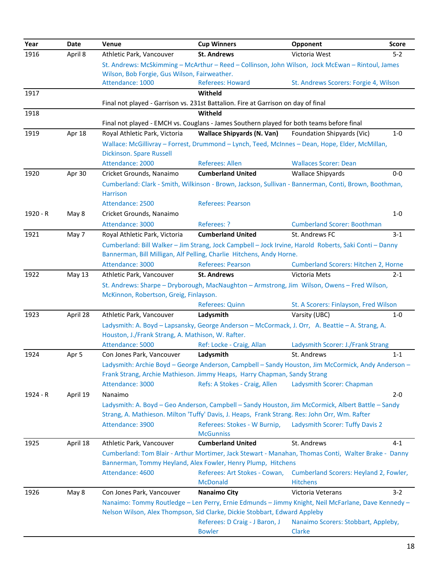| Year     | Date     | Venue                                             | <b>Cup Winners</b>                                                                                                                                                             | Opponent                                    | <b>Score</b> |
|----------|----------|---------------------------------------------------|--------------------------------------------------------------------------------------------------------------------------------------------------------------------------------|---------------------------------------------|--------------|
| 1916     | April 8  | Athletic Park, Vancouver                          | <b>St. Andrews</b>                                                                                                                                                             | Victoria West                               | $5 - 2$      |
|          |          |                                                   | St. Andrews: McSkimming - McArthur - Reed - Collinson, John Wilson, Jock McEwan - Rintoul, James                                                                               |                                             |              |
|          |          | Wilson, Bob Forgie, Gus Wilson, Fairweather.      |                                                                                                                                                                                |                                             |              |
|          |          | Attendance: 1000                                  | <b>Referees: Howard</b>                                                                                                                                                        | St. Andrews Scorers: Forgie 4, Wilson       |              |
| 1917     |          |                                                   | Witheld                                                                                                                                                                        |                                             |              |
|          |          |                                                   | Final not played - Garrison vs. 231st Battalion. Fire at Garrison on day of final                                                                                              |                                             |              |
| 1918     |          |                                                   | Witheld                                                                                                                                                                        |                                             |              |
|          |          |                                                   | Final not played - EMCH vs. Couglans - James Southern played for both teams before final                                                                                       |                                             |              |
| 1919     | Apr 18   | Royal Athletic Park, Victoria                     | <b>Wallace Shipyards (N. Van)</b>                                                                                                                                              | Foundation Shipyards (Vic)                  | $1 - 0$      |
|          |          | Dickinson. Spare Russell                          | Wallace: McGillivray - Forrest, Drummond - Lynch, Teed, McInnes - Dean, Hope, Elder, McMillan,                                                                                 |                                             |              |
|          |          | Attendance: 2000                                  | Referees: Allen                                                                                                                                                                | <b>Wallaces Scorer: Dean</b>                |              |
| 1920     | Apr 30   | Cricket Grounds, Nanaimo                          | <b>Cumberland United</b>                                                                                                                                                       | <b>Wallace Shipyards</b>                    | $0-0$        |
|          |          |                                                   | Cumberland: Clark - Smith, Wilkinson - Brown, Jackson, Sullivan - Bannerman, Conti, Brown, Boothman,                                                                           |                                             |              |
|          |          | <b>Harrison</b>                                   |                                                                                                                                                                                |                                             |              |
|          |          | Attendance: 2500                                  | <b>Referees: Pearson</b>                                                                                                                                                       |                                             |              |
| 1920 - R | May 8    | Cricket Grounds, Nanaimo                          |                                                                                                                                                                                |                                             | $1 - 0$      |
|          |          | Attendance: 3000                                  | Referees: ?                                                                                                                                                                    | <b>Cumberland Scorer: Boothman</b>          |              |
| 1921     | May 7    | Royal Athletic Park, Victoria                     | <b>Cumberland United</b>                                                                                                                                                       | St. Andrews FC                              | $3 - 1$      |
|          |          |                                                   | Cumberland: Bill Walker - Jim Strang, Jock Campbell - Jock Irvine, Harold Roberts, Saki Conti - Danny                                                                          |                                             |              |
|          |          |                                                   | Bannerman, Bill Milligan, Alf Pelling, Charlie Hitchens, Andy Horne.                                                                                                           |                                             |              |
|          |          | Attendance: 3000                                  | <b>Referees: Pearson</b>                                                                                                                                                       | <b>Cumberland Scorers: Hitchen 2, Horne</b> |              |
| 1922     | May 13   | Athletic Park, Vancouver                          | <b>St. Andrews</b>                                                                                                                                                             | Victoria Mets                               | $2 - 1$      |
|          |          |                                                   | St. Andrews: Sharpe - Dryborough, MacNaughton - Armstrong, Jim Wilson, Owens - Fred Wilson,                                                                                    |                                             |              |
|          |          | McKinnon, Robertson, Greig, Finlayson.            |                                                                                                                                                                                |                                             |              |
|          |          |                                                   | <b>Referees: Quinn</b>                                                                                                                                                         | St. A Scorers: Finlayson, Fred Wilson       |              |
| 1923     | April 28 | Athletic Park, Vancouver                          | Ladysmith                                                                                                                                                                      | Varsity (UBC)                               | $1 - 0$      |
|          |          |                                                   | Ladysmith: A. Boyd - Lapsansky, George Anderson - McCormack, J. Orr, A. Beattie - A. Strang, A.                                                                                |                                             |              |
|          |          | Houston, J./Frank Strang, A. Mathison, W. Rafter. |                                                                                                                                                                                |                                             |              |
|          |          | Attendance: 5000                                  | Ref: Locke - Craig, Allan                                                                                                                                                      | Ladysmith Scorer: J./Frank Strang           |              |
| 1924     | Apr 5    | Con Jones Park, Vancouver                         | Ladysmith                                                                                                                                                                      | St. Andrews                                 | $1 - 1$      |
|          |          |                                                   | Ladysmith: Archie Boyd - George Anderson, Campbell - Sandy Houston, Jim McCormick, Andy Anderson -<br>Frank Strang, Archie Mathieson. Jimmy Heaps, Harry Chapman, Sandy Strang |                                             |              |
|          |          | Attendance: 3000                                  | Refs: A Stokes - Craig, Allen                                                                                                                                                  | Ladysmith Scorer: Chapman                   |              |
| 1924 - R | April 19 | Nanaimo                                           |                                                                                                                                                                                |                                             | $2 - 0$      |
|          |          |                                                   | Ladysmith: A. Boyd - Geo Anderson, Campbell - Sandy Houston, Jim McCormick, Albert Battle - Sandy                                                                              |                                             |              |
|          |          |                                                   | Strang, A. Mathieson. Milton 'Tuffy' Davis, J. Heaps, Frank Strang. Res: John Orr, Wm. Rafter                                                                                  |                                             |              |
|          |          | Attendance: 3900                                  | Referees: Stokes - W Burnip,                                                                                                                                                   | Ladysmith Scorer: Tuffy Davis 2             |              |
|          |          |                                                   | <b>McGunniss</b>                                                                                                                                                               |                                             |              |
| 1925     | April 18 | Athletic Park, Vancouver                          | <b>Cumberland United</b>                                                                                                                                                       | St. Andrews                                 | $4 - 1$      |
|          |          |                                                   | Cumberland: Tom Blair - Arthur Mortimer, Jack Stewart - Manahan, Thomas Conti, Walter Brake - Danny                                                                            |                                             |              |
|          |          |                                                   | Bannerman, Tommy Heyland, Alex Fowler, Henry Plump, Hitchens                                                                                                                   |                                             |              |
|          |          | Attendance: 4600                                  | Referees: Art Stokes - Cowan,                                                                                                                                                  | Cumberland Scorers: Heyland 2, Fowler,      |              |
|          |          |                                                   | <b>McDonald</b>                                                                                                                                                                | <b>Hitchens</b>                             |              |
| 1926     | May 8    | Con Jones Park, Vancouver                         | <b>Nanaimo City</b>                                                                                                                                                            | Victoria Veterans                           | $3-2$        |
|          |          |                                                   | Nanaimo: Tommy Routledge - Len Perry, Ernie Edmunds - Jimmy Knight, Neil McFarlane, Dave Kennedy -                                                                             |                                             |              |
|          |          |                                                   | Nelson Wilson, Alex Thompson, Sid Clarke, Dickie Stobbart, Edward Appleby                                                                                                      |                                             |              |
|          |          |                                                   | Referees: D Craig - J Baron, J                                                                                                                                                 | Nanaimo Scorers: Stobbart, Appleby,         |              |
|          |          |                                                   | <b>Bowler</b>                                                                                                                                                                  | Clarke                                      |              |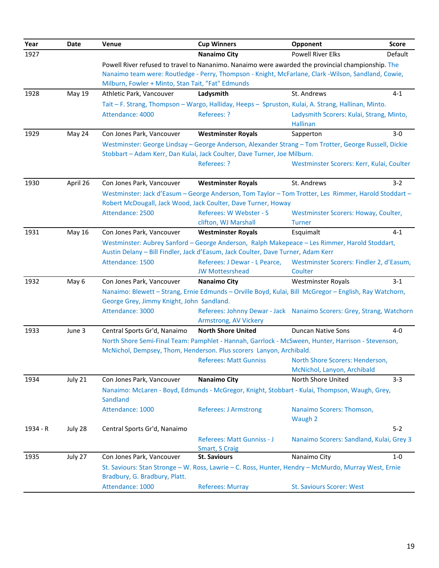| Year     | <b>Date</b> | Venue                                             | <b>Cup Winners</b>                                                                                                                                                                | Opponent                                                    | <b>Score</b> |
|----------|-------------|---------------------------------------------------|-----------------------------------------------------------------------------------------------------------------------------------------------------------------------------------|-------------------------------------------------------------|--------------|
| 1927     |             |                                                   | <b>Nanaimo City</b>                                                                                                                                                               | <b>Powell River Elks</b>                                    | Default      |
|          |             |                                                   | Powell River refused to travel to Nananimo. Nanaimo were awarded the provincial championship. The                                                                                 |                                                             |              |
|          |             |                                                   | Nanaimo team were: Routledge - Perry, Thompson - Knight, McFarlane, Clark -Wilson, Sandland, Cowie,                                                                               |                                                             |              |
|          |             | Milburn, Fowler + Minto, Stan Tait, "Fat" Edmunds |                                                                                                                                                                                   |                                                             |              |
| 1928     | May 19      | Athletic Park, Vancouver                          | Ladysmith                                                                                                                                                                         | St. Andrews                                                 | $4 - 1$      |
|          |             |                                                   | Tait - F. Strang, Thompson - Wargo, Halliday, Heeps - Spruston, Kulai, A. Strang, Hallinan, Minto.                                                                                |                                                             |              |
|          |             | Attendance: 4000                                  | Referees: ?                                                                                                                                                                       | Ladysmith Scorers: Kulai, Strang, Minto,<br><b>Hallinan</b> |              |
| 1929     | May 24      | Con Jones Park, Vancouver                         | <b>Westminster Royals</b>                                                                                                                                                         | Sapperton                                                   | $3-0$        |
|          |             |                                                   | Westminster: George Lindsay - George Anderson, Alexander Strang - Tom Trotter, George Russell, Dickie<br>Stobbart - Adam Kerr, Dan Kulai, Jack Coulter, Dave Turner, Joe Milburn. |                                                             |              |
|          |             |                                                   | Referees: ?                                                                                                                                                                       | Westminster Scorers: Kerr, Kulai, Coulter                   |              |
| 1930     | April 26    | Con Jones Park, Vancouver                         | <b>Westminster Royals</b>                                                                                                                                                         | St. Andrews                                                 | $3-2$        |
|          |             |                                                   | Westminster: Jack d'Easum - George Anderson, Tom Taylor - Tom Trotter, Les Rimmer, Harold Stoddart -                                                                              |                                                             |              |
|          |             |                                                   | Robert McDougall, Jack Wood, Jack Coulter, Dave Turner, Howay                                                                                                                     |                                                             |              |
|          |             | Attendance: 2500                                  | Referees: W Webster - S                                                                                                                                                           | Westminster Scorers: Howay, Coulter,                        |              |
|          |             |                                                   | clifton, WJ Marshall                                                                                                                                                              | <b>Turner</b>                                               |              |
| 1931     | May 16      | Con Jones Park, Vancouver                         | <b>Westminster Royals</b>                                                                                                                                                         | Esquimalt                                                   | $4 - 1$      |
|          |             |                                                   | Westminster: Aubrey Sanford - George Anderson, Ralph Makepeace - Les Rimmer, Harold Stoddart,                                                                                     |                                                             |              |
|          |             | Attendance: 1500                                  | Austin Delany - Bill Findler, Jack d'Easum, Jack Coulter, Dave Turner, Adam Kerr<br>Referees: J Dewar - L Pearce,                                                                 | Westminster Scorers: Findler 2, d'Easum,                    |              |
|          |             |                                                   | <b>JW Mottesrshead</b>                                                                                                                                                            | Coulter                                                     |              |
| 1932     | May 6       | Con Jones Park, Vancouver                         | <b>Nanaimo City</b>                                                                                                                                                               | <b>Westminster Royals</b>                                   | $3 - 1$      |
|          |             |                                                   | Nanaimo: Blewett - Strang, Ernie Edmunds - Orville Boyd, Kulai, Bill McGregor - English, Ray Watchorn,                                                                            |                                                             |              |
|          |             | George Grey, Jimmy Knight, John Sandland.         |                                                                                                                                                                                   |                                                             |              |
|          |             | Attendance: 3000                                  | Referees: Johnny Dewar - Jack Nanaimo Scorers: Grey, Strang, Watchorn                                                                                                             |                                                             |              |
|          |             |                                                   | Armstrong, AV Vickery                                                                                                                                                             |                                                             |              |
| 1933     | June 3      | Central Sports Gr'd, Nanaimo                      | <b>North Shore United</b>                                                                                                                                                         | <b>Duncan Native Sons</b>                                   | 4-0          |
|          |             |                                                   | North Shore Semi-Final Team: Pamphlet - Hannah, Garrlock - McSween, Hunter, Harrison - Stevenson,                                                                                 |                                                             |              |
|          |             |                                                   | McNichol, Dempsey, Thom, Henderson. Plus scorers Lanyon, Archibald.                                                                                                               |                                                             |              |
|          |             |                                                   | <b>Referees: Matt Gunniss</b>                                                                                                                                                     | North Shore Scorers: Henderson,                             |              |
|          |             |                                                   |                                                                                                                                                                                   | McNichol, Lanyon, Archibald                                 |              |
| 1934     | July 21     | Con Jones Park, Vancouver                         | <b>Nanaimo City</b>                                                                                                                                                               | North Shore United                                          | $3 - 3$      |
|          |             | Sandland                                          | Nanaimo: McLaren - Boyd, Edmunds - McGregor, Knight, Stobbart - Kulai, Thompson, Waugh, Grey,                                                                                     |                                                             |              |
|          |             | Attendance: 1000                                  | <b>Referees: J Armstrong</b>                                                                                                                                                      | Nanaimo Scorers: Thomson,<br>Waugh 2                        |              |
| 1934 - R | July 28     | Central Sports Gr'd, Nanaimo                      |                                                                                                                                                                                   |                                                             | $5 - 2$      |
|          |             |                                                   | Referees: Matt Gunniss - J<br>Smart, S Craig                                                                                                                                      | Nanaimo Scorers: Sandland, Kulai, Grey 3                    |              |
| 1935     | July 27     | Con Jones Park, Vancouver                         | <b>St. Saviours</b>                                                                                                                                                               | Nanaimo City                                                | $1 - 0$      |
|          |             | Bradbury, G. Bradbury, Platt.                     | St. Saviours: Stan Stronge - W. Ross, Lawrie - C. Ross, Hunter, Hendry - McMurdo, Murray West, Ernie                                                                              |                                                             |              |
|          |             | Attendance: 1000                                  | <b>Referees: Murray</b>                                                                                                                                                           | <b>St. Saviours Scorer: West</b>                            |              |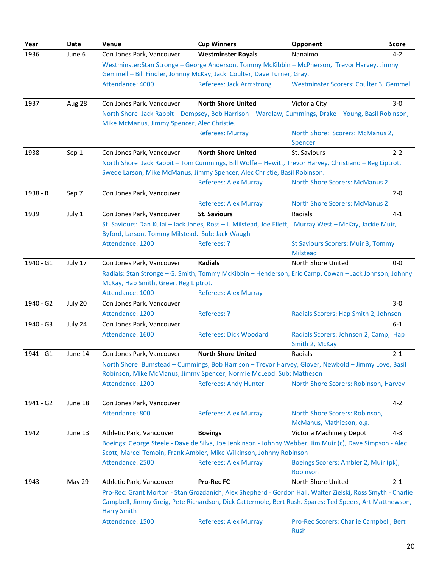| Year      | Date          | Venue                                           | <b>Cup Winners</b>                                                                                         | Opponent                                                | <b>Score</b> |
|-----------|---------------|-------------------------------------------------|------------------------------------------------------------------------------------------------------------|---------------------------------------------------------|--------------|
| 1936      | June 6        | Con Jones Park, Vancouver                       | <b>Westminster Royals</b>                                                                                  | Nanaimo                                                 | $4 - 2$      |
|           |               |                                                 | Westminster:Stan Stronge - George Anderson, Tommy McKibbin - McPherson, Trevor Harvey, Jimmy               |                                                         |              |
|           |               |                                                 | Gemmell - Bill Findler, Johnny McKay, Jack Coulter, Dave Turner, Gray.                                     |                                                         |              |
|           |               | Attendance: 4000                                | <b>Referees: Jack Armstrong</b>                                                                            | Westminster Scorers: Coulter 3, Gemmell                 |              |
| 1937      | Aug 28        | Con Jones Park, Vancouver                       | <b>North Shore United</b>                                                                                  | Victoria City                                           | $3-0$        |
|           |               | Mike McManus, Jimmy Spencer, Alec Christie.     | North Shore: Jack Rabbit - Dempsey, Bob Harrison - Wardlaw, Cummings, Drake - Young, Basil Robinson,       |                                                         |              |
|           |               |                                                 | <b>Referees: Murray</b>                                                                                    | North Shore: Scorers: McManus 2,                        |              |
|           |               |                                                 |                                                                                                            | Spencer                                                 |              |
| 1938      | Sep 1         | Con Jones Park, Vancouver                       | <b>North Shore United</b>                                                                                  | St. Saviours                                            | $2 - 2$      |
|           |               |                                                 | North Shore: Jack Rabbit - Tom Cummings, Bill Wolfe - Hewitt, Trevor Harvey, Christiano - Reg Liptrot,     |                                                         |              |
|           |               |                                                 | Swede Larson, Mike McManus, Jimmy Spencer, Alec Christie, Basil Robinson.                                  |                                                         |              |
|           |               |                                                 | <b>Referees: Alex Murray</b>                                                                               | <b>North Shore Scorers: McManus 2</b>                   |              |
| 1938 - R  | Sep 7         | Con Jones Park, Vancouver                       |                                                                                                            |                                                         | $2 - 0$      |
|           |               |                                                 | <b>Referees: Alex Murray</b>                                                                               | <b>North Shore Scorers: McManus 2</b>                   |              |
| 1939      | July 1        | Con Jones Park, Vancouver                       | <b>St. Saviours</b>                                                                                        | Radials                                                 | $4 - 1$      |
|           |               |                                                 | St. Saviours: Dan Kulai - Jack Jones, Ross - J. Milstead, Joe Ellett, Murray West - McKay, Jackie Muir,    |                                                         |              |
|           |               | Byford, Larson, Tommy Milstead. Sub: Jack Waugh |                                                                                                            |                                                         |              |
|           |               | Attendance: 1200                                | Referees: ?                                                                                                | <b>St Saviours Scorers: Muir 3, Tommy</b>               |              |
|           |               |                                                 |                                                                                                            | <b>Milstead</b>                                         |              |
| 1940 - G1 | July 17       | Con Jones Park, Vancouver                       | <b>Radials</b>                                                                                             | North Shore United                                      | $0-0$        |
|           |               |                                                 | Radials: Stan Stronge - G. Smith, Tommy McKibbin - Henderson, Eric Camp, Cowan - Jack Johnson, Johnny      |                                                         |              |
|           |               | McKay, Hap Smith, Greer, Reg Liptrot.           |                                                                                                            |                                                         |              |
|           |               | Attendance: 1000                                | <b>Referees: Alex Murray</b>                                                                               |                                                         |              |
| 1940 - G2 | July 20       | Con Jones Park, Vancouver                       |                                                                                                            |                                                         | $3-0$        |
|           |               | Attendance: 1200                                | Referees: ?                                                                                                | Radials Scorers: Hap Smith 2, Johnson                   |              |
| 1940 - G3 | July 24       | Con Jones Park, Vancouver                       |                                                                                                            |                                                         | $6-1$        |
|           |               | Attendance: 1600                                | <b>Referees: Dick Woodard</b>                                                                              | Radials Scorers: Johnson 2, Camp, Hap<br>Smith 2, McKay |              |
| 1941 - G1 | June 14       | Con Jones Park, Vancouver                       | <b>North Shore United</b>                                                                                  | Radials                                                 | $2 - 1$      |
|           |               |                                                 | North Shore: Bumstead - Cummings, Bob Harrison - Trevor Harvey, Glover, Newbold - Jimmy Love, Basil        |                                                         |              |
|           |               |                                                 | Robinson, Mike McManus, Jimmy Spencer, Normie McLeod. Sub: Matheson                                        |                                                         |              |
|           |               | Attendance: 1200                                | <b>Referees: Andy Hunter</b>                                                                               | North Shore Scorers: Robinson, Harvey                   |              |
| 1941 - G2 | June 18       | Con Jones Park, Vancouver                       |                                                                                                            |                                                         | $4 - 2$      |
|           |               | Attendance: 800                                 | <b>Referees: Alex Murray</b>                                                                               | North Shore Scorers: Robinson,                          |              |
|           |               |                                                 |                                                                                                            | McManus, Mathieson, o.g.                                |              |
| 1942      | June 13       | Athletic Park, Vancouver                        | <b>Boeings</b>                                                                                             | Victoria Machinery Depot                                | $4 - 3$      |
|           |               |                                                 | Boeings: George Steele - Dave de Silva, Joe Jenkinson - Johnny Webber, Jim Muir (c), Dave Simpson - Alec   |                                                         |              |
|           |               |                                                 | Scott, Marcel Temoin, Frank Ambler, Mike Wilkinson, Johnny Robinson                                        |                                                         |              |
|           |               | Attendance: 2500                                | <b>Referees: Alex Murray</b>                                                                               | Boeings Scorers: Ambler 2, Muir (pk),<br>Robinson       |              |
| 1943      | <b>May 29</b> | Athletic Park, Vancouver                        | <b>Pro-Rec FC</b>                                                                                          | North Shore United                                      | $2 - 1$      |
|           |               |                                                 | Pro-Rec: Grant Morton - Stan Grozdanich, Alex Shepherd - Gordon Hall, Walter Zielski, Ross Smyth - Charlie |                                                         |              |
|           |               |                                                 | Campbell, Jimmy Greig, Pete Richardson, Dick Cattermole, Bert Rush. Spares: Ted Speers, Art Matthewson,    |                                                         |              |
|           |               | <b>Harry Smith</b>                              |                                                                                                            |                                                         |              |
|           |               | Attendance: 1500                                | <b>Referees: Alex Murray</b>                                                                               | Pro-Rec Scorers: Charlie Campbell, Bert<br>Rush         |              |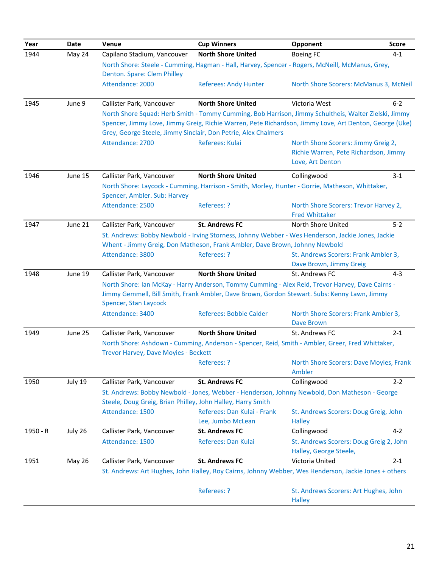| Year     | Date          | Venue                                                       | <b>Cup Winners</b>                                                                                     | Opponent                                                  | <b>Score</b> |
|----------|---------------|-------------------------------------------------------------|--------------------------------------------------------------------------------------------------------|-----------------------------------------------------------|--------------|
| 1944     | May 24        | Capilano Stadium, Vancouver                                 | <b>North Shore United</b>                                                                              | <b>Boeing FC</b>                                          | $4 - 1$      |
|          |               |                                                             | North Shore: Steele - Cumming, Hagman - Hall, Harvey, Spencer - Rogers, McNeill, McManus, Grey,        |                                                           |              |
|          |               | Denton. Spare: Clem Philley                                 |                                                                                                        |                                                           |              |
|          |               | Attendance: 2000                                            | <b>Referees: Andy Hunter</b>                                                                           | North Shore Scorers: McManus 3, McNeil                    |              |
| 1945     | June 9        | Callister Park, Vancouver                                   | <b>North Shore United</b>                                                                              | Victoria West                                             | $6 - 2$      |
|          |               |                                                             | North Shore Squad: Herb Smith - Tommy Cumming, Bob Harrison, Jimmy Schultheis, Walter Zielski, Jimmy   |                                                           |              |
|          |               |                                                             | Spencer, Jimmy Love, Jimmy Greig, Richie Warren, Pete Richardson, Jimmy Love, Art Denton, George (Uke) |                                                           |              |
|          |               |                                                             | Grey, George Steele, Jimmy Sinclair, Don Petrie, Alex Chalmers                                         |                                                           |              |
|          |               | Attendance: 2700                                            | Referees: Kulai                                                                                        | North Shore Scorers: Jimmy Greig 2,                       |              |
|          |               |                                                             |                                                                                                        | Richie Warren, Pete Richardson, Jimmy                     |              |
|          |               |                                                             |                                                                                                        | Love, Art Denton                                          |              |
| 1946     | June 15       | Callister Park, Vancouver                                   | <b>North Shore United</b>                                                                              | Collingwood                                               | $3 - 1$      |
|          |               |                                                             | North Shore: Laycock - Cumming, Harrison - Smith, Morley, Hunter - Gorrie, Matheson, Whittaker,        |                                                           |              |
|          |               | Spencer, Ambler. Sub: Harvey                                |                                                                                                        |                                                           |              |
|          |               | Attendance: 2500                                            | Referees: ?                                                                                            | North Shore Scorers: Trevor Harvey 2,                     |              |
|          |               |                                                             |                                                                                                        | <b>Fred Whittaker</b>                                     |              |
| 1947     | June 21       | Callister Park, Vancouver                                   | <b>St. Andrews FC</b>                                                                                  | North Shore United                                        | $5-2$        |
|          |               |                                                             | St. Andrews: Bobby Newbold - Irving Storness, Johnny Webber - Wes Henderson, Jackie Jones, Jackie      |                                                           |              |
|          |               |                                                             | Whent - Jimmy Greig, Don Matheson, Frank Ambler, Dave Brown, Johnny Newbold                            |                                                           |              |
|          |               | Attendance: 3800                                            | Referees: ?                                                                                            | St. Andrews Scorers: Frank Ambler 3,                      |              |
|          |               |                                                             |                                                                                                        | Dave Brown, Jimmy Greig                                   |              |
| 1948     | June 19       | Callister Park, Vancouver                                   | <b>North Shore United</b>                                                                              | St. Andrews FC                                            | $4 - 3$      |
|          |               |                                                             | North Shore: Ian McKay - Harry Anderson, Tommy Cumming - Alex Reid, Trevor Harvey, Dave Cairns -       |                                                           |              |
|          |               |                                                             | Jimmy Gemmell, Bill Smith, Frank Ambler, Dave Brown, Gordon Stewart. Subs: Kenny Lawn, Jimmy           |                                                           |              |
|          |               | Spencer, Stan Laycock                                       |                                                                                                        |                                                           |              |
|          |               | Attendance: 3400                                            | <b>Referees: Bobbie Calder</b>                                                                         | North Shore Scorers: Frank Ambler 3,<br><b>Dave Brown</b> |              |
| 1949     | June 25       | Callister Park, Vancouver                                   | <b>North Shore United</b>                                                                              | St. Andrews FC                                            | $2 - 1$      |
|          |               |                                                             | North Shore: Ashdown - Cumming, Anderson - Spencer, Reid, Smith - Ambler, Greer, Fred Whittaker,       |                                                           |              |
|          |               | Trevor Harvey, Dave Moyies - Beckett                        |                                                                                                        |                                                           |              |
|          |               |                                                             | Referees: ?                                                                                            | North Shore Scorers: Dave Moyies, Frank                   |              |
|          |               |                                                             |                                                                                                        | Ambler                                                    |              |
| 1950     | July 19       | Callister Park, Vancouver                                   | <b>St. Andrews FC</b>                                                                                  | Collingwood                                               | $2 - 2$      |
|          |               |                                                             | St. Andrews: Bobby Newbold - Jones, Webber - Henderson, Johnny Newbold, Don Matheson - George          |                                                           |              |
|          |               | Steele, Doug Greig, Brian Philley, John Halley, Harry Smith |                                                                                                        |                                                           |              |
|          |               | Attendance: 1500                                            | Referees: Dan Kulai - Frank                                                                            | St. Andrews Scorers: Doug Greig, John                     |              |
|          |               |                                                             | Lee, Jumbo McLean                                                                                      | <b>Halley</b>                                             |              |
| 1950 - R | July 26       | Callister Park, Vancouver                                   | <b>St. Andrews FC</b>                                                                                  | Collingwood                                               | $4 - 2$      |
|          |               | Attendance: 1500                                            | Referees: Dan Kulai                                                                                    | St. Andrews Scorers: Doug Greig 2, John                   |              |
|          |               |                                                             |                                                                                                        | Halley, George Steele,                                    |              |
| 1951     | <b>May 26</b> | Callister Park, Vancouver                                   | <b>St. Andrews FC</b>                                                                                  | Victoria United                                           | $2 - 1$      |
|          |               |                                                             | St. Andrews: Art Hughes, John Halley, Roy Cairns, Johnny Webber, Wes Henderson, Jackie Jones + others  |                                                           |              |
|          |               |                                                             |                                                                                                        |                                                           |              |
|          |               |                                                             | Referees: ?                                                                                            | St. Andrews Scorers: Art Hughes, John                     |              |
|          |               |                                                             |                                                                                                        | <b>Halley</b>                                             |              |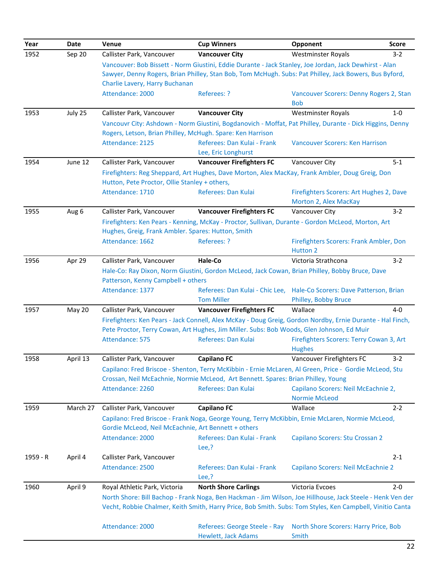| Year     | Date     | Venue                                                                  | <b>Cup Winners</b>                                                                                         | Opponent                                                  | <b>Score</b> |
|----------|----------|------------------------------------------------------------------------|------------------------------------------------------------------------------------------------------------|-----------------------------------------------------------|--------------|
| 1952     | Sep 20   | Callister Park, Vancouver                                              | <b>Vancouver City</b>                                                                                      | <b>Westminster Royals</b>                                 | $3-2$        |
|          |          |                                                                        | Vancouver: Bob Bissett - Norm Giustini, Eddie Durante - Jack Stanley, Joe Jordan, Jack Dewhirst - Alan     |                                                           |              |
|          |          |                                                                        | Sawyer, Denny Rogers, Brian Philley, Stan Bob, Tom McHugh. Subs: Pat Philley, Jack Bowers, Bus Byford,     |                                                           |              |
|          |          | Charlie Lavery, Harry Buchanan                                         |                                                                                                            |                                                           |              |
|          |          | Attendance: 2000                                                       | Referees: ?                                                                                                | Vancouver Scorers: Denny Rogers 2, Stan                   |              |
| 1953     | July 25  | Callister Park, Vancouver                                              | <b>Vancouver City</b>                                                                                      | <b>Bob</b><br><b>Westminster Royals</b>                   | $1-0$        |
|          |          |                                                                        | Vancouvr City: Ashdown - Norm Giustini, Bogdanovich - Moffat, Pat Philley, Durante - Dick Higgins, Denny   |                                                           |              |
|          |          | Rogers, Letson, Brian Philley, McHugh. Spare: Ken Harrison             |                                                                                                            |                                                           |              |
|          |          | Attendance: 2125                                                       | Referees: Dan Kulai - Frank                                                                                | Vancouver Scorers: Ken Harrison                           |              |
|          |          |                                                                        | Lee, Eric Longhurst                                                                                        |                                                           |              |
| 1954     | June 12  | Callister Park, Vancouver                                              | <b>Vancouver Firefighters FC</b>                                                                           | Vancouver City                                            | $5 - 1$      |
|          |          |                                                                        | Firefighters: Reg Sheppard, Art Hughes, Dave Morton, Alex MacKay, Frank Ambler, Doug Greig, Don            |                                                           |              |
|          |          | Hutton, Pete Proctor, Ollie Stanley + others,                          |                                                                                                            |                                                           |              |
|          |          | Attendance: 1710                                                       | Referees: Dan Kulai                                                                                        | Firefighters Scorers: Art Hughes 2, Dave                  |              |
|          |          |                                                                        |                                                                                                            | Morton 2, Alex MacKay                                     |              |
| 1955     | Aug 6    | Callister Park, Vancouver                                              | <b>Vancouver Firefighters FC</b>                                                                           | Vancouver City                                            | $3-2$        |
|          |          |                                                                        | Firefighters: Ken Pears - Kenning, McKay - Proctor, Sullivan, Durante - Gordon McLeod, Morton, Art         |                                                           |              |
|          |          | Hughes, Greig, Frank Ambler. Spares: Hutton, Smith<br>Attendance: 1662 | Referees: ?                                                                                                | Firefighters Scorers: Frank Ambler, Don                   |              |
|          |          |                                                                        |                                                                                                            | <b>Hutton 2</b>                                           |              |
| 1956     | Apr 29   | Callister Park, Vancouver                                              | Hale-Co                                                                                                    | Victoria Strathcona                                       | $3 - 2$      |
|          |          |                                                                        | Hale-Co: Ray Dixon, Norm Giustini, Gordon McLeod, Jack Cowan, Brian Philley, Bobby Bruce, Dave             |                                                           |              |
|          |          | Patterson, Kenny Campbell + others                                     |                                                                                                            |                                                           |              |
|          |          | Attendance: 1377                                                       | Referees: Dan Kulai - Chic Lee,                                                                            | Hale-Co Scorers: Dave Patterson, Brian                    |              |
|          |          |                                                                        | <b>Tom Miller</b>                                                                                          | Philley, Bobby Bruce                                      |              |
| 1957     | May 20   | Callister Park, Vancouver                                              | <b>Vancouver Firefighters FC</b>                                                                           | Wallace                                                   | $4 - 0$      |
|          |          |                                                                        | Firefighters: Ken Pears - Jack Connell, Alex McKay - Doug Greig, Gordon Nordby, Ernie Durante - Hal Finch, |                                                           |              |
|          |          |                                                                        | Pete Proctor, Terry Cowan, Art Hughes, Jim Miller. Subs: Bob Woods, Glen Johnson, Ed Muir                  |                                                           |              |
|          |          | Attendance: 575                                                        | Referees: Dan Kulai                                                                                        | Firefighters Scorers: Terry Cowan 3, Art<br><b>Hughes</b> |              |
| 1958     | April 13 | Callister Park, Vancouver                                              | <b>Capilano FC</b>                                                                                         | Vancouver Firefighters FC                                 | $3 - 2$      |
|          |          |                                                                        | Capilano: Fred Briscoe - Shenton, Terry McKibbin - Ernie McLaren, Al Green, Price - Gordie McLeod, Stu     |                                                           |              |
|          |          |                                                                        | Crossan, Neil McEachnie, Normie McLeod, Art Bennett. Spares: Brian Philley, Young                          |                                                           |              |
|          |          | Attendance: 2260                                                       | Referees: Dan Kulai                                                                                        | Capilano Scorers: Neil McEachnie 2,                       |              |
|          |          |                                                                        |                                                                                                            | <b>Normie McLeod</b>                                      |              |
| 1959     | March 27 | Callister Park, Vancouver                                              | <b>Capilano FC</b>                                                                                         | Wallace                                                   | $2 - 2$      |
|          |          |                                                                        | Capilano: Fred Briscoe - Frank Noga, George Young, Terry McKibbin, Ernie McLaren, Normie McLeod,           |                                                           |              |
|          |          | Gordie McLeod, Neil McEachnie, Art Bennett + others                    |                                                                                                            |                                                           |              |
|          |          | Attendance: 2000                                                       | Referees: Dan Kulai - Frank                                                                                | Capilano Scorers: Stu Crossan 2                           |              |
|          |          |                                                                        | Lee,?                                                                                                      |                                                           | $2 - 1$      |
| 1959 - R | April 4  | Callister Park, Vancouver<br>Attendance: 2500                          | Referees: Dan Kulai - Frank                                                                                | Capilano Scorers: Neil McEachnie 2                        |              |
|          |          |                                                                        | Lee, ?                                                                                                     |                                                           |              |
| 1960     | April 9  | Royal Athletic Park, Victoria                                          | <b>North Shore Carlings</b>                                                                                | Victoria Evcoes                                           | $2 - 0$      |
|          |          |                                                                        | North Shore: Bill Bachop - Frank Noga, Ben Hackman - Jim Wilson, Joe Hillhouse, Jack Steele - Henk Ven der |                                                           |              |
|          |          |                                                                        | Vecht, Robbie Chalmer, Keith Smith, Harry Price, Bob Smith. Subs: Tom Styles, Ken Campbell, Vinitio Canta  |                                                           |              |
|          |          |                                                                        |                                                                                                            |                                                           |              |
|          |          | Attendance: 2000                                                       | Referees: George Steele - Ray                                                                              | North Shore Scorers: Harry Price, Bob                     |              |
|          |          |                                                                        | <b>Hewlett, Jack Adams</b>                                                                                 | Smith                                                     |              |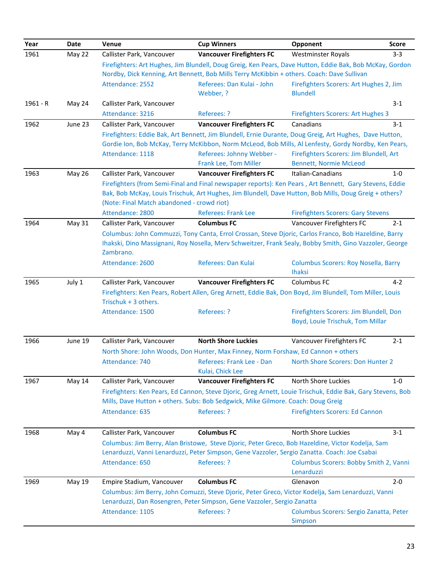| Year     | Date          | Venue                                      | <b>Cup Winners</b>                                                                                          | Opponent                                                   | <b>Score</b> |
|----------|---------------|--------------------------------------------|-------------------------------------------------------------------------------------------------------------|------------------------------------------------------------|--------------|
| 1961     | May 22        | Callister Park, Vancouver                  | <b>Vancouver Firefighters FC</b>                                                                            | <b>Westminster Royals</b>                                  | $3 - 3$      |
|          |               |                                            | Firefighters: Art Hughes, Jim Blundell, Doug Greig, Ken Pears, Dave Hutton, Eddie Bak, Bob McKay, Gordon    |                                                            |              |
|          |               |                                            | Nordby, Dick Kenning, Art Bennett, Bob Mills Terry McKibbin + others. Coach: Dave Sullivan                  |                                                            |              |
|          |               | Attendance: 2552                           | Referees: Dan Kulai - John<br>Webber, ?                                                                     | Firefighters Scorers: Art Hughes 2, Jim<br><b>Blundell</b> |              |
| 1961 - R | May 24        | Callister Park, Vancouver                  |                                                                                                             |                                                            | $3 - 1$      |
|          |               | Attendance: 3216                           | Referees: ?                                                                                                 | <b>Firefighters Scorers: Art Hughes 3</b>                  |              |
| 1962     | June 23       | Callister Park, Vancouver                  | <b>Vancouver Firefighters FC</b>                                                                            | Canadians                                                  | $3 - 1$      |
|          |               |                                            | Firefighters: Eddie Bak, Art Bennett, Jim Blundell, Ernie Durante, Doug Greig, Art Hughes, Dave Hutton,     |                                                            |              |
|          |               |                                            | Gordie Ion, Bob McKay, Terry McKibbon, Norm McLeod, Bob Mills, Al Lenfesty, Gordy Nordby, Ken Pears,        |                                                            |              |
|          |               | Attendance: 1118                           | Referees: Johnny Webber -                                                                                   | Firefighters Scorers: Jim Blundell, Art                    |              |
|          |               |                                            | Frank Lee, Tom Miller                                                                                       | <b>Bennett, Normie McLeod</b>                              |              |
| 1963     | <b>May 26</b> | Callister Park, Vancouver                  | <b>Vancouver Firefighters FC</b>                                                                            | Italian-Canadians                                          | $1-0$        |
|          |               |                                            | Firefighters (from Semi-Final and Final newspaper reports): Ken Pears, Art Bennett, Gary Stevens, Eddie     |                                                            |              |
|          |               |                                            | Bak, Bob McKay, Louis Trischuk, Art Hughes, Jim Blundell, Dave Hutton, Bob Mills, Doug Greig + others?      |                                                            |              |
|          |               | (Note: Final Match abandoned - crowd riot) |                                                                                                             |                                                            |              |
|          |               | Attendance: 2800                           | <b>Referees: Frank Lee</b>                                                                                  | <b>Firefighters Scorers: Gary Stevens</b>                  |              |
| 1964     | May 31        | Callister Park, Vancouver                  | <b>Columbus FC</b>                                                                                          | Vancouver Firefighters FC                                  | $2 - 1$      |
|          |               |                                            | Columbus: John Commuzzi, Tony Canta, Errol Crossan, Steve Djoric, Carlos Franco, Bob Hazeldine, Barry       |                                                            |              |
|          |               | Zambrano.                                  | Ihakski, Dino Massignani, Roy Nosella, Merv Schweitzer, Frank Sealy, Bobby Smith, Gino Vazzoler, George     |                                                            |              |
|          |               | Attendance: 2600                           | Referees: Dan Kulai                                                                                         | Columbus Scorers: Roy Nosella, Barry                       |              |
|          |               |                                            |                                                                                                             | <b>Ihaksi</b>                                              |              |
| 1965     | July 1        | Callister Park, Vancouver                  | <b>Vancouver Firefighters FC</b>                                                                            | Columbus FC                                                | $4 - 2$      |
|          |               |                                            | Firefighters: Ken Pears, Robert Allen, Greg Arnett, Eddie Bak, Don Boyd, Jim Blundell, Tom Miller, Louis    |                                                            |              |
|          |               | Trischuk + 3 others.                       |                                                                                                             |                                                            |              |
|          |               | Attendance: 1500                           | Referees: ?                                                                                                 | Firefighters Scorers: Jim Blundell, Don                    |              |
|          |               |                                            |                                                                                                             | Boyd, Louie Trischuk, Tom Millar                           |              |
| 1966     | June 19       | Callister Park, Vancouver                  | <b>North Shore Luckies</b>                                                                                  | Vancouver Firefighters FC                                  | $2 - 1$      |
|          |               |                                            | North Shore: John Woods, Don Hunter, Max Finney, Norm Forshaw, Ed Cannon + others                           |                                                            |              |
|          |               | Attendance: 740                            | Referees: Frank Lee - Dan                                                                                   | North Shore Scorers: Don Hunter 2                          |              |
|          |               |                                            | Kulai, Chick Lee                                                                                            |                                                            |              |
| 1967     | May 14        | Callister Park, Vancouver                  | <b>Vancouver Firefighters FC</b>                                                                            | North Shore Luckies                                        | $1 - 0$      |
|          |               |                                            | Firefighters: Ken Pears, Ed Cannon, Steve Djoric, Greg Arnett, Louie Trischuk, Eddie Bak, Gary Stevens, Bob |                                                            |              |
|          |               |                                            | Mills, Dave Hutton + others. Subs: Bob Sedgwick, Mike Gilmore. Coach: Doug Greig                            |                                                            |              |
|          |               | Attendance: 635                            | Referees: ?                                                                                                 | <b>Firefighters Scorers: Ed Cannon</b>                     |              |
| 1968     | May 4         | Callister Park, Vancouver                  | <b>Columbus FC</b>                                                                                          | North Shore Luckies                                        | $3 - 1$      |
|          |               |                                            | Columbus: Jim Berry, Alan Bristowe, Steve Djoric, Peter Greco, Bob Hazeldine, Victor Kodelja, Sam           |                                                            |              |
|          |               |                                            | Lenarduzzi, Vanni Lenarduzzi, Peter Simpson, Gene Vazzoler, Sergio Zanatta. Coach: Joe Csabai               |                                                            |              |
|          |               | Attendance: 650                            | Referees: ?                                                                                                 | Columbus Scorers: Bobby Smith 2, Vanni                     |              |
|          |               |                                            |                                                                                                             | Lenarduzzi                                                 |              |
| 1969     | May 19        | Empire Stadium, Vancouver                  | <b>Columbus FC</b>                                                                                          | Glenavon                                                   | $2 - 0$      |
|          |               |                                            | Columbus: Jim Berry, John Comuzzi, Steve Djoric, Peter Greco, Victor Kodelja, Sam Lenarduzzi, Vanni         |                                                            |              |
|          |               |                                            | Lenarduzzi, Dan Rosengren, Peter Simpson, Gene Vazzoler, Sergio Zanatta                                     |                                                            |              |
|          |               | Attendance: 1105                           | Referees: ?                                                                                                 | Columbus Scorers: Sergio Zanatta, Peter                    |              |
|          |               |                                            |                                                                                                             | Simpson                                                    |              |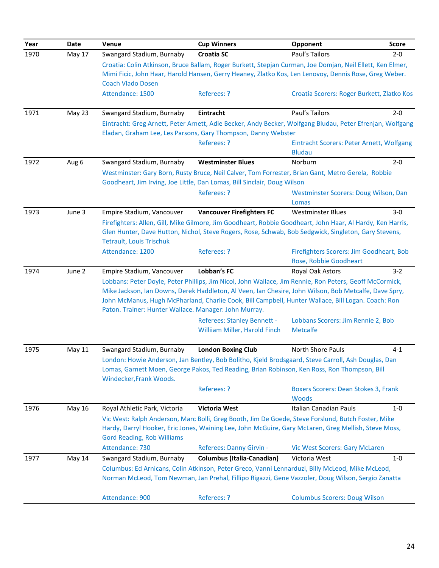| Year | <b>Date</b> | Venue                                                 | <b>Cup Winners</b>                                                                                                                                                                                                                                                                                                     | Opponent                                                           | <b>Score</b> |
|------|-------------|-------------------------------------------------------|------------------------------------------------------------------------------------------------------------------------------------------------------------------------------------------------------------------------------------------------------------------------------------------------------------------------|--------------------------------------------------------------------|--------------|
| 1970 | May 17      | Swangard Stadium, Burnaby                             | <b>Croatia SC</b>                                                                                                                                                                                                                                                                                                      | Paul's Tailors                                                     | $2 - 0$      |
|      |             | <b>Coach Vlado Dosen</b>                              | Croatia: Colin Atkinson, Bruce Ballam, Roger Burkett, Stepjan Curman, Joe Domjan, Neil Ellett, Ken Elmer,<br>Mimi Ficic, John Haar, Harold Hansen, Gerry Heaney, Zlatko Kos, Len Lenovoy, Dennis Rose, Greg Weber.                                                                                                     |                                                                    |              |
|      |             | Attendance: 1500                                      | Referees: ?                                                                                                                                                                                                                                                                                                            | Croatia Scorers: Roger Burkett, Zlatko Kos                         |              |
| 1971 | May 23      | Swangard Stadium, Burnaby                             | Eintracht                                                                                                                                                                                                                                                                                                              | Paul's Tailors                                                     | $2 - 0$      |
|      |             |                                                       | Eintracht: Greg Arnett, Peter Arnett, Adie Becker, Andy Becker, Wolfgang Bludau, Peter Efrenjan, Wolfgang<br>Eladan, Graham Lee, Les Parsons, Gary Thompson, Danny Webster                                                                                                                                             |                                                                    |              |
|      |             |                                                       | Referees: ?                                                                                                                                                                                                                                                                                                            | Eintracht Scorers: Peter Arnett, Wolfgang<br><b>Bludau</b>         |              |
| 1972 | Aug 6       | Swangard Stadium, Burnaby                             | <b>Westminster Blues</b>                                                                                                                                                                                                                                                                                               | Norburn                                                            | $2 - 0$      |
|      |             |                                                       | Westminster: Gary Born, Rusty Bruce, Neil Calver, Tom Forrester, Brian Gant, Metro Gerela, Robbie<br>Goodheart, Jim Irving, Joe Little, Dan Lomas, Bill Sinclair, Doug Wilson                                                                                                                                          |                                                                    |              |
|      |             |                                                       | Referees: ?                                                                                                                                                                                                                                                                                                            | Westminster Scorers: Doug Wilson, Dan<br>Lomas                     |              |
| 1973 | June 3      | Empire Stadium, Vancouver                             | <b>Vancouver Firefighters FC</b>                                                                                                                                                                                                                                                                                       | <b>Westminster Blues</b>                                           | $3-0$        |
|      |             | <b>Tetrault, Louis Trischuk</b>                       | Firefighters: Allen, Gill, Mike Gilmore, Jim Goodheart, Robbie Goodheart, John Haar, Al Hardy, Ken Harris,<br>Glen Hunter, Dave Hutton, Nichol, Steve Rogers, Rose, Schwab, Bob Sedgwick, Singleton, Gary Stevens,                                                                                                     |                                                                    |              |
|      |             | Attendance: 1200                                      | Referees: ?                                                                                                                                                                                                                                                                                                            | Firefighters Scorers: Jim Goodheart, Bob<br>Rose, Robbie Goodheart |              |
| 1974 | June 2      | Empire Stadium, Vancouver                             | Lobban's FC                                                                                                                                                                                                                                                                                                            | Royal Oak Astors                                                   | $3-2$        |
|      |             | Paton. Trainer: Hunter Wallace. Manager: John Murray. | Lobbans: Peter Doyle, Peter Phillips, Jim Nicol, John Wallace, Jim Rennie, Ron Peters, Geoff McCormick,<br>Mike Jackson, Ian Downs, Derek Haddleton, Al Veen, Ian Chesire, John Wilson, Bob Metcalfe, Dave Spry,<br>John McManus, Hugh McPharland, Charlie Cook, Bill Campbell, Hunter Wallace, Bill Logan. Coach: Ron |                                                                    |              |
|      |             |                                                       | Referees: Stanley Bennett -<br>Williiam Miller, Harold Finch                                                                                                                                                                                                                                                           | Lobbans Scorers: Jim Rennie 2, Bob<br><b>Metcalfe</b>              |              |
| 1975 | May 11      | Swangard Stadium, Burnaby                             | <b>London Boxing Club</b>                                                                                                                                                                                                                                                                                              | North Shore Pauls                                                  | $4 - 1$      |
|      |             | Windecker, Frank Woods.                               | London: Howie Anderson, Jan Bentley, Bob Bolitho, Kjeld Brodsgaard, Steve Carroll, Ash Douglas, Dan<br>Lomas, Garnett Moen, George Pakos, Ted Reading, Brian Robinson, Ken Ross, Ron Thompson, Bill                                                                                                                    |                                                                    |              |
|      |             |                                                       | Referees: ?                                                                                                                                                                                                                                                                                                            | <b>Boxers Scorers: Dean Stokes 3, Frank</b><br><b>Woods</b>        |              |
| 1976 | May 16      | Royal Athletic Park, Victoria                         | <b>Victoria West</b>                                                                                                                                                                                                                                                                                                   | Italian Canadian Pauls                                             | $1 - 0$      |
|      |             | <b>Gord Reading, Rob Williams</b>                     | Vic West: Ralph Anderson, Marc Bolli, Greg Booth, Jim De Goede, Steve Forslund, Butch Foster, Mike<br>Hardy, Darryl Hooker, Eric Jones, Waining Lee, John McGuire, Gary McLaren, Greg Mellish, Steve Moss,                                                                                                             |                                                                    |              |
|      |             | Attendance: 730                                       | Referees: Danny Girvin -                                                                                                                                                                                                                                                                                               | <b>Vic West Scorers: Gary McLaren</b>                              |              |
| 1977 | May 14      | Swangard Stadium, Burnaby                             | <b>Columbus (Italia-Canadian)</b>                                                                                                                                                                                                                                                                                      | Victoria West                                                      | $1 - 0$      |
|      |             |                                                       | Columbus: Ed Arnicans, Colin Atkinson, Peter Greco, Vanni Lennarduzi, Billy McLeod, Mike McLeod,<br>Norman McLeod, Tom Newman, Jan Prehal, Fillipo Rigazzi, Gene Vazzoler, Doug Wilson, Sergio Zanatta                                                                                                                 |                                                                    |              |
|      |             | Attendance: 900                                       | Referees: ?                                                                                                                                                                                                                                                                                                            | <b>Columbus Scorers: Doug Wilson</b>                               |              |
|      |             |                                                       |                                                                                                                                                                                                                                                                                                                        |                                                                    |              |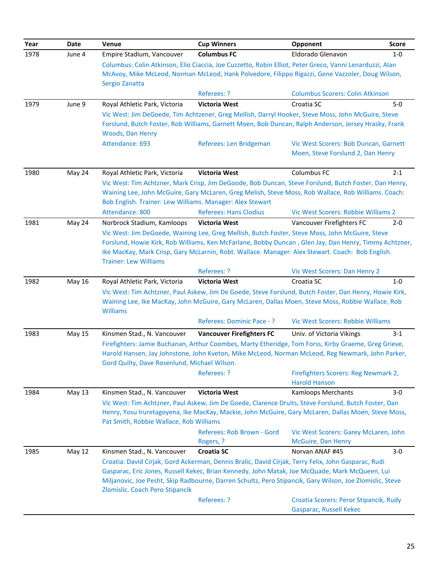| Year | Date          | Venue                                                     | <b>Cup Winners</b>                                                                                                           | Opponent                                    | <b>Score</b> |
|------|---------------|-----------------------------------------------------------|------------------------------------------------------------------------------------------------------------------------------|---------------------------------------------|--------------|
| 1978 | June 4        | Empire Stadium, Vancouver                                 | <b>Columbus FC</b>                                                                                                           | Eldorado Glenavon                           | $1-0$        |
|      |               |                                                           | Columbus: Colin Atkinson, Elio Ciaccia, Joe Cuzzetto, Robin Elliot, Peter Greco, Vanni Lenarduzzi, Alan                      |                                             |              |
|      |               |                                                           | McAvoy, Mike McLeod, Norman McLeod, Hank Polvedore, Filippo Rigazzi, Gene Vazzoler, Doug Wilson,                             |                                             |              |
|      |               | Sergio Zanatta                                            |                                                                                                                              |                                             |              |
|      |               |                                                           | Referees: ?                                                                                                                  | <b>Columbus Scorers: Colin Atkinson</b>     |              |
| 1979 | June 9        | Royal Athletic Park, Victoria                             | <b>Victoria West</b>                                                                                                         | Croatia SC                                  | $5-0$        |
|      |               |                                                           | Vic West: Jim DeGoede, Tim Achtzener, Greg Mellish, Darryl Hooker, Steve Moss, John McGuire, Steve                           |                                             |              |
|      |               |                                                           | Forslund, Butch Foster, Rob Williams, Garnett Moen, Bob Duncan, Ralph Anderson, Jersey Hrasky, Frank                         |                                             |              |
|      |               | Woods, Dan Henry<br>Attendance: 693                       | Referees: Len Bridgeman                                                                                                      | Vic West Scorers: Bob Duncan, Garnett       |              |
|      |               |                                                           |                                                                                                                              | Moen, Steve Forslund 2, Dan Henry           |              |
| 1980 | May 24        | Royal Athletic Park, Victoria                             | <b>Victoria West</b>                                                                                                         | Columbus FC                                 | $2 - 1$      |
|      |               |                                                           | Vic West: Tim Achtzner, Mark Crisp, Jim DeGoode, Bob Duncan, Steve Forslund, Butch Foster, Dan Henry,                        |                                             |              |
|      |               |                                                           | Waining Lee, John McGuire, Gary McLaren, Greg Melish, Steve Moss, Rob Wallace, Rob Williams. Coach:                          |                                             |              |
|      |               | Bob English. Trainer: Lew Williams. Manager: Alex Stewart |                                                                                                                              |                                             |              |
|      |               | Attendance: 800                                           | <b>Referees: Hans Clodius</b>                                                                                                | Vic West Scorers: Robbie Williams 2         |              |
| 1981 | May 24        | Norbrock Stadium, Kamloops                                | <b>Victoria West</b>                                                                                                         | Vancouver Firefighters FC                   | $2 - 0$      |
|      |               |                                                           | Vic West: Jim DeGoede, Waining Lee, Greg Mellish, Butch Foster, Steve Moss, John McGuire, Steve                              |                                             |              |
|      |               |                                                           | Forslund, Howie Kirk, Rob Williams, Ken McFarlane, Bobby Duncan, Glen Jay, Dan Henry, Timmy Achtzner,                        |                                             |              |
|      |               |                                                           | Ike MacKay, Mark Crisp, Gary McLarnin, Robt. Wallace. Manager: Alex Stewart. Coach: Bob English.                             |                                             |              |
|      |               | <b>Trainer: Lew Williams</b>                              | Referees: ?                                                                                                                  |                                             |              |
| 1982 | May 16        | Royal Athletic Park, Victoria                             | <b>Victoria West</b>                                                                                                         | Vic West Scorers: Dan Henry 2<br>Croatia SC | $1 - 0$      |
|      |               |                                                           | Vic West: Tim Achtzner, Paul Askew, Jim De Goede, Steve Forslund, Butch Foster, Dan Henry, Howie Kirk,                       |                                             |              |
|      |               |                                                           | Waining Lee, Ike MacKay, John McGuire, Gary McLaren, Dallas Moen, Steve Moss, Robbie Wallace, Rob                            |                                             |              |
|      |               | <b>Williams</b>                                           |                                                                                                                              |                                             |              |
|      |               |                                                           | Referees: Dominic Pace -?                                                                                                    | Vic West Scorers: Robbie Williams           |              |
| 1983 | May 15        | Kinsmen Stad., N. Vancouver                               | <b>Vancouver Firefighters FC</b>                                                                                             | Univ. of Victoria Vikings                   | $3-1$        |
|      |               |                                                           | Firefighters: Jamie Buchanan, Arthur Coombes, Marty Etheridge, Tom Forss, Kirby Graeme, Greg Grieve,                         |                                             |              |
|      |               |                                                           | Harold Hansen, Jay Johnstone, John Kveton, Mike McLeod, Norman McLeod, Reg Newmark, John Parker,                             |                                             |              |
|      |               | Gord Quilty, Dave Rosenlund, Michael Wilson.              |                                                                                                                              |                                             |              |
|      |               |                                                           | Referees: ?                                                                                                                  | Firefighters Scorers: Reg Newmark 2,        |              |
|      |               | Kinsmen Stad., N. Vancouver                               |                                                                                                                              | <b>Harold Hanson</b>                        |              |
| 1984 | May 13        |                                                           | <b>Victoria West</b><br>Vic West: Tim Achtzner, Paul Askew, Jim De Goede, Clarence Druits, Steve Forslund, Butch Foster, Dan | <b>Kamloops Merchants</b>                   | $3-0$        |
|      |               |                                                           | Henry, Yosu Iruretagoyena, Ike MacKay, Mackie, John McGuire, Gary McLaren, Dallas Moen, Steve Moss,                          |                                             |              |
|      |               | Pat Smith, Robbie Wallace, Rob Williams                   |                                                                                                                              |                                             |              |
|      |               |                                                           | Referees: Rob Brown - Gord                                                                                                   | Vic West Scorers: Garey McLaren, John       |              |
|      |               |                                                           | Rogers, ?                                                                                                                    | McGuire, Dan Henry                          |              |
| 1985 | <b>May 12</b> | Kinsmen Stad., N. Vancouver                               | <b>Croatia SC</b>                                                                                                            | Norvan ANAF #45                             | $3-0$        |
|      |               |                                                           | Croatia: David Cirjak, Gord Ackerman, Dennis Bralic, David Cirjak, Terry Felix, John Gasparac, Rudi                          |                                             |              |
|      |               |                                                           | Gasparac, Eric Jones, Russell Kekec, Brian Kennedy, John Matak, Joe McQuade, Mark McQueen, Lui                               |                                             |              |
|      |               |                                                           | Miljanovic, Joe Pesht, Skip Radbourne, Darren Schultz, Pero Stipancik, Gary Wilson, Joe Zlomislic, Steve                     |                                             |              |
|      |               | Zlomislic. Coach Pero Stipancik                           |                                                                                                                              |                                             |              |
|      |               |                                                           | Referees: ?                                                                                                                  | Croatia Scorers: Peror Stipancik, Rudy      |              |
|      |               |                                                           |                                                                                                                              | Gasparac, Russell Kekec                     |              |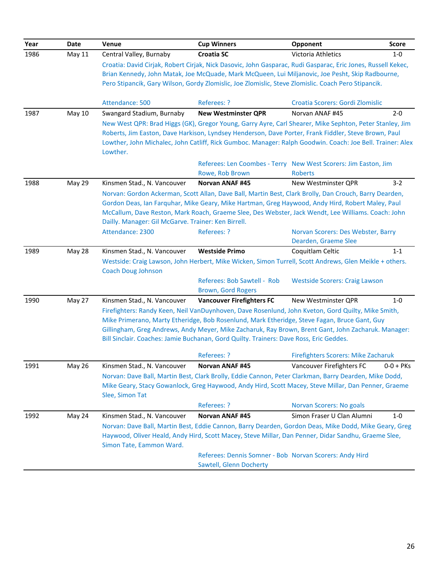| Year | <b>Date</b>   | Venue                                                                                                                                                                                                                                                                                                                                                                   | <b>Cup Winners</b>                                                                                                                                                                                                                                                                                                                                                                                  | Opponent                                                                          | <b>Score</b> |
|------|---------------|-------------------------------------------------------------------------------------------------------------------------------------------------------------------------------------------------------------------------------------------------------------------------------------------------------------------------------------------------------------------------|-----------------------------------------------------------------------------------------------------------------------------------------------------------------------------------------------------------------------------------------------------------------------------------------------------------------------------------------------------------------------------------------------------|-----------------------------------------------------------------------------------|--------------|
| 1986 | May 11        | Central Valley, Burnaby                                                                                                                                                                                                                                                                                                                                                 | <b>Croatia SC</b>                                                                                                                                                                                                                                                                                                                                                                                   | Victoria Athletics                                                                | $1-0$        |
|      |               |                                                                                                                                                                                                                                                                                                                                                                         | Croatia: David Cirjak, Robert Cirjak, Nick Dasovic, John Gasparac, Rudi Gasparac, Eric Jones, Russell Kekec,<br>Brian Kennedy, John Matak, Joe McQuade, Mark McQueen, Lui Miljanovic, Joe Pesht, Skip Radbourne,                                                                                                                                                                                    |                                                                                   |              |
|      |               |                                                                                                                                                                                                                                                                                                                                                                         | Pero Stipancik, Gary Wilson, Gordy Zlomislic, Joe Zlomislic, Steve Zlomislic. Coach Pero Stipancik.                                                                                                                                                                                                                                                                                                 |                                                                                   |              |
|      |               | Attendance: 500                                                                                                                                                                                                                                                                                                                                                         | Referees: ?                                                                                                                                                                                                                                                                                                                                                                                         | Croatia Scorers: Gordi Zlomislic                                                  |              |
| 1987 | <b>May 10</b> | Swangard Stadium, Burnaby                                                                                                                                                                                                                                                                                                                                               | <b>New Westminster QPR</b>                                                                                                                                                                                                                                                                                                                                                                          | Norvan ANAF #45                                                                   | $2 - 0$      |
|      |               | Lowther.                                                                                                                                                                                                                                                                                                                                                                | New West QPR: Brad Higgs (GK), Gregor Young, Garry Ayre, Carl Shearer, Mike Sephton, Peter Stanley, Jim<br>Roberts, Jim Easton, Dave Harkison, Lyndsey Henderson, Dave Porter, Frank Fiddler, Steve Brown, Paul<br>Lowther, John Michalec, John Catliff, Rick Gumboc. Manager: Ralph Goodwin. Coach: Joe Bell. Trainer: Alex                                                                        |                                                                                   |              |
|      |               |                                                                                                                                                                                                                                                                                                                                                                         | Rowe, Rob Brown                                                                                                                                                                                                                                                                                                                                                                                     | Referees: Len Coombes - Terry New West Scorers: Jim Easton, Jim<br><b>Roberts</b> |              |
| 1988 | <b>May 29</b> | Kinsmen Stad., N. Vancouver                                                                                                                                                                                                                                                                                                                                             | <b>Norvan ANAF #45</b>                                                                                                                                                                                                                                                                                                                                                                              | New Westminster QPR                                                               | $3-2$        |
|      |               | Norvan: Gordon Ackerman, Scott Allan, Dave Ball, Martin Best, Clark Brolly, Dan Crouch, Barry Dearden,<br>Gordon Deas, Ian Farquhar, Mike Geary, Mike Hartman, Greg Haywood, Andy Hird, Robert Maley, Paul<br>McCallum, Dave Reston, Mark Roach, Graeme Slee, Des Webster, Jack Wendt, Lee Williams. Coach: John<br>Dailly. Manager: Gil McGarve. Trainer: Ken Birrell. |                                                                                                                                                                                                                                                                                                                                                                                                     |                                                                                   |              |
|      |               | Attendance: 2300                                                                                                                                                                                                                                                                                                                                                        | Referees: ?                                                                                                                                                                                                                                                                                                                                                                                         | Norvan Scorers: Des Webster, Barry                                                |              |
|      |               |                                                                                                                                                                                                                                                                                                                                                                         |                                                                                                                                                                                                                                                                                                                                                                                                     | Dearden, Graeme Slee                                                              |              |
| 1989 | May 28        | Kinsmen Stad., N. Vancouver                                                                                                                                                                                                                                                                                                                                             | <b>Westside Primo</b>                                                                                                                                                                                                                                                                                                                                                                               | Coquitlam Celtic                                                                  | $1 - 1$      |
|      |               | <b>Coach Doug Johnson</b>                                                                                                                                                                                                                                                                                                                                               | Westside: Craig Lawson, John Herbert, Mike Wicken, Simon Turrell, Scott Andrews, Glen Meikle + others.                                                                                                                                                                                                                                                                                              |                                                                                   |              |
|      |               |                                                                                                                                                                                                                                                                                                                                                                         | Referees: Bob Sawtell - Rob<br>Brown, Gord Rogers                                                                                                                                                                                                                                                                                                                                                   | <b>Westside Scorers: Craig Lawson</b>                                             |              |
| 1990 | May 27        | Kinsmen Stad., N. Vancouver                                                                                                                                                                                                                                                                                                                                             | <b>Vancouver Firefighters FC</b>                                                                                                                                                                                                                                                                                                                                                                    | New Westminster QPR                                                               | $1 - 0$      |
|      |               |                                                                                                                                                                                                                                                                                                                                                                         | Firefighters: Randy Keen, Neil VanDuynhoven, Dave Rosenlund, John Kveton, Gord Quilty, Mike Smith,<br>Mike Primerano, Marty Etheridge, Bob Rosenlund, Mark Etheridge, Steve Fagan, Bruce Gant, Guy<br>Gillingham, Greg Andrews, Andy Meyer, Mike Zacharuk, Ray Brown, Brent Gant, John Zacharuk. Manager:<br>Bill Sinclair. Coaches: Jamie Buchanan, Gord Quilty. Trainers: Dave Ross, Eric Geddes. |                                                                                   |              |
|      |               |                                                                                                                                                                                                                                                                                                                                                                         | Referees: ?                                                                                                                                                                                                                                                                                                                                                                                         | <b>Firefighters Scorers: Mike Zacharuk</b>                                        |              |
| 1991 | <b>May 26</b> | Kinsmen Stad., N. Vancouver                                                                                                                                                                                                                                                                                                                                             | Norvan ANAF #45                                                                                                                                                                                                                                                                                                                                                                                     | Vancouver Firefighters FC                                                         | $0-0 + PKS$  |
|      |               | Slee, Simon Tat                                                                                                                                                                                                                                                                                                                                                         | Norvan: Dave Ball, Martin Best, Clark Brolly, Eddie Cannon, Peter Clarkman, Barry Dearden, Mike Dodd,<br>Mike Geary, Stacy Gowanlock, Greg Haywood, Andy Hird, Scott Macey, Steve Millar, Dan Penner, Graeme                                                                                                                                                                                        |                                                                                   |              |
|      |               |                                                                                                                                                                                                                                                                                                                                                                         | Referees: ?                                                                                                                                                                                                                                                                                                                                                                                         | <b>Norvan Scorers: No goals</b>                                                   |              |
| 1992 | May 24        | Kinsmen Stad., N. Vancouver                                                                                                                                                                                                                                                                                                                                             | Norvan ANAF #45                                                                                                                                                                                                                                                                                                                                                                                     | Simon Fraser U Clan Alumni                                                        | $1-0$        |
|      |               | Simon Tate, Eammon Ward.                                                                                                                                                                                                                                                                                                                                                | Norvan: Dave Ball, Martin Best, Eddie Cannon, Barry Dearden, Gordon Deas, Mike Dodd, Mike Geary, Greg<br>Haywood, Oliver Heald, Andy Hird, Scott Macey, Steve Millar, Dan Penner, Didar Sandhu, Graeme Slee,                                                                                                                                                                                        |                                                                                   |              |
|      |               |                                                                                                                                                                                                                                                                                                                                                                         | Referees: Dennis Somner - Bob Norvan Scorers: Andy Hird<br>Sawtell, Glenn Docherty                                                                                                                                                                                                                                                                                                                  |                                                                                   |              |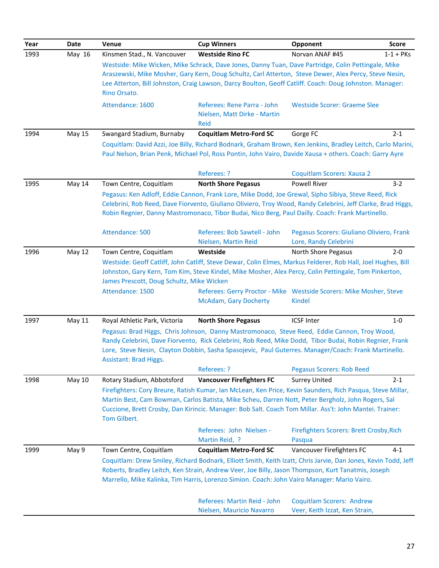| Year | Date          | Venue                                     | <b>Cup Winners</b>                                                                                      | Opponent                                                                                                                                                                                                             | <b>Score</b> |
|------|---------------|-------------------------------------------|---------------------------------------------------------------------------------------------------------|----------------------------------------------------------------------------------------------------------------------------------------------------------------------------------------------------------------------|--------------|
| 1993 | May 16        | Kinsmen Stad., N. Vancouver               | <b>Westside Rino FC</b>                                                                                 | Norvan ANAF #45                                                                                                                                                                                                      | $1-1 + PKS$  |
|      |               |                                           |                                                                                                         | Westside: Mike Wicken, Mike Schrack, Dave Jones, Danny Tuan, Dave Partridge, Colin Pettingale, Mike                                                                                                                  |              |
|      |               |                                           | Araszewski, Mike Mosher, Gary Kern, Doug Schultz, Carl Atterton, Steve Dewer, Alex Percy, Steve Nesin,  |                                                                                                                                                                                                                      |              |
|      |               |                                           |                                                                                                         | Lee Atterton, Bill Johnston, Craig Lawson, Darcy Boulton, Geoff Catliff. Coach: Doug Johnston. Manager:                                                                                                              |              |
|      |               | Rino Orsato.                              |                                                                                                         |                                                                                                                                                                                                                      |              |
|      |               | Attendance: 1600                          | Referees: Rene Parra - John                                                                             | <b>Westside Scorer: Graeme Slee</b>                                                                                                                                                                                  |              |
|      |               |                                           | Nielsen, Matt Dirke - Martin                                                                            |                                                                                                                                                                                                                      |              |
|      |               |                                           | Reid                                                                                                    |                                                                                                                                                                                                                      |              |
| 1994 | <b>May 15</b> | Swangard Stadium, Burnaby                 | <b>Coquitlam Metro-Ford SC</b>                                                                          | Gorge FC                                                                                                                                                                                                             | $2 - 1$      |
|      |               |                                           |                                                                                                         | Coquitlam: David Azzi, Joe Billy, Richard Bodnark, Graham Brown, Ken Jenkins, Bradley Leitch, Carlo Marini,                                                                                                          |              |
|      |               |                                           |                                                                                                         | Paul Nelson, Brian Penk, Michael Pol, Ross Pontin, John Vairo, Davide Xausa + others. Coach: Garry Ayre                                                                                                              |              |
|      |               |                                           |                                                                                                         |                                                                                                                                                                                                                      |              |
|      |               |                                           | Referees: ?                                                                                             | Coquitlam Scorers: Xausa 2                                                                                                                                                                                           |              |
| 1995 | May 14        | Town Centre, Coquitlam                    | <b>North Shore Pegasus</b>                                                                              | <b>Powell River</b>                                                                                                                                                                                                  | $3 - 2$      |
|      |               |                                           |                                                                                                         | Pegasus: Ken Adloff, Eddie Cannon, Frank Lore, Mike Dodd, Joe Grewal, Sipho Sibiya, Steve Reed, Rick<br>Celebrini, Rob Reed, Dave Fiorvento, Giuliano Oliviero, Troy Wood, Randy Celebrini, Jeff Clarke, Brad Higgs, |              |
|      |               |                                           |                                                                                                         | Robin Regnier, Danny Mastromonaco, Tibor Budai, Nico Berg, Paul Dailly. Coach: Frank Martinello.                                                                                                                     |              |
|      |               |                                           |                                                                                                         |                                                                                                                                                                                                                      |              |
|      |               | Attendance: 500                           | Referees: Bob Sawtell - John                                                                            | Pegasus Scorers: Giuliano Oliviero, Frank                                                                                                                                                                            |              |
|      |               |                                           | Nielsen, Martin Reid                                                                                    | Lore, Randy Celebrini                                                                                                                                                                                                |              |
| 1996 | May 12        | Town Centre, Coquitlam                    | Westside                                                                                                | North Shore Pegasus                                                                                                                                                                                                  | $2 - 0$      |
|      |               |                                           |                                                                                                         | Westside: Geoff Catliff, John Catliff, Steve Dewar, Colin Elmes, Markus Felderer, Rob Hall, Joel Hughes, Bill                                                                                                        |              |
|      |               |                                           |                                                                                                         | Johnston, Gary Kern, Tom Kim, Steve Kindel, Mike Mosher, Alex Percy, Colin Pettingale, Tom Pinkerton,                                                                                                                |              |
|      |               | James Prescott, Doug Schultz, Mike Wicken |                                                                                                         |                                                                                                                                                                                                                      |              |
|      |               | Attendance: 1500                          |                                                                                                         | Referees: Gerry Proctor - Mike Westside Scorers: Mike Mosher, Steve                                                                                                                                                  |              |
|      |               |                                           | <b>McAdam, Gary Docherty</b>                                                                            | <b>Kindel</b>                                                                                                                                                                                                        |              |
| 1997 | May 11        | Royal Athletic Park, Victoria             | <b>North Shore Pegasus</b>                                                                              | <b>ICSF Inter</b>                                                                                                                                                                                                    | $1-0$        |
|      |               |                                           |                                                                                                         | Pegasus: Brad Higgs, Chris Johnson, Danny Mastromonaco, Steve Reed, Eddie Cannon, Troy Wood,                                                                                                                         |              |
|      |               |                                           | Randy Celebrini, Dave Fiorvento, Rick Celebrini, Rob Reed, Mike Dodd, Tibor Budai, Robin Regnier, Frank |                                                                                                                                                                                                                      |              |
|      |               |                                           |                                                                                                         | Lore, Steve Nesin, Clayton Dobbin, Sasha Spasojevic, Paul Guterres. Manager/Coach: Frank Martinello.                                                                                                                 |              |
|      |               | <b>Assistant: Brad Higgs.</b>             |                                                                                                         |                                                                                                                                                                                                                      |              |
|      |               |                                           | Referees: ?                                                                                             | <b>Pegasus Scorers: Rob Reed</b>                                                                                                                                                                                     |              |
| 1998 | May 10        | Rotary Stadium, Abbotsford                | <b>Vancouver Firefighters FC</b>                                                                        | <b>Surrey United</b>                                                                                                                                                                                                 | $2 - 1$      |
|      |               |                                           |                                                                                                         | Firefighters: Cory Breure, Ratish Kumar, Ian McLean, Ken Price, Kevin Saunders, Rich Pasqua, Steve Millar,                                                                                                           |              |
|      |               |                                           |                                                                                                         | Martin Best, Cam Bowman, Carlos Batista, Mike Scheu, Darren Nott, Peter Bergholz, John Rogers, Sal                                                                                                                   |              |
|      |               | Tom Gilbert.                              |                                                                                                         | Cuccione, Brett Crosby, Dan Kirincic. Manager: Bob Salt. Coach Tom Millar. Ass't: John Mantei. Trainer:                                                                                                              |              |
|      |               |                                           | Referees: John Nielsen -                                                                                | <b>Firefighters Scorers: Brett Crosby, Rich</b>                                                                                                                                                                      |              |
|      |               |                                           | Martin Reid, ?                                                                                          | Pasqua                                                                                                                                                                                                               |              |
| 1999 | May 9         | Town Centre, Coquitlam                    | <b>Coquitlam Metro-Ford SC</b>                                                                          | Vancouver Firefighters FC                                                                                                                                                                                            | $4 - 1$      |
|      |               |                                           |                                                                                                         | Coquitlam: Drew Smiley, Richard Bodnark, Elliott Smith, Keith Izatt, Chris Jarvie, Dan Jones, Kevin Todd, Jeff                                                                                                       |              |
|      |               |                                           |                                                                                                         | Roberts, Bradley Leitch, Ken Strain, Andrew Veer, Joe Billy, Jason Thompson, Kurt Tanatmis, Joseph                                                                                                                   |              |
|      |               |                                           | Marrello, Mike Kalinka, Tim Harris, Lorenzo Simion. Coach: John Vairo Manager: Mario Vairo.             |                                                                                                                                                                                                                      |              |
|      |               |                                           |                                                                                                         |                                                                                                                                                                                                                      |              |
|      |               |                                           | Referees: Martin Reid - John                                                                            | <b>Coquitlam Scorers: Andrew</b>                                                                                                                                                                                     |              |
|      |               |                                           | Nielsen, Mauricio Navarro                                                                               | Veer, Keith Izzat, Ken Strain,                                                                                                                                                                                       |              |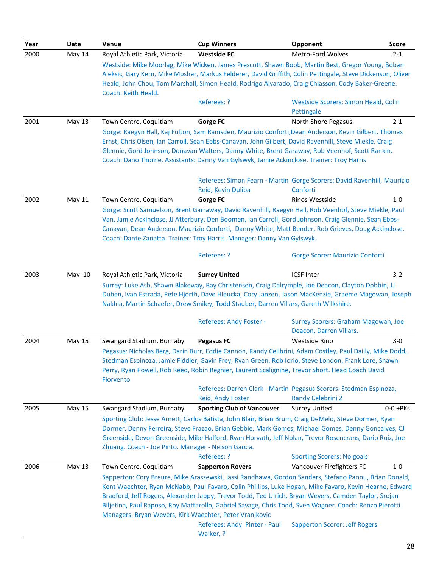| Year | Date   | Venue                                                   | <b>Cup Winners</b>                                                                                                                                                                                           | Opponent                                                                | <b>Score</b> |
|------|--------|---------------------------------------------------------|--------------------------------------------------------------------------------------------------------------------------------------------------------------------------------------------------------------|-------------------------------------------------------------------------|--------------|
| 2000 | May 14 | Royal Athletic Park, Victoria                           | <b>Westside FC</b>                                                                                                                                                                                           | Metro-Ford Wolves                                                       | $2 - 1$      |
|      |        |                                                         | Westside: Mike Moorlag, Mike Wicken, James Prescott, Shawn Bobb, Martin Best, Gregor Young, Boban                                                                                                            |                                                                         |              |
|      |        |                                                         | Aleksic, Gary Kern, Mike Mosher, Markus Felderer, David Griffith, Colin Pettingale, Steve Dickenson, Oliver                                                                                                  |                                                                         |              |
|      |        | Coach: Keith Heald.                                     | Heald, John Chou, Tom Marshall, Simon Heald, Rodrigo Alvarado, Craig Chiasson, Cody Baker-Greene.                                                                                                            |                                                                         |              |
|      |        |                                                         | Referees: ?                                                                                                                                                                                                  | Westside Scorers: Simon Heald, Colin                                    |              |
|      |        |                                                         |                                                                                                                                                                                                              | Pettingale                                                              |              |
| 2001 | May 13 | Town Centre, Coquitlam                                  | <b>Gorge FC</b>                                                                                                                                                                                              | <b>North Shore Pegasus</b>                                              | $2 - 1$      |
|      |        |                                                         | Gorge: Raegyn Hall, Kaj Fulton, Sam Ramsden, Maurizio Conforti, Dean Anderson, Kevin Gilbert, Thomas                                                                                                         |                                                                         |              |
|      |        |                                                         | Ernst, Chris Olsen, Ian Carroll, Sean Ebbs-Canavan, John Gilbert, David Ravenhill, Steve Miekle, Craig                                                                                                       |                                                                         |              |
|      |        |                                                         | Glennie, Gord Johnson, Donavan Walters, Danny White, Brent Garaway, Rob Veenhof, Scott Rankin.<br>Coach: Dano Thorne. Assistants: Danny Van Gylswyk, Jamie Ackinclose. Trainer: Troy Harris                  |                                                                         |              |
|      |        |                                                         |                                                                                                                                                                                                              |                                                                         |              |
|      |        |                                                         |                                                                                                                                                                                                              | Referees: Simon Fearn - Martin Gorge Scorers: David Ravenhill, Maurizio |              |
|      |        |                                                         | Reid, Kevin Duliba                                                                                                                                                                                           | Conforti                                                                |              |
| 2002 | May 11 | Town Centre, Coquitlam                                  | <b>Gorge FC</b>                                                                                                                                                                                              | Rinos Westside                                                          | $1 - 0$      |
|      |        |                                                         | Gorge: Scott Samuelson, Brent Garraway, David Ravenhill, Raegyn Hall, Rob Veenhof, Steve Miekle, Paul                                                                                                        |                                                                         |              |
|      |        |                                                         | Van, Jamie Ackinclose, JJ Atterbury, Den Boomen, Ian Carroll, Gord Johnson, Craig Glennie, Sean Ebbs-                                                                                                        |                                                                         |              |
|      |        |                                                         | Canavan, Dean Anderson, Maurizio Conforti, Danny White, Matt Bender, Rob Grieves, Doug Ackinclose.                                                                                                           |                                                                         |              |
|      |        |                                                         | Coach: Dante Zanatta. Trainer: Troy Harris. Manager: Danny Van Gylswyk.                                                                                                                                      |                                                                         |              |
|      |        |                                                         | Referees: ?                                                                                                                                                                                                  | Gorge Scorer: Maurizio Conforti                                         |              |
|      |        |                                                         |                                                                                                                                                                                                              |                                                                         |              |
| 2003 | May 10 | Royal Athletic Park, Victoria                           | <b>Surrey United</b>                                                                                                                                                                                         | <b>ICSF Inter</b>                                                       | $3 - 2$      |
|      |        |                                                         | Surrey: Luke Ash, Shawn Blakeway, Ray Christensen, Craig Dalrymple, Joe Deacon, Clayton Dobbin, JJ                                                                                                           |                                                                         |              |
|      |        |                                                         | Duben, Ivan Estrada, Pete Hjorth, Dave Hleucka, Cory Janzen, Jason MacKenzie, Graeme Magowan, Joseph                                                                                                         |                                                                         |              |
|      |        |                                                         | Nakhla, Martin Schaefer, Drew Smiley, Todd Stauber, Darren Villars, Gareth Wilkshire.                                                                                                                        |                                                                         |              |
|      |        |                                                         | Referees: Andy Foster -                                                                                                                                                                                      | Surrey Scorers: Graham Magowan, Joe                                     |              |
|      |        |                                                         |                                                                                                                                                                                                              | Deacon, Darren Villars.                                                 |              |
| 2004 | May 15 | Swangard Stadium, Burnaby                               | <b>Pegasus FC</b>                                                                                                                                                                                            | Westside Rino                                                           | $3-0$        |
|      |        |                                                         | Pegasus: Nicholas Berg, Darin Burr, Eddie Cannon, Randy Celibrini, Adam Costley, Paul Dailly, Mike Dodd,                                                                                                     |                                                                         |              |
|      |        |                                                         | Stedman Espinoza, Jamie Fiddler, Gavin Frey, Ryan Green, Rob Iorio, Steve London, Frank Lore, Shawn                                                                                                          |                                                                         |              |
|      |        |                                                         | Perry, Ryan Powell, Rob Reed, Robin Regnier, Laurent Scalignine, Trevor Short. Head Coach David                                                                                                              |                                                                         |              |
|      |        | Fiorvento                                               |                                                                                                                                                                                                              |                                                                         |              |
|      |        |                                                         |                                                                                                                                                                                                              | Referees: Darren Clark - Martin Pegasus Scorers: Stedman Espinoza,      |              |
|      |        |                                                         | Reid, Andy Foster                                                                                                                                                                                            | Randy Celebrini 2                                                       |              |
| 2005 | May 15 | Swangard Stadium, Burnaby                               | <b>Sporting Club of Vancouver</b>                                                                                                                                                                            | <b>Surrey United</b>                                                    | $0-0+PKs$    |
|      |        |                                                         | Sporting Club: Jesse Arnett, Carlos Batista, John Blair, Brian Brum, Craig DeMelo, Steve Dormer, Ryan                                                                                                        |                                                                         |              |
|      |        |                                                         | Dormer, Denny Ferreira, Steve Frazao, Brian Gebbie, Mark Gomes, Michael Gomes, Denny Goncalves, CJ<br>Greenside, Devon Greenside, Mike Halford, Ryan Horvath, Jeff Nolan, Trevor Rosencrans, Dario Ruiz, Joe |                                                                         |              |
|      |        | Zhuang. Coach - Joe Pinto. Manager - Nelson Garcia.     |                                                                                                                                                                                                              |                                                                         |              |
|      |        |                                                         | Referees: ?                                                                                                                                                                                                  | <b>Sporting Scorers: No goals</b>                                       |              |
| 2006 | May 13 | Town Centre, Coquitlam                                  | <b>Sapperton Rovers</b>                                                                                                                                                                                      | Vancouver Firefighters FC                                               | $1-0$        |
|      |        |                                                         | Sapperton: Cory Breure, Mike Araszewski, Jassi Randhawa, Gordon Sanders, Stefano Pannu, Brian Donald,                                                                                                        |                                                                         |              |
|      |        |                                                         | Kent Waechter, Ryan McNabb, Paul Favaro, Colin Phillips, Luke Hogan, Mike Favaro, Kevin Hearne, Edward                                                                                                       |                                                                         |              |
|      |        |                                                         | Bradford, Jeff Rogers, Alexander Jappy, Trevor Todd, Ted Ulrich, Bryan Wevers, Camden Taylor, Srojan                                                                                                         |                                                                         |              |
|      |        |                                                         | Biljetina, Paul Raposo, Roy Mattarollo, Gabriel Savage, Chris Todd, Sven Wagner. Coach: Renzo Pierotti.                                                                                                      |                                                                         |              |
|      |        | Managers: Bryan Wevers, Kirk Waechter, Peter Vranjkovic |                                                                                                                                                                                                              |                                                                         |              |
|      |        |                                                         | Referees: Andy Pinter - Paul                                                                                                                                                                                 | <b>Sapperton Scorer: Jeff Rogers</b>                                    |              |
|      |        |                                                         | Walker, ?                                                                                                                                                                                                    |                                                                         |              |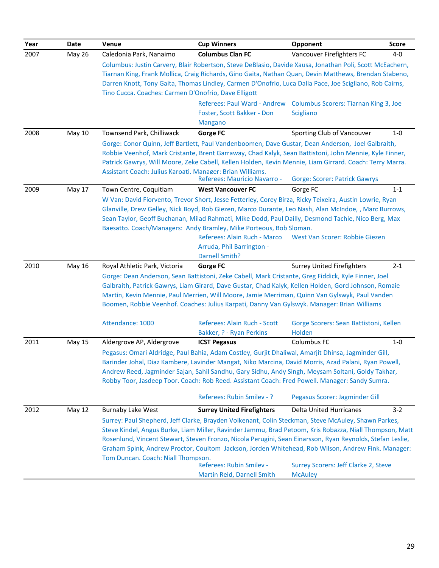| Year | Date          | Venue                                                                                              | <b>Cup Winners</b>                                                                                                                                                                                              | Opponent                               | <b>Score</b> |  |
|------|---------------|----------------------------------------------------------------------------------------------------|-----------------------------------------------------------------------------------------------------------------------------------------------------------------------------------------------------------------|----------------------------------------|--------------|--|
| 2007 | <b>May 26</b> | Caledonia Park, Nanaimo                                                                            | <b>Columbus Clan FC</b>                                                                                                                                                                                         | Vancouver Firefighters FC              | 4-0          |  |
|      |               |                                                                                                    | Columbus: Justin Carvery, Blair Robertson, Steve DeBlasio, Davide Xausa, Jonathan Poli, Scott McEachern,                                                                                                        |                                        |              |  |
|      |               |                                                                                                    | Tiarnan King, Frank Mollica, Craig Richards, Gino Gaita, Nathan Quan, Devin Matthews, Brendan Stabeno,                                                                                                          |                                        |              |  |
|      |               | Tino Cucca. Coaches: Carmen D'Onofrio, Dave Elligott                                               | Darren Knott, Tony Gaita, Thomas Lindley, Carmen D'Onofrio, Luca Dalla Pace, Joe Scigliano, Rob Cairns,                                                                                                         |                                        |              |  |
|      |               |                                                                                                    | Referees: Paul Ward - Andrew                                                                                                                                                                                    | Columbus Scorers: Tiarnan King 3, Joe  |              |  |
|      |               |                                                                                                    | Foster, Scott Bakker - Don                                                                                                                                                                                      | <b>Scigliano</b>                       |              |  |
|      |               |                                                                                                    | <b>Mangano</b>                                                                                                                                                                                                  |                                        |              |  |
| 2008 | May 10        | Townsend Park, Chilliwack                                                                          | <b>Gorge FC</b>                                                                                                                                                                                                 | Sporting Club of Vancouver             | $1 - 0$      |  |
|      |               |                                                                                                    | Gorge: Conor Quinn, Jeff Bartlett, Paul Vandenboomen, Dave Gustar, Dean Anderson, Joel Galbraith,                                                                                                               |                                        |              |  |
|      |               |                                                                                                    | Robbie Veenhof, Mark Cristante, Brent Garraway, Chad Kalyk, Sean Battistoni, John Mennie, Kyle Finner,                                                                                                          |                                        |              |  |
|      |               |                                                                                                    | Patrick Gawrys, Will Moore, Zeke Cabell, Kellen Holden, Kevin Mennie, Liam Girrard. Coach: Terry Marra.                                                                                                         |                                        |              |  |
|      |               | Assistant Coach: Julius Karpati. Manager: Brian Williams.                                          | Referees: Mauricio Navarro -                                                                                                                                                                                    | <b>Gorge: Scorer: Patrick Gawrys</b>   |              |  |
| 2009 | May 17        | Town Centre, Coquitlam                                                                             | <b>West Vancouver FC</b>                                                                                                                                                                                        | Gorge FC                               | $1 - 1$      |  |
|      |               |                                                                                                    | W Van: David Fiorvento, Trevor Short, Jesse Fetterley, Corey Birza, Ricky Teixeira, Austin Lowrie, Ryan                                                                                                         |                                        |              |  |
|      |               |                                                                                                    | Glanville, Drew Gelley, Nick Boyd, Rob Giezen, Marco Durante, Leo Nash, Alan McIndoe, , Marc Burrows,                                                                                                           |                                        |              |  |
|      |               | Sean Taylor, Geoff Buchanan, Milad Rahmati, Mike Dodd, Paul Dailly, Desmond Tachie, Nico Berg, Max |                                                                                                                                                                                                                 |                                        |              |  |
|      |               |                                                                                                    | Baesatto. Coach/Managers: Andy Bramley, Mike Porteous, Bob Sloman.<br>Referees: Alain Ruch - Marco                                                                                                              | West Van Scorer: Robbie Giezen         |              |  |
|      |               |                                                                                                    | Arruda, Phil Barrington -                                                                                                                                                                                       |                                        |              |  |
|      |               |                                                                                                    | <b>Darnell Smith?</b>                                                                                                                                                                                           |                                        |              |  |
| 2010 | May 16        | Royal Athletic Park, Victoria                                                                      | <b>Gorge FC</b>                                                                                                                                                                                                 | <b>Surrey United Firefighters</b>      | $2 - 1$      |  |
|      |               |                                                                                                    | Gorge: Dean Anderson, Sean Battistoni, Zeke Cabell, Mark Cristante, Greg Fiddick, Kyle Finner, Joel                                                                                                             |                                        |              |  |
|      |               |                                                                                                    | Galbraith, Patrick Gawrys, Liam Girard, Dave Gustar, Chad Kalyk, Kellen Holden, Gord Johnson, Romaie                                                                                                            |                                        |              |  |
|      |               |                                                                                                    | Martin, Kevin Mennie, Paul Merrien, Will Moore, Jamie Merriman, Quinn Van Gylswyk, Paul Vanden<br>Boomen, Robbie Veenhof. Coaches: Julius Karpati, Danny Van Gylswyk. Manager: Brian Williams                   |                                        |              |  |
|      |               |                                                                                                    |                                                                                                                                                                                                                 |                                        |              |  |
|      |               | Attendance: 1000                                                                                   | Referees: Alain Ruch - Scott                                                                                                                                                                                    | Gorge Scorers: Sean Battistoni, Kellen |              |  |
|      |               |                                                                                                    | Bakker, ? - Ryan Perkins                                                                                                                                                                                        | Holden                                 |              |  |
| 2011 | May 15        | Aldergrove AP, Aldergrove                                                                          | <b>ICST Pegasus</b>                                                                                                                                                                                             | Columbus FC                            | $1 - 0$      |  |
|      |               |                                                                                                    | Pegasus: Omari Aldridge, Paul Bahia, Adam Costley, Gurjit Dhaliwal, Amarjit Dhinsa, Jagminder Gill,                                                                                                             |                                        |              |  |
|      |               |                                                                                                    | Barinder Johal, Diaz Kambere, Lavinder Mangat, Niko Marcina, David Morris, Azad Palani, Ryan Powell,                                                                                                            |                                        |              |  |
|      |               |                                                                                                    | Andrew Reed, Jagminder Sajan, Sahil Sandhu, Gary Sidhu, Andy Singh, Meysam Soltani, Goldy Takhar,<br>Robby Toor, Jasdeep Toor. Coach: Rob Reed. Assistant Coach: Fred Powell. Manager: Sandy Sumra.             |                                        |              |  |
|      |               |                                                                                                    |                                                                                                                                                                                                                 |                                        |              |  |
|      |               |                                                                                                    | Referees: Rubin Smilev - ?                                                                                                                                                                                      | Pegasus Scorer: Jagminder Gill         |              |  |
| 2012 | May 12        | <b>Burnaby Lake West</b>                                                                           | <b>Surrey United Firefighters</b>                                                                                                                                                                               | Delta United Hurricanes                | $3-2$        |  |
|      |               |                                                                                                    | Surrey: Paul Shepherd, Jeff Clarke, Brayden Volkenant, Colin Steckman, Steve McAuley, Shawn Parkes,                                                                                                             |                                        |              |  |
|      |               |                                                                                                    | Steve Kindel, Angus Burke, Liam Miller, Ravinder Jammu, Brad Petoom, Kris Robazza, Niall Thompson, Matt                                                                                                         |                                        |              |  |
|      |               |                                                                                                    | Rosenlund, Vincent Stewart, Steven Fronzo, Nicola Perugini, Sean Einarsson, Ryan Reynolds, Stefan Leslie,<br>Graham Spink, Andrew Proctor, Coultom Jackson, Jorden Whitehead, Rob Wilson, Andrew Fink. Manager: |                                        |              |  |
|      |               | Tom Duncan. Coach: Niall Thompson.                                                                 |                                                                                                                                                                                                                 |                                        |              |  |
|      |               |                                                                                                    | Referees: Rubin Smilev -                                                                                                                                                                                        | Surrey Scorers: Jeff Clarke 2, Steve   |              |  |
|      |               |                                                                                                    | Martin Reid, Darnell Smith                                                                                                                                                                                      | <b>McAuley</b>                         |              |  |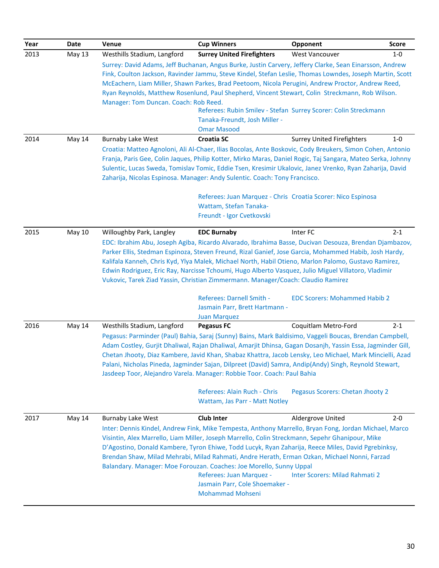| Year | Date          | <b>Venue</b>                                                                                                                                                                                                            | <b>Cup Winners</b>                | Opponent                                                                                                   | <b>Score</b> |  |  |
|------|---------------|-------------------------------------------------------------------------------------------------------------------------------------------------------------------------------------------------------------------------|-----------------------------------|------------------------------------------------------------------------------------------------------------|--------------|--|--|
| 2013 | May 13        | Westhills Stadium, Langford                                                                                                                                                                                             | <b>Surrey United Firefighters</b> | West Vancouver                                                                                             | $1 - 0$      |  |  |
|      |               |                                                                                                                                                                                                                         |                                   | Surrey: David Adams, Jeff Buchanan, Angus Burke, Justin Carvery, Jeffery Clarke, Sean Einarsson, Andrew    |              |  |  |
|      |               |                                                                                                                                                                                                                         |                                   | Fink, Coulton Jackson, Ravinder Jammu, Steve Kindel, Stefan Leslie, Thomas Lowndes, Joseph Martin, Scott   |              |  |  |
|      |               |                                                                                                                                                                                                                         |                                   | McEachern, Liam Miller, Shawn Parkes, Brad Peetoom, Nicola Perugini, Andrew Proctor, Andrew Reed,          |              |  |  |
|      |               |                                                                                                                                                                                                                         |                                   | Ryan Reynolds, Matthew Rosenlund, Paul Shepherd, Vincent Stewart, Colin Streckmann, Rob Wilson.            |              |  |  |
|      |               | Manager: Tom Duncan. Coach: Rob Reed.                                                                                                                                                                                   |                                   |                                                                                                            |              |  |  |
|      |               |                                                                                                                                                                                                                         |                                   | Referees: Rubin Smilev - Stefan Surrey Scorer: Colin Streckmann                                            |              |  |  |
|      |               |                                                                                                                                                                                                                         | Tanaka-Freundt, Josh Miller -     |                                                                                                            |              |  |  |
|      |               |                                                                                                                                                                                                                         | <b>Omar Masood</b>                |                                                                                                            |              |  |  |
| 2014 | May 14        | <b>Burnaby Lake West</b>                                                                                                                                                                                                | <b>Croatia SC</b>                 | <b>Surrey United Firefighters</b>                                                                          | $1 - 0$      |  |  |
|      |               |                                                                                                                                                                                                                         |                                   | Croatia: Matteo Agnoloni, Ali Al-Chaer, Ilias Bocolas, Ante Boskovic, Cody Breukers, Simon Cohen, Antonio  |              |  |  |
|      |               | Franja, Paris Gee, Colin Jaques, Philip Kotter, Mirko Maras, Daniel Rogic, Taj Sangara, Mateo Serka, Johnny<br>Sulentic, Lucas Sweda, Tomislav Tomic, Eddie Tsen, Kresimir Ukalovic, Janez Vrenko, Ryan Zaharija, David |                                   |                                                                                                            |              |  |  |
|      |               | Zaharija, Nicolas Espinosa. Manager: Andy Sulentic. Coach: Tony Francisco.                                                                                                                                              |                                   |                                                                                                            |              |  |  |
|      |               |                                                                                                                                                                                                                         |                                   |                                                                                                            |              |  |  |
|      |               |                                                                                                                                                                                                                         |                                   | Referees: Juan Marquez - Chris Croatia Scorer: Nico Espinosa                                               |              |  |  |
|      |               |                                                                                                                                                                                                                         | Wattam, Stefan Tanaka-            |                                                                                                            |              |  |  |
|      |               |                                                                                                                                                                                                                         | Freundt - Igor Cvetkovski         |                                                                                                            |              |  |  |
|      |               |                                                                                                                                                                                                                         |                                   |                                                                                                            |              |  |  |
| 2015 | <b>May 10</b> | Willoughby Park, Langley                                                                                                                                                                                                | <b>EDC Burnaby</b>                | Inter FC                                                                                                   | $2 - 1$      |  |  |
|      |               | EDC: Ibrahim Abu, Joseph Agiba, Ricardo Alvarado, Ibrahima Basse, Ducivan Desouza, Brendan Djambazov,                                                                                                                   |                                   |                                                                                                            |              |  |  |
|      |               | Parker Ellis, Stedman Espinoza, Steven Freund, Rizal Ganief, Jose Garcia, Mohammed Habib, Josh Hardy,                                                                                                                   |                                   |                                                                                                            |              |  |  |
|      |               |                                                                                                                                                                                                                         |                                   | Kalifala Kanneh, Chris Kyd, Ylya Malek, Michael North, Habil Otieno, Marlon Palomo, Gustavo Ramirez,       |              |  |  |
|      |               | Edwin Rodriguez, Eric Ray, Narcisse Tchoumi, Hugo Alberto Vasquez, Julio Miguel Villatoro, Vladimir                                                                                                                     |                                   |                                                                                                            |              |  |  |
|      |               | Vukovic, Tarek Ziad Yassin, Christian Zimmermann. Manager/Coach: Claudio Ramirez                                                                                                                                        |                                   |                                                                                                            |              |  |  |
|      |               |                                                                                                                                                                                                                         | Referees: Darnell Smith -         | <b>EDC Scorers: Mohammed Habib 2</b>                                                                       |              |  |  |
|      |               |                                                                                                                                                                                                                         | Jasmain Parr, Brett Hartmann -    |                                                                                                            |              |  |  |
|      |               |                                                                                                                                                                                                                         | <b>Juan Marquez</b>               |                                                                                                            |              |  |  |
| 2016 | May 14        | Westhills Stadium, Langford                                                                                                                                                                                             | <b>Pegasus FC</b>                 | Coquitlam Metro-Ford                                                                                       | $2 - 1$      |  |  |
|      |               |                                                                                                                                                                                                                         |                                   | Pegasus: Parminder (Paul) Bahia, Saraj (Sunny) Bains, Mark Baldisimo, Vaggeli Boucas, Brendan Campbell,    |              |  |  |
|      |               |                                                                                                                                                                                                                         |                                   | Adam Costley, Gurjit Dhaliwal, Rajan Dhaliwal, Amarjit Dhinsa, Gagan Dosanjh, Yassin Essa, Jagminder Gill, |              |  |  |
|      |               |                                                                                                                                                                                                                         |                                   | Chetan Jhooty, Diaz Kambere, Javid Khan, Shabaz Khattra, Jacob Lensky, Leo Michael, Mark Mincielli, Azad   |              |  |  |
|      |               |                                                                                                                                                                                                                         |                                   | Palani, Nicholas Pineda, Jagminder Sajan, Dilpreet (David) Samra, Andip(Andy) Singh, Reynold Stewart,      |              |  |  |
|      |               | Jasdeep Toor, Alejandro Varela. Manager: Robbie Toor. Coach: Paul Bahia                                                                                                                                                 |                                   |                                                                                                            |              |  |  |
|      |               |                                                                                                                                                                                                                         |                                   |                                                                                                            |              |  |  |
|      |               |                                                                                                                                                                                                                         | Referees: Alain Ruch - Chris      | Pegasus Scorers: Chetan Jhooty 2                                                                           |              |  |  |
|      |               |                                                                                                                                                                                                                         | Wattam, Jas Parr - Matt Notley    |                                                                                                            |              |  |  |
| 2017 | May 14        | <b>Burnaby Lake West</b>                                                                                                                                                                                                | <b>Club Inter</b>                 | Aldergrove United                                                                                          | $2 - 0$      |  |  |
|      |               |                                                                                                                                                                                                                         |                                   | Inter: Dennis Kindel, Andrew Fink, Mike Tempesta, Anthony Marrello, Bryan Fong, Jordan Michael, Marco      |              |  |  |
|      |               |                                                                                                                                                                                                                         |                                   | Visintin, Alex Marrello, Liam Miller, Joseph Marrello, Colin Streckmann, Sepehr Ghanipour, Mike            |              |  |  |
|      |               |                                                                                                                                                                                                                         |                                   | D'Agostino, Donald Kambere, Tyron Ehiwe, Todd Lucyk, Ryan Zaharija, Reece Miles, David Pgrebinksy,         |              |  |  |
|      |               |                                                                                                                                                                                                                         |                                   | Brendan Shaw, Milad Mehrabi, Milad Rahmati, Andre Herath, Erman Ozkan, Michael Nonni, Farzad               |              |  |  |
|      |               | Balandary. Manager: Moe Forouzan. Coaches: Joe Morello, Sunny Uppal                                                                                                                                                     |                                   |                                                                                                            |              |  |  |
|      |               |                                                                                                                                                                                                                         | Referees: Juan Marquez -          | Inter Scorers: Milad Rahmati 2                                                                             |              |  |  |
|      |               |                                                                                                                                                                                                                         | Jasmain Parr, Cole Shoemaker -    |                                                                                                            |              |  |  |
|      |               |                                                                                                                                                                                                                         | <b>Mohammad Mohseni</b>           |                                                                                                            |              |  |  |
|      |               |                                                                                                                                                                                                                         |                                   |                                                                                                            |              |  |  |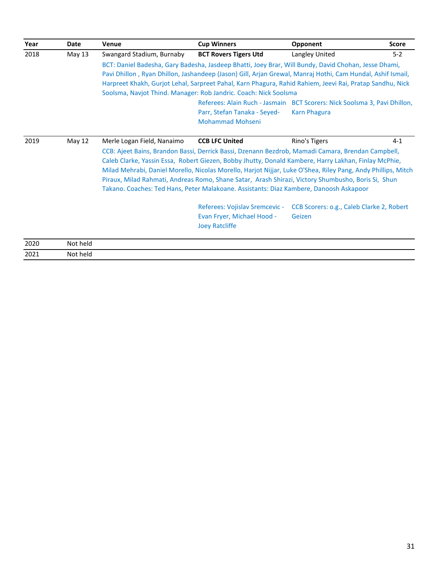| Year | Date     | Venue                                                                                                                                                                                                                                                                                                                                                                                                                                                                                                                     | <b>Cup Winners</b>                                                                                                                                                                                                                                                                                                                                                                                                                 | Opponent                                                                                         | <b>Score</b> |  |  |
|------|----------|---------------------------------------------------------------------------------------------------------------------------------------------------------------------------------------------------------------------------------------------------------------------------------------------------------------------------------------------------------------------------------------------------------------------------------------------------------------------------------------------------------------------------|------------------------------------------------------------------------------------------------------------------------------------------------------------------------------------------------------------------------------------------------------------------------------------------------------------------------------------------------------------------------------------------------------------------------------------|--------------------------------------------------------------------------------------------------|--------------|--|--|
| 2018 | May 13   | Swangard Stadium, Burnaby                                                                                                                                                                                                                                                                                                                                                                                                                                                                                                 | <b>BCT Rovers Tigers Utd</b>                                                                                                                                                                                                                                                                                                                                                                                                       | Langley United                                                                                   | $5-2$        |  |  |
|      |          |                                                                                                                                                                                                                                                                                                                                                                                                                                                                                                                           | BCT: Daniel Badesha, Gary Badesha, Jasdeep Bhatti, Joey Brar, Will Bundy, David Chohan, Jesse Dhami,<br>Pavi Dhillon, Ryan Dhillon, Jashandeep (Jason) Gill, Arjan Grewal, Manraj Hothi, Cam Hundal, Ashif Ismail,<br>Harpreet Khakh, Gurjot Lehal, Sarpreet Pahal, Karn Phagura, Rahid Rahiem, Jeevi Rai, Pratap Sandhu, Nick<br>Soolsma, Navjot Thind. Manager: Rob Jandric. Coach: Nick Soolsma<br>Parr, Stefan Tanaka - Seyed- | Referees: Alain Ruch - Jasmain BCT Scorers: Nick Soolsma 3, Pavi Dhillon,<br><b>Karn Phagura</b> |              |  |  |
|      |          |                                                                                                                                                                                                                                                                                                                                                                                                                                                                                                                           | <b>Mohammad Mohseni</b>                                                                                                                                                                                                                                                                                                                                                                                                            |                                                                                                  |              |  |  |
| 2019 | May 12   | Merle Logan Field, Nanaimo                                                                                                                                                                                                                                                                                                                                                                                                                                                                                                | <b>CCB LFC United</b>                                                                                                                                                                                                                                                                                                                                                                                                              | Rino's Tigers                                                                                    | $4-1$        |  |  |
|      |          | CCB: Ajeet Bains, Brandon Bassi, Derrick Bassi, Dzenann Bezdrob, Mamadi Camara, Brendan Campbell,<br>Caleb Clarke, Yassin Essa, Robert Giezen, Bobby Jhutty, Donald Kambere, Harry Lakhan, Finlay McPhie,<br>Milad Mehrabi, Daniel Morello, Nicolas Morello, Harjot Nijjar, Luke O'Shea, Riley Pang, Andy Phillips, Mitch<br>Piraux, Milad Rahmati, Andreas Romo, Shane Satar, Arash Shirazi, Victory Shumbusho, Boris Si, Shun<br>Takano. Coaches: Ted Hans, Peter Malakoane. Assistants: Diaz Kambere, Danoosh Askapoor |                                                                                                                                                                                                                                                                                                                                                                                                                                    |                                                                                                  |              |  |  |
|      |          |                                                                                                                                                                                                                                                                                                                                                                                                                                                                                                                           | Referees: Vojislav Sremcevic -<br>Evan Fryer, Michael Hood -<br><b>Joey Ratcliffe</b>                                                                                                                                                                                                                                                                                                                                              | CCB Scorers: o.g., Caleb Clarke 2, Robert<br>Geizen                                              |              |  |  |
| 2020 | Not held |                                                                                                                                                                                                                                                                                                                                                                                                                                                                                                                           |                                                                                                                                                                                                                                                                                                                                                                                                                                    |                                                                                                  |              |  |  |
| 2021 | Not held |                                                                                                                                                                                                                                                                                                                                                                                                                                                                                                                           |                                                                                                                                                                                                                                                                                                                                                                                                                                    |                                                                                                  |              |  |  |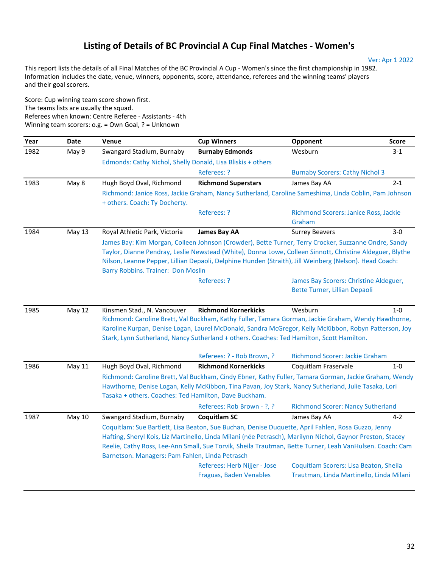### **Listing of Details of BC Provincial A Cup Final Matches - Women's**

This report lists the details of all Final Matches of the BC Provincial A Cup - Women's since the first championship in 1982. Information includes the date, venue, winners, opponents, score, attendance, referees and the winning teams' players and their goal scorers.

Score: Cup winning team score shown first. The teams lists are usually the squad. Referees when known: Centre Referee - Assistants - 4th Winning team scorers: o.g. = Own Goal, ? = Unknown

| Year | Date          | <b>Venue</b>                                                | <b>Cup Winners</b>                                                                                                                                                                                                                                                                                                                                           | Opponent                                        | <b>Score</b> |
|------|---------------|-------------------------------------------------------------|--------------------------------------------------------------------------------------------------------------------------------------------------------------------------------------------------------------------------------------------------------------------------------------------------------------------------------------------------------------|-------------------------------------------------|--------------|
| 1982 | May 9         | Swangard Stadium, Burnaby                                   | <b>Burnaby Edmonds</b>                                                                                                                                                                                                                                                                                                                                       | Wesburn                                         | $3 - 1$      |
|      |               | Edmonds: Cathy Nichol, Shelly Donald, Lisa Bliskis + others |                                                                                                                                                                                                                                                                                                                                                              |                                                 |              |
|      |               |                                                             | Referees: ?                                                                                                                                                                                                                                                                                                                                                  | <b>Burnaby Scorers: Cathy Nichol 3</b>          |              |
| 1983 | May 8         | Hugh Boyd Oval, Richmond                                    | <b>Richmond Superstars</b>                                                                                                                                                                                                                                                                                                                                   | James Bay AA                                    | $2 - 1$      |
|      |               | + others. Coach: Ty Docherty.                               | Richmond: Janice Ross, Jackie Graham, Nancy Sutherland, Caroline Sameshima, Linda Coblin, Pam Johnson                                                                                                                                                                                                                                                        |                                                 |              |
|      |               |                                                             | Referees: ?                                                                                                                                                                                                                                                                                                                                                  | Richmond Scorers: Janice Ross, Jackie<br>Graham |              |
| 1984 | <b>May 13</b> | Royal Athletic Park, Victoria                               | <b>James Bay AA</b>                                                                                                                                                                                                                                                                                                                                          | <b>Surrey Beavers</b>                           | $3-0$        |
|      |               | Barry Robbins. Trainer: Don Moslin                          | Taylor, Dianne Pendray, Leslie Newstead (White), Donna Lowe, Colleen Sinnott, Christine Aldeguer, Blythe<br>Nilson, Leanne Pepper, Lillian Depaoli, Delphine Hunden (Straith), Jill Weinberg (Nelson). Head Coach:<br>Referees: ?                                                                                                                            | James Bay Scorers: Christine Aldeguer,          |              |
|      |               |                                                             |                                                                                                                                                                                                                                                                                                                                                              | Bette Turner, Lillian Depaoli                   |              |
| 1985 | <b>May 12</b> | Kinsmen Stad., N. Vancouver                                 | <b>Richmond Kornerkicks</b><br>Richmond: Caroline Brett, Val Buckham, Kathy Fuller, Tamara Gorman, Jackie Graham, Wendy Hawthorne,<br>Karoline Kurpan, Denise Logan, Laurel McDonald, Sandra McGregor, Kelly McKibbon, Robyn Patterson, Joy<br>Stark, Lynn Sutherland, Nancy Sutherland + others. Coaches: Ted Hamilton, Scott Hamilton.                     | Wesburn                                         | $1-0$        |
|      |               |                                                             | Referees: ? - Rob Brown, ?                                                                                                                                                                                                                                                                                                                                   | Richmond Scorer: Jackie Graham                  |              |
| 1986 | May 11        | Hugh Boyd Oval, Richmond                                    | <b>Richmond Kornerkicks</b>                                                                                                                                                                                                                                                                                                                                  | Coquitlam Fraservale                            | $1-0$        |
|      |               | Tasaka + others. Coaches: Ted Hamilton, Dave Buckham.       | Richmond: Caroline Brett, Val Buckham, Cindy Ebner, Kathy Fuller, Tamara Gorman, Jackie Graham, Wendy<br>Hawthorne, Denise Logan, Kelly McKibbon, Tina Pavan, Joy Stark, Nancy Sutherland, Julie Tasaka, Lori                                                                                                                                                |                                                 |              |
|      |               |                                                             | Referees: Rob Brown - ?, ?                                                                                                                                                                                                                                                                                                                                   | <b>Richmond Scorer: Nancy Sutherland</b>        |              |
| 1987 | May 10        | Swangard Stadium, Burnaby                                   | <b>Coquitlam SC</b>                                                                                                                                                                                                                                                                                                                                          | James Bay AA                                    | $4 - 2$      |
|      |               | Barnetson. Managers: Pam Fahlen, Linda Petrasch             | Coquitlam: Sue Bartlett, Lisa Beaton, Sue Buchan, Denise Duquette, April Fahlen, Rosa Guzzo, Jenny<br>Hafting, Sheryl Kois, Liz Martinello, Linda Milani (née Petrasch), Marilynn Nichol, Gaynor Preston, Stacey<br>Reelie, Cathy Ross, Lee-Ann Small, Sue Torvik, Sheila Trautman, Bette Turner, Leah VanHulsen. Coach: Cam<br>Referees: Herb Nijjer - Jose | Coquitlam Scorers: Lisa Beaton, Sheila          |              |
|      |               |                                                             | Fraguas, Baden Venables                                                                                                                                                                                                                                                                                                                                      | Trautman, Linda Martinello, Linda Milani        |              |

Ver: Apr 1 2022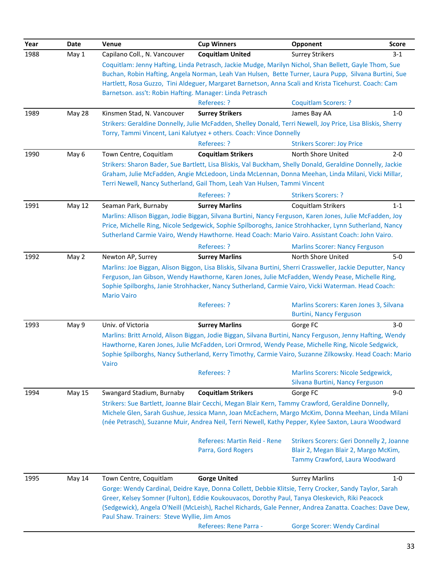| Year | Date          | Venue                                                                                                                                                                                                            | <b>Cup Winners</b>                                                                                          | Opponent                                                               | <b>Score</b> |  |
|------|---------------|------------------------------------------------------------------------------------------------------------------------------------------------------------------------------------------------------------------|-------------------------------------------------------------------------------------------------------------|------------------------------------------------------------------------|--------------|--|
| 1988 | May 1         | Capilano Coll., N. Vancouver                                                                                                                                                                                     | <b>Coquitlam United</b>                                                                                     | <b>Surrey Strikers</b>                                                 | $3-1$        |  |
|      |               |                                                                                                                                                                                                                  | Coquitlam: Jenny Hafting, Linda Petrasch, Jackie Mudge, Marilyn Nichol, Shan Bellett, Gayle Thom, Sue       |                                                                        |              |  |
|      |               |                                                                                                                                                                                                                  | Buchan, Robin Hafting, Angela Norman, Leah Van Hulsen, Bette Turner, Laura Pupp, Silvana Burtini, Sue       |                                                                        |              |  |
|      |               |                                                                                                                                                                                                                  | Hartlett, Rosa Guzzo, Tini Aldeguer, Margaret Barnetson, Anna Scali and Krista Ticehurst. Coach: Cam        |                                                                        |              |  |
|      |               | Barnetson. ass't: Robin Hafting. Manager: Linda Petrasch                                                                                                                                                         | Referees: ?                                                                                                 | <b>Coquitlam Scorers: ?</b>                                            |              |  |
| 1989 | May 28        | Kinsmen Stad, N. Vancouver                                                                                                                                                                                       | <b>Surrey Strikers</b>                                                                                      | James Bay AA                                                           | $1-0$        |  |
|      |               |                                                                                                                                                                                                                  | Strikers: Geraldine Donnelly, Julie McFadden, Shelley Donald, Terri Newell, Joy Price, Lisa Bliskis, Sherry |                                                                        |              |  |
|      |               |                                                                                                                                                                                                                  | Torry, Tammi Vincent, Lani Kalutyez + others. Coach: Vince Donnelly                                         |                                                                        |              |  |
|      |               |                                                                                                                                                                                                                  | Referees: ?                                                                                                 | <b>Strikers Scorer: Joy Price</b>                                      |              |  |
| 1990 | May 6         | Town Centre, Coquitlam                                                                                                                                                                                           | <b>Coquitlam Strikers</b>                                                                                   | North Shore United                                                     | $2 - 0$      |  |
|      |               |                                                                                                                                                                                                                  | Strikers: Sharon Bader, Sue Bartlett, Lisa Bliskis, Val Buckham, Shelly Donald, Geraldine Donnelly, Jackie  |                                                                        |              |  |
|      |               |                                                                                                                                                                                                                  | Graham, Julie McFadden, Angie McLedoon, Linda McLennan, Donna Meehan, Linda Milani, Vicki Millar,           |                                                                        |              |  |
|      |               |                                                                                                                                                                                                                  | Terri Newell, Nancy Sutherland, Gail Thom, Leah Van Hulsen, Tammi Vincent                                   |                                                                        |              |  |
|      |               |                                                                                                                                                                                                                  | Referees: ?                                                                                                 | <b>Strikers Scorers: ?</b>                                             |              |  |
| 1991 | May 12        | Seaman Park, Burnaby                                                                                                                                                                                             | <b>Surrey Marlins</b>                                                                                       | Coquitlam Strikers                                                     | $1 - 1$      |  |
|      |               |                                                                                                                                                                                                                  | Marlins: Allison Biggan, Jodie Biggan, Silvana Burtini, Nancy Ferguson, Karen Jones, Julie McFadden, Joy    |                                                                        |              |  |
|      |               |                                                                                                                                                                                                                  | Price, Michelle Ring, Nicole Sedgewick, Sophie Spilboroghs, Janice Strohhacker, Lynn Sutherland, Nancy      |                                                                        |              |  |
|      |               |                                                                                                                                                                                                                  | Sutherland Carmie Vairo, Wendy Hawthorne. Head Coach: Mario Vairo. Assistant Coach: John Vairo.             |                                                                        |              |  |
|      |               |                                                                                                                                                                                                                  | Referees: ?                                                                                                 | <b>Marlins Scorer: Nancy Ferguson</b>                                  |              |  |
| 1992 | May 2         | Newton AP, Surrey                                                                                                                                                                                                | <b>Surrey Marlins</b>                                                                                       | North Shore United                                                     | $5-0$        |  |
|      |               | Marlins: Joe Biggan, Alison Biggon, Lisa Bliskis, Silvana Burtini, Sherri Crassweller, Jackie Deputter, Nancy<br>Ferguson, Jan Gibson, Wendy Hawthorne, Karen Jones, Julie McFadden, Wendy Pease, Michelle Ring, |                                                                                                             |                                                                        |              |  |
|      |               |                                                                                                                                                                                                                  | Sophie Spilborghs, Janie Strohhacker, Nancy Sutherland, Carmie Vairo, Vicki Waterman. Head Coach:           |                                                                        |              |  |
|      |               | <b>Mario Vairo</b>                                                                                                                                                                                               |                                                                                                             |                                                                        |              |  |
|      |               |                                                                                                                                                                                                                  | Referees: ?                                                                                                 | Marlins Scorers: Karen Jones 3, Silvana                                |              |  |
|      |               |                                                                                                                                                                                                                  |                                                                                                             | <b>Burtini, Nancy Ferguson</b>                                         |              |  |
| 1993 | May 9         | Univ. of Victoria                                                                                                                                                                                                | <b>Surrey Marlins</b>                                                                                       | Gorge FC                                                               | $3-0$        |  |
|      |               | Marlins: Britt Arnold, Alison Biggan, Jodie Biggan, Silvana Burtini, Nancy Ferguson, Jenny Hafting, Wendy                                                                                                        |                                                                                                             |                                                                        |              |  |
|      |               | Hawthorne, Karen Jones, Julie McFadden, Lori Ormrod, Wendy Pease, Michelle Ring, Nicole Sedgwick,                                                                                                                |                                                                                                             |                                                                        |              |  |
|      |               | Vairo                                                                                                                                                                                                            | Sophie Spilborghs, Nancy Sutherland, Kerry Timothy, Carmie Vairo, Suzanne Zilkowsky. Head Coach: Mario      |                                                                        |              |  |
|      |               |                                                                                                                                                                                                                  | Referees: ?                                                                                                 | <b>Marlins Scorers: Nicole Sedgewick,</b>                              |              |  |
|      |               |                                                                                                                                                                                                                  |                                                                                                             | Silvana Burtini, Nancy Ferguson                                        |              |  |
| 1994 | <b>May 15</b> | Swangard Stadium, Burnaby                                                                                                                                                                                        | <b>Coquitlam Strikers</b>                                                                                   | Gorge FC                                                               | $9-0$        |  |
|      |               |                                                                                                                                                                                                                  | Strikers: Sue Bartlett, Joanne Blair Cecchi, Megan Blair Kern, Tammy Crawford, Geraldine Donnelly,          |                                                                        |              |  |
|      |               |                                                                                                                                                                                                                  | Michele Glen, Sarah Gushue, Jessica Mann, Joan McEachern, Margo McKim, Donna Meehan, Linda Milani           |                                                                        |              |  |
|      |               |                                                                                                                                                                                                                  | (née Petrasch), Suzanne Muir, Andrea Neil, Terri Newell, Kathy Pepper, Kylee Saxton, Laura Woodward         |                                                                        |              |  |
|      |               |                                                                                                                                                                                                                  |                                                                                                             |                                                                        |              |  |
|      |               |                                                                                                                                                                                                                  | Referees: Martin Reid - Rene                                                                                | Strikers Scorers: Geri Donnelly 2, Joanne                              |              |  |
|      |               |                                                                                                                                                                                                                  | Parra, Gord Rogers                                                                                          | Blair 2, Megan Blair 2, Margo McKim,<br>Tammy Crawford, Laura Woodward |              |  |
|      |               |                                                                                                                                                                                                                  |                                                                                                             |                                                                        |              |  |
| 1995 | May 14        | Town Centre, Coquitlam                                                                                                                                                                                           | <b>Gorge United</b>                                                                                         | <b>Surrey Marlins</b>                                                  | $1 - 0$      |  |
|      |               |                                                                                                                                                                                                                  | Gorge: Wendy Cardinal, Deidre Kaye, Donna Collett, Debbie Klitsie, Terry Crocker, Sandy Taylor, Sarah       |                                                                        |              |  |
|      |               |                                                                                                                                                                                                                  | Greer, Kelsey Somner (Fulton), Eddie Koukouvacos, Dorothy Paul, Tanya Oleskevich, Riki Peacock              |                                                                        |              |  |
|      |               |                                                                                                                                                                                                                  | (Sedgewick), Angela O'Neill (McLeish), Rachel Richards, Gale Penner, Andrea Zanatta. Coaches: Dave Dew,     |                                                                        |              |  |
|      |               | Paul Shaw. Trainers: Steve Wyllie, Jim Amos                                                                                                                                                                      |                                                                                                             |                                                                        |              |  |
|      |               |                                                                                                                                                                                                                  | Referees: Rene Parra -                                                                                      | <b>Gorge Scorer: Wendy Cardinal</b>                                    |              |  |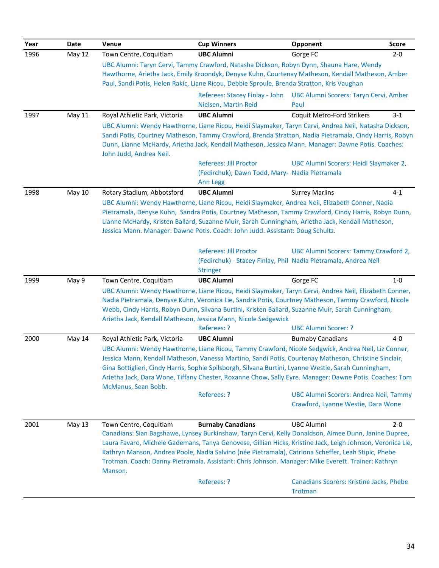| Year | <b>Date</b>   | Venue                         | <b>Cup Winners</b>                                                                                                                                                                                                                                                                                                                                                                                                                            | Opponent                                                                            | <b>Score</b> |
|------|---------------|-------------------------------|-----------------------------------------------------------------------------------------------------------------------------------------------------------------------------------------------------------------------------------------------------------------------------------------------------------------------------------------------------------------------------------------------------------------------------------------------|-------------------------------------------------------------------------------------|--------------|
| 1996 | <b>May 12</b> | Town Centre, Coquitlam        | <b>UBC Alumni</b>                                                                                                                                                                                                                                                                                                                                                                                                                             | Gorge FC                                                                            | $2 - 0$      |
|      |               |                               | UBC Alumni: Taryn Cervi, Tammy Crawford, Natasha Dickson, Robyn Dynn, Shauna Hare, Wendy<br>Hawthorne, Arietha Jack, Emily Kroondyk, Denyse Kuhn, Courtenay Matheson, Kendall Matheson, Amber<br>Paul, Sandi Potis, Helen Rakic, Liane Ricou, Debbie Sproule, Brenda Stratton, Kris Vaughan                                                                                                                                                   |                                                                                     |              |
|      |               |                               | Referees: Stacey Finlay - John<br>Nielsen, Martin Reid                                                                                                                                                                                                                                                                                                                                                                                        | UBC Alumni Scorers: Taryn Cervi, Amber<br>Paul                                      |              |
| 1997 | <b>May 11</b> | Royal Athletic Park, Victoria | <b>UBC Alumni</b>                                                                                                                                                                                                                                                                                                                                                                                                                             | Coquit Metro-Ford Strikers                                                          | $3-1$        |
|      |               | John Judd, Andrea Neil.       | UBC Alumni: Wendy Hawthorne, Liane Ricou, Heidi Slaymaker, Taryn Cervi, Andrea Neil, Natasha Dickson,<br>Sandi Potis, Courtney Matheson, Tammy Crawford, Brenda Stratton, Nadia Pietramala, Cindy Harris, Robyn<br>Dunn, Lianne McHardy, Arietha Jack, Kendall Matheson, Jessica Mann. Manager: Dawne Potis. Coaches:                                                                                                                         |                                                                                     |              |
|      |               |                               | Referees: Jill Proctor<br>(Fedirchuk), Dawn Todd, Mary- Nadia Pietramala<br>Ann Legg                                                                                                                                                                                                                                                                                                                                                          | UBC Alumni Scorers: Heidi Slaymaker 2,                                              |              |
| 1998 | May 10        | Rotary Stadium, Abbotsford    | <b>UBC Alumni</b>                                                                                                                                                                                                                                                                                                                                                                                                                             | <b>Surrey Marlins</b>                                                               | $4 - 1$      |
|      |               |                               | UBC Alumni: Wendy Hawthorne, Liane Ricou, Heidi Slaymaker, Andrea Neil, Elizabeth Conner, Nadia<br>Pietramala, Denyse Kuhn, Sandra Potis, Courtney Matheson, Tammy Crawford, Cindy Harris, Robyn Dunn,<br>Lianne McHardy, Kristen Ballard, Suzanne Muir, Sarah Cunningham, Arietha Jack, Kendall Matheson,<br>Jessica Mann. Manager: Dawne Potis. Coach: John Judd. Assistant: Doug Schultz.                                                  |                                                                                     |              |
|      |               |                               | Referees: Jill Proctor<br>(Fedirchuk) - Stacey Finlay, Phil Nadia Pietramala, Andrea Neil<br><b>Stringer</b>                                                                                                                                                                                                                                                                                                                                  | UBC Alumni Scorers: Tammy Crawford 2,                                               |              |
| 1999 | May 9         | Town Centre, Coquitlam        | <b>UBC Alumni</b>                                                                                                                                                                                                                                                                                                                                                                                                                             | Gorge FC                                                                            | $1-0$        |
|      |               |                               | UBC Alumni: Wendy Hawthorne, Liane Ricou, Heidi Slaymaker, Taryn Cervi, Andrea Neil, Elizabeth Conner,<br>Nadia Pietramala, Denyse Kuhn, Veronica Lie, Sandra Potis, Courtney Matheson, Tammy Crawford, Nicole<br>Webb, Cindy Harris, Robyn Dunn, Silvana Burtini, Kristen Ballard, Suzanne Muir, Sarah Cunningham,<br>Arietha Jack, Kendall Matheson, Jessica Mann, Nicole Sedgewick<br>Referees: ?                                          | <b>UBC Alumni Scorer: ?</b>                                                         |              |
| 2000 | May 14        | Royal Athletic Park, Victoria | <b>UBC Alumni</b>                                                                                                                                                                                                                                                                                                                                                                                                                             | <b>Burnaby Canadians</b>                                                            | $4-0$        |
|      |               | McManus, Sean Bobb.           | UBC Alumni: Wendy Hawthorne, Liane Ricou, Tammy Crawford, Nicole Sedgwick, Andrea Neil, Liz Conner,<br>Jessica Mann, Kendall Matheson, Vanessa Martino, Sandi Potis, Courtenay Matheson, Christine Sinclair,<br>Gina Bottiglieri, Cindy Harris, Sophie Spilsborgh, Silvana Burtini, Lyanne Westie, Sarah Cunningham,<br>Arietha Jack, Dara Wone, Tiffany Chester, Roxanne Chow, Sally Eyre. Manager: Dawne Potis. Coaches: Tom<br>Referees: ? | <b>UBC Alumni Scorers: Andrea Neil, Tammy</b><br>Crawford, Lyanne Westie, Dara Wone |              |
| 2001 | May 13        | Town Centre, Coquitlam        | <b>Burnaby Canadians</b>                                                                                                                                                                                                                                                                                                                                                                                                                      | <b>UBC Alumni</b>                                                                   | $2 - 0$      |
|      |               | Manson.                       | Canadians: Sian Bagshawe, Lynsey Burkinshaw, Taryn Cervi, Kelly Donaldson, Aimee Dunn, Janine Dupree,<br>Laura Favaro, Michele Gademans, Tanya Genovese, Gillian Hicks, Kristine Jack, Leigh Johnson, Veronica Lie,<br>Kathryn Manson, Andrea Poole, Nadia Salvino (née Pietramala), Catriona Scheffer, Leah Stipic, Phebe<br>Trotman. Coach: Danny Pietramala. Assistant: Chris Johnson. Manager: Mike Everett. Trainer: Kathryn             |                                                                                     |              |
|      |               |                               | Referees: ?                                                                                                                                                                                                                                                                                                                                                                                                                                   | Canadians Scorers: Kristine Jacks, Phebe<br><b>Trotman</b>                          |              |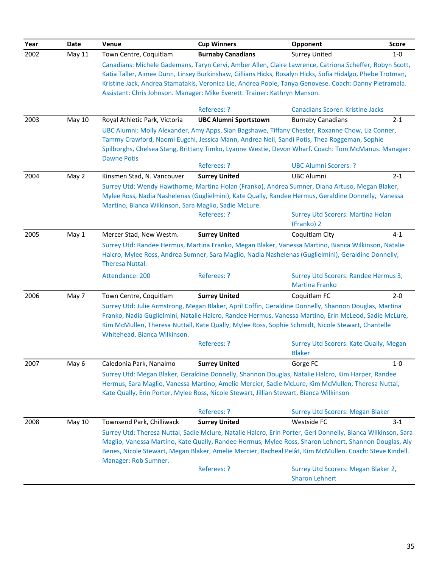| Year | Date          | Venue                                                                                   | <b>Cup Winners</b>           | Opponent                                                                                                                                                                                                                                                                                                                                                                       | <b>Score</b> |
|------|---------------|-----------------------------------------------------------------------------------------|------------------------------|--------------------------------------------------------------------------------------------------------------------------------------------------------------------------------------------------------------------------------------------------------------------------------------------------------------------------------------------------------------------------------|--------------|
| 2002 | May 11        | Town Centre, Coquitlam                                                                  | <b>Burnaby Canadians</b>     | <b>Surrey United</b>                                                                                                                                                                                                                                                                                                                                                           | $1-0$        |
|      |               | Assistant: Chris Johnson. Manager: Mike Everett. Trainer: Kathryn Manson.               |                              | Canadians: Michele Gademans, Taryn Cervi, Amber Allen, Claire Lawrence, Catriona Scheffer, Robyn Scott,<br>Katia Taller, Aimee Dunn, Linsey Burkinshaw, Gillians Hicks, Rosalyn Hicks, Sofia Hidalgo, Phebe Trotman,<br>Kristine Jack, Andrea Stamatakis, Veronica Lie, Andrea Poole, Tanya Genovese. Coach: Danny Pietramala.                                                 |              |
|      |               |                                                                                         | Referees: ?                  | <b>Canadians Scorer: Kristine Jacks</b>                                                                                                                                                                                                                                                                                                                                        |              |
| 2003 | <b>May 10</b> | Royal Athletic Park, Victoria<br><b>Dawne Potis</b>                                     | <b>UBC Alumni Sportstown</b> | <b>Burnaby Canadians</b><br>UBC Alumni: Molly Alexander, Amy Apps, Sian Bagshawe, Tiffany Chester, Roxanne Chow, Liz Conner,<br>Tammy Crawford, Naomi Eugchi, Jessica Mann, Andrea Neil, Sandi Potis, Thea Roggeman, Sophie<br>Spilborghs, Chelsea Stang, Brittany Timko, Lyanne Westie, Devon Wharf. Coach: Tom McManus. Manager:                                             | $2 - 1$      |
|      |               |                                                                                         | Referees: ?                  | <b>UBC Alumni Scorers: ?</b>                                                                                                                                                                                                                                                                                                                                                   |              |
| 2004 | May 2         | Kinsmen Stad, N. Vancouver                                                              | <b>Surrey United</b>         | <b>UBC Alumni</b>                                                                                                                                                                                                                                                                                                                                                              | $2 - 1$      |
|      |               | Martino, Bianca Wilkinson, Sara Maglio, Sadie McLure.                                   | Referees: ?                  | Surrey Utd: Wendy Hawthorne, Martina Holan (Franko), Andrea Sumner, Diana Artuso, Megan Blaker,<br>Mylee Ross, Nadia Nashelenas (Guglielmini), Kate Qually, Randee Hermus, Geraldine Donnelly, Vanessa<br><b>Surrey Utd Scorers: Martina Holan</b><br>(Franko) 2                                                                                                               |              |
| 2005 | May 1         | Mercer Stad, New Westm.                                                                 | <b>Surrey United</b>         | Coquitlam City                                                                                                                                                                                                                                                                                                                                                                 | $4 - 1$      |
|      |               | Theresa Nuttal.<br>Attendance: 200                                                      | Referees: ?                  | Surrey Utd: Randee Hermus, Martina Franko, Megan Blaker, Vanessa Martino, Bianca Wilkinson, Natalie<br>Halcro, Mylee Ross, Andrea Sumner, Sara Maglio, Nadia Nashelenas (Guglielmini), Geraldine Donnelly,<br>Surrey Utd Scorers: Randee Hermus 3,<br><b>Martina Franko</b>                                                                                                    |              |
| 2006 | May 7         | Town Centre, Coquitlam                                                                  | <b>Surrey United</b>         | Coquitlam FC                                                                                                                                                                                                                                                                                                                                                                   | $2 - 0$      |
|      |               | Whitehead, Bianca Wilkinson.                                                            | Referees: ?                  | Surrey Utd: Julie Armstrong, Megan Blaker, April Coffin, Geraldine Donnelly, Shannon Douglas, Martina<br>Franko, Nadia Guglielmini, Natalie Halcro, Randee Hermus, Vanessa Martino, Erin McLeod, Sadie McLure,<br>Kim McMullen, Theresa Nuttall, Kate Qually, Mylee Ross, Sophie Schmidt, Nicole Stewart, Chantelle<br>Surrey Utd Scorers: Kate Qually, Megan<br><b>Blaker</b> |              |
| 2007 | May 6         | Caledonia Park, Nanaimo                                                                 | <b>Surrey United</b>         | Gorge FC                                                                                                                                                                                                                                                                                                                                                                       | $1-0$        |
|      |               | Kate Qually, Erin Porter, Mylee Ross, Nicole Stewart, Jillian Stewart, Bianca Wilkinson | Referees: ?                  | Surrey Utd: Megan Blaker, Geraldine Donnelly, Shannon Douglas, Natalie Halcro, Kim Harper, Randee<br>Hermus, Sara Maglio, Vanessa Martino, Amelie Mercier, Sadie McLure, Kim McMullen, Theresa Nuttal,<br><b>Surrey Utd Scorers: Megan Blaker</b>                                                                                                                              |              |
| 2008 | <b>May 10</b> | Townsend Park, Chilliwack                                                               | <b>Surrey United</b>         | Westside FC                                                                                                                                                                                                                                                                                                                                                                    | $3 - 1$      |
|      |               | Manager: Rob Sumner.                                                                    |                              | Surrey Utd: Theresa Nuttal, Sadie Mclure, Natalie Halcro, Erin Porter, Geri Donnelly, Bianca Wilkinson, Sara<br>Maglio, Vanessa Martino, Kate Qually, Randee Hermus, Mylee Ross, Sharon Lehnert, Shannon Douglas, Aly<br>Benes, Nicole Stewart, Megan Blaker, Amelie Mercier, Racheal Pelât, Kim McMullen. Coach: Steve Kindell.                                               |              |
|      |               |                                                                                         | Referees: ?                  | Surrey Utd Scorers: Megan Blaker 2,<br><b>Sharon Lehnert</b>                                                                                                                                                                                                                                                                                                                   |              |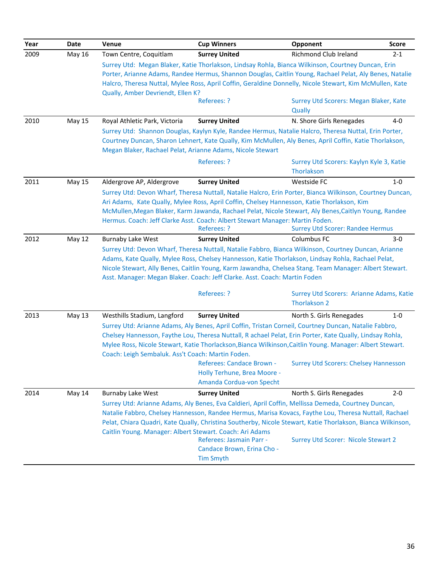| Year | Date          | Venue                                                                            | <b>Cup Winners</b>                                                                                                                                                                                                                                                                                                                                                                                                | Opponent                                                                 | <b>Score</b> |
|------|---------------|----------------------------------------------------------------------------------|-------------------------------------------------------------------------------------------------------------------------------------------------------------------------------------------------------------------------------------------------------------------------------------------------------------------------------------------------------------------------------------------------------------------|--------------------------------------------------------------------------|--------------|
| 2009 | May 16        | Town Centre, Coquitlam                                                           | <b>Surrey United</b>                                                                                                                                                                                                                                                                                                                                                                                              | Richmond Club Ireland                                                    | $2 - 1$      |
|      |               | Qually, Amber Devriendt, Ellen K?                                                | Surrey Utd: Megan Blaker, Katie Thorlakson, Lindsay Rohla, Bianca Wilkinson, Courtney Duncan, Erin<br>Porter, Arianne Adams, Randee Hermus, Shannon Douglas, Caitlin Young, Rachael Pelat, Aly Benes, Natalie<br>Halcro, Theresa Nuttal, Mylee Ross, April Coffin, Geraldine Donnelly, Nicole Stewart, Kim McMullen, Kate<br>Referees: ?                                                                          | Surrey Utd Scorers: Megan Blaker, Kate<br>Qually                         |              |
| 2010 | May 15        | Royal Athletic Park, Victoria                                                    | <b>Surrey United</b>                                                                                                                                                                                                                                                                                                                                                                                              | N. Shore Girls Renegades                                                 | $4 - 0$      |
|      |               |                                                                                  | Surrey Utd: Shannon Douglas, Kaylyn Kyle, Randee Hermus, Natalie Halcro, Theresa Nuttal, Erin Porter,<br>Courtney Duncan, Sharon Lehnert, Kate Qually, Kim McMullen, Aly Benes, April Coffin, Katie Thorlakson,<br>Megan Blaker, Rachael Pelat, Arianne Adams, Nicole Stewart                                                                                                                                     |                                                                          |              |
|      |               |                                                                                  | Referees: ?                                                                                                                                                                                                                                                                                                                                                                                                       | Surrey Utd Scorers: Kaylyn Kyle 3, Katie<br>Thorlakson                   |              |
| 2011 | May 15        | Aldergrove AP, Aldergrove                                                        | <b>Surrey United</b>                                                                                                                                                                                                                                                                                                                                                                                              | Westside FC                                                              | $1-0$        |
|      |               |                                                                                  | Surrey Utd: Devon Wharf, Theresa Nuttall, Natalie Halcro, Erin Porter, Bianca Wilkinson, Courtney Duncan,<br>Ari Adams, Kate Qually, Mylee Ross, April Coffin, Chelsey Hannesson, Katie Thorlakson, Kim<br>McMullen, Megan Blaker, Karm Jawanda, Rachael Pelat, Nicole Stewart, Aly Benes, Caitlyn Young, Randee<br>Hermus. Coach: Jeff Clarke Asst. Coach: Albert Stewart Manager: Martin Foden.<br>Referees: ?  | <b>Surrey Utd Scorer: Randee Hermus</b>                                  |              |
| 2012 | <b>May 12</b> | <b>Burnaby Lake West</b>                                                         | <b>Surrey United</b>                                                                                                                                                                                                                                                                                                                                                                                              | Columbus FC                                                              | 3-0          |
|      |               |                                                                                  | Surrey Utd: Devon Wharf, Theresa Nuttall, Natalie Fabbro, Bianca Wilkinson, Courtney Duncan, Arianne<br>Adams, Kate Qually, Mylee Ross, Chelsey Hannesson, Katie Thorlakson, Lindsay Rohla, Rachael Pelat,<br>Nicole Stewart, Ally Benes, Caitlin Young, Karm Jawandha, Chelsea Stang. Team Manager: Albert Stewart.<br>Asst. Manager: Megan Blaker. Coach: Jeff Clarke. Asst. Coach: Martin Foden<br>Referees: ? | Surrey Utd Scorers: Arianne Adams, Katie                                 |              |
|      |               |                                                                                  |                                                                                                                                                                                                                                                                                                                                                                                                                   | Thorlakson 2                                                             |              |
| 2013 | May 13        | Westhills Stadium, Langford<br>Coach: Leigh Sembaluk. Ass't Coach: Martin Foden. | <b>Surrey United</b><br>Surrey Utd: Arianne Adams, Aly Benes, April Coffin, Tristan Corneil, Courtney Duncan, Natalie Fabbro,<br>Chelsey Hannesson, Faythe Lou, Theresa Nuttall, R achael Pelat, Erin Porter, Kate Qually, Lindsay Rohla,<br>Mylee Ross, Nicole Stewart, Katie Thorlackson, Bianca Wilkinson, Caitlin Young. Manager: Albert Stewart.<br>Referees: Candace Brown -                                | North S. Girls Renegades<br><b>Surrey Utd Scorers: Chelsey Hannesson</b> | $1 - 0$      |
|      |               |                                                                                  | Holly Terhune, Brea Moore -<br>Amanda Cordua-von Specht                                                                                                                                                                                                                                                                                                                                                           |                                                                          |              |
| 2014 | May 14        | <b>Burnaby Lake West</b>                                                         | <b>Surrey United</b>                                                                                                                                                                                                                                                                                                                                                                                              | North S. Girls Renegades                                                 | $2 - 0$      |